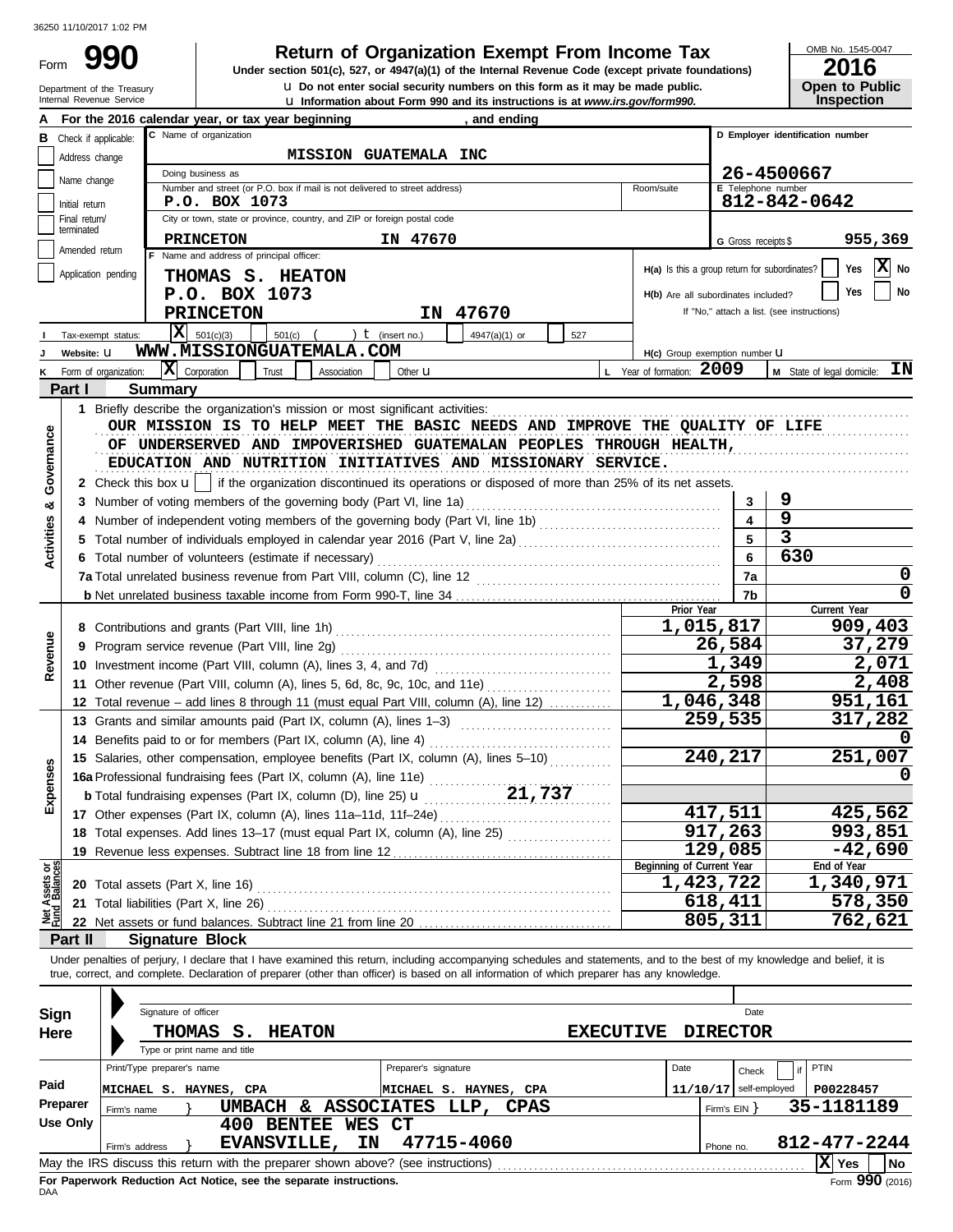Form

Department of the Treasury<br>Internal Revenue Service

# **990 1990 2016 2016 Depending Solution Solution Solution Solution Spanization Exempt From Income Tax 2016**

**u** Information about Form 990 and its instructions is at *www.irs.gov/form990.* u **Do not enter social security numbers on this form as it may be made public. Open to Public**

OMB No. 1545-0047

**Inspection**

|                                |                             |                       | For the 2016 calendar year, or tax year beginning                                                                                                                          |                      | and ending             |                  |                                               |                           |                                            |
|--------------------------------|-----------------------------|-----------------------|----------------------------------------------------------------------------------------------------------------------------------------------------------------------------|----------------------|------------------------|------------------|-----------------------------------------------|---------------------------|--------------------------------------------|
| В                              |                             | Check if applicable:  | C Name of organization                                                                                                                                                     |                      |                        |                  |                                               |                           | D Employer identification number           |
|                                | Address change              |                       | <b>MISSION GUATEMALA INC</b>                                                                                                                                               |                      |                        |                  |                                               |                           |                                            |
|                                | Name change                 |                       | Doing business as                                                                                                                                                          |                      |                        |                  |                                               |                           | 26-4500667                                 |
|                                |                             |                       | Number and street (or P.O. box if mail is not delivered to street address)                                                                                                 |                      |                        |                  | Room/suite                                    | <b>E</b> Telephone number |                                            |
|                                | Initial return              |                       | P.O. BOX 1073                                                                                                                                                              |                      |                        |                  |                                               |                           | 812-842-0642                               |
|                                | Final return/<br>terminated |                       | City or town, state or province, country, and ZIP or foreign postal code                                                                                                   |                      |                        |                  |                                               |                           |                                            |
|                                | Amended return              |                       | <b>PRINCETON</b>                                                                                                                                                           | IN 47670             |                        |                  |                                               | G Gross receipts \$       | 955,369                                    |
|                                |                             |                       | F Name and address of principal officer:                                                                                                                                   |                      |                        |                  | H(a) Is this a group return for subordinates? |                           | X No<br>Yes                                |
|                                |                             | Application pending   | THOMAS S. HEATON                                                                                                                                                           |                      |                        |                  |                                               |                           |                                            |
|                                |                             |                       | P.O. BOX 1073                                                                                                                                                              |                      |                        |                  | H(b) Are all subordinates included?           |                           | No<br>Yes                                  |
|                                |                             |                       | <b>PRINCETON</b>                                                                                                                                                           |                      | IN 47670               |                  |                                               |                           | If "No," attach a list. (see instructions) |
|                                |                             | Tax-exempt status:    | x<br>501(c)(3)<br>501(c)                                                                                                                                                   | ) $t$ (insert no.)   | 4947(a)(1) or          | 527              |                                               |                           |                                            |
|                                | Website: U                  |                       | WWW.MISSIONGUATEMALA.COM                                                                                                                                                   |                      |                        |                  | H(c) Group exemption number U                 |                           |                                            |
| ĸ                              |                             | Form of organization: | X <br>Corporation<br>Trust<br>Association                                                                                                                                  | Other $\mathbf u$    |                        |                  | L Year of formation: 2009                     |                           | ΙN<br>M State of legal domicile:           |
|                                | Part I                      |                       | Summary                                                                                                                                                                    |                      |                        |                  |                                               |                           |                                            |
|                                |                             |                       | OUR MISSION IS TO HELP MEET THE BASIC NEEDS AND IMPROVE THE QUALITY OF LIFE                                                                                                |                      |                        |                  |                                               |                           |                                            |
| Governance                     |                             |                       | OF UNDERSERVED AND IMPOVERISHED GUATEMALAN PEOPLES THROUGH HEALTH,                                                                                                         |                      |                        |                  |                                               |                           |                                            |
|                                |                             |                       | EDUCATION AND NUTRITION INITIATIVES AND MISSIONARY SERVICE.                                                                                                                |                      |                        |                  |                                               |                           |                                            |
|                                |                             |                       | 2 Check this box $\mathbf{u}$ if the organization discontinued its operations or disposed of more than 25% of its net assets.                                              |                      |                        |                  |                                               |                           |                                            |
| ಯ                              |                             |                       | 3 Number of voting members of the governing body (Part VI, line 1a)                                                                                                        |                      |                        |                  |                                               | 3                         | 9                                          |
|                                |                             |                       |                                                                                                                                                                            |                      |                        |                  |                                               | $\overline{\mathbf{4}}$   | $\overline{9}$                             |
|                                |                             |                       |                                                                                                                                                                            |                      |                        |                  |                                               | 5                         | $\overline{\mathbf{3}}$                    |
| Activities                     |                             |                       | 6 Total number of volunteers (estimate if necessary)                                                                                                                       |                      |                        |                  |                                               | 6                         | 630                                        |
|                                |                             |                       |                                                                                                                                                                            |                      |                        |                  |                                               | 7a                        | 0                                          |
|                                |                             |                       |                                                                                                                                                                            |                      |                        |                  |                                               | 7b                        | 0                                          |
|                                |                             |                       |                                                                                                                                                                            |                      |                        |                  | Prior Year                                    |                           | Current Year                               |
|                                |                             |                       |                                                                                                                                                                            |                      |                        |                  | 1,015,817                                     |                           | 909,403                                    |
| Revenue                        |                             |                       | 9 Program service revenue (Part VIII, line 2g)                                                                                                                             |                      |                        |                  |                                               | 26,584                    | 37,279                                     |
|                                |                             |                       | 10 Investment income (Part VIII, column (A), lines 3, 4, and 7d)                                                                                                           |                      |                        |                  |                                               | 1,349                     | 2,071                                      |
|                                |                             |                       | 11 Other revenue (Part VIII, column (A), lines 5, 6d, 8c, 9c, 10c, and 11e)                                                                                                |                      |                        |                  |                                               | 2,598                     | 2,408                                      |
|                                |                             |                       | 12 Total revenue - add lines 8 through 11 (must equal Part VIII, column (A), line 12)                                                                                      |                      |                        |                  | 1,046,348                                     |                           | 951,161                                    |
|                                |                             |                       | 13 Grants and similar amounts paid (Part IX, column (A), lines 1-3)                                                                                                        |                      |                        |                  |                                               | 259,535                   | 317,282                                    |
|                                |                             |                       | 14 Benefits paid to or for members (Part IX, column (A), line 4)                                                                                                           |                      |                        |                  |                                               |                           | $\Omega$                                   |
|                                |                             |                       | 15 Salaries, other compensation, employee benefits (Part IX, column (A), lines 5-10)                                                                                       |                      |                        |                  |                                               | 240,217                   | 251,007                                    |
|                                |                             |                       | 15 Salaries, other components, 1997<br>16a Professional fundraising fees (Part IX, column (A), line 11e)<br>21,737                                                         |                      |                        |                  |                                               |                           | 0                                          |
| xpenses                        |                             |                       |                                                                                                                                                                            |                      |                        |                  |                                               |                           |                                            |
| ш                              |                             |                       | 17 Other expenses (Part IX, column (A), lines 11a-11d, 11f-24e)                                                                                                            |                      |                        |                  |                                               | 417,511                   | 425,562                                    |
|                                |                             |                       | 18 Total expenses. Add lines 13-17 (must equal Part IX, column (A), line 25) [                                                                                             |                      |                        |                  |                                               | 917,263                   | 993,851                                    |
|                                |                             |                       | 19 Revenue less expenses. Subtract line 18 from line 12                                                                                                                    |                      |                        |                  |                                               | 129,085                   | $-42,690$                                  |
| Net Assets or<br>Fund Balances |                             |                       |                                                                                                                                                                            |                      |                        |                  | Beginning of Current Year                     |                           | End of Year                                |
|                                |                             |                       | 20 Total assets (Part X, line 16) Material Construction of Total assets (Part X, line 16)                                                                                  |                      |                        |                  | 1,423,722                                     |                           | 1,340,971                                  |
|                                |                             |                       | 21 Total liabilities (Part X, line 26)                                                                                                                                     |                      |                        |                  |                                               | 618,411                   | 578,350                                    |
|                                |                             |                       | 22 Net assets or fund balances. Subtract line 21 from line 20                                                                                                              |                      |                        |                  |                                               | 805,311                   | 762,621                                    |
|                                | Part II                     |                       | <b>Signature Block</b>                                                                                                                                                     |                      |                        |                  |                                               |                           |                                            |
|                                |                             |                       | Under penalties of perjury, I declare that I have examined this return, including accompanying schedules and statements, and to the best of my knowledge and belief, it is |                      |                        |                  |                                               |                           |                                            |
|                                |                             |                       | true, correct, and complete. Declaration of preparer (other than officer) is based on all information of which preparer has any knowledge.                                 |                      |                        |                  |                                               |                           |                                            |
|                                |                             |                       | Signature of officer                                                                                                                                                       |                      |                        |                  |                                               |                           |                                            |
| Sign                           |                             |                       |                                                                                                                                                                            |                      |                        |                  |                                               | Date                      |                                            |
| Here                           |                             |                       | s.<br><b>THOMAS</b><br><b>HEATON</b>                                                                                                                                       |                      |                        | <b>EXECUTIVE</b> |                                               | <b>DIRECTOR</b>           |                                            |
|                                |                             |                       | Type or print name and title                                                                                                                                               |                      |                        |                  |                                               |                           |                                            |
| Paid                           |                             |                       | Print/Type preparer's name                                                                                                                                                 | Preparer's signature |                        |                  | Date                                          | Check                     | <b>PTIN</b>                                |
|                                |                             |                       | MICHAEL S. HAYNES, CPA                                                                                                                                                     |                      | MICHAEL S. HAYNES, CPA |                  | 11/10/17                                      | self-employed             | P00228457                                  |
|                                | Preparer                    | Firm's name           | UMBACH & ASSOCIATES LLP, CPAS                                                                                                                                              |                      |                        |                  |                                               | Firm's $EIN$ }            | 35-1181189                                 |
|                                | <b>Use Only</b>             |                       | 400 BENTEE WES CT                                                                                                                                                          |                      |                        |                  |                                               |                           |                                            |
|                                |                             | Firm's address        | <b>EVANSVILLE,</b><br>IN                                                                                                                                                   |                      | 47715-4060             |                  |                                               | Phone no.                 | 812-477-2244                               |
|                                |                             |                       | May the IRS discuss this return with the preparer shown above? (see instructions)                                                                                          |                      |                        |                  |                                               |                           | $ X $ Yes<br>  No                          |

| Sign<br>Here     | Signature of officer<br>THOMAS<br>s.<br><b>HEATON</b><br>Type or print name and title                                                                             | <b>EXECUTIVE</b>                               | <b>DIRECTOR</b>                                  | Date  |                                 |     |
|------------------|-------------------------------------------------------------------------------------------------------------------------------------------------------------------|------------------------------------------------|--------------------------------------------------|-------|---------------------------------|-----|
| Paid<br>Preparer | Print/Type preparer's name<br>HAYNES, CPA<br><b>MICHAEL</b><br>s.<br>UMBACH & ASSOCIATES LLP, CPAS<br>Firm's name                                                 | Preparer's signature<br>MICHAEL S. HAYNES, CPA | Date<br>$11/10/17$ self-employed<br>Firm's $EIN$ | Check | PTIN<br>P00228457<br>35-1181189 |     |
| Use Only         | <b>BENTEE</b><br>400<br>WES CT<br><b>EVANSVILLE,</b><br>IN<br>Firm's address<br>May the IRS discuss this return with the preparer shown above? (see instructions) | 47715-4060                                     | Phone no.                                        |       | 812-477-2244<br>Ixl<br>Yes      | No. |
|                  | Ear Paperwork Poduction Act Notice, can the congrate instructions                                                                                                 |                                                |                                                  |       | 5.000(0.000)                    |     |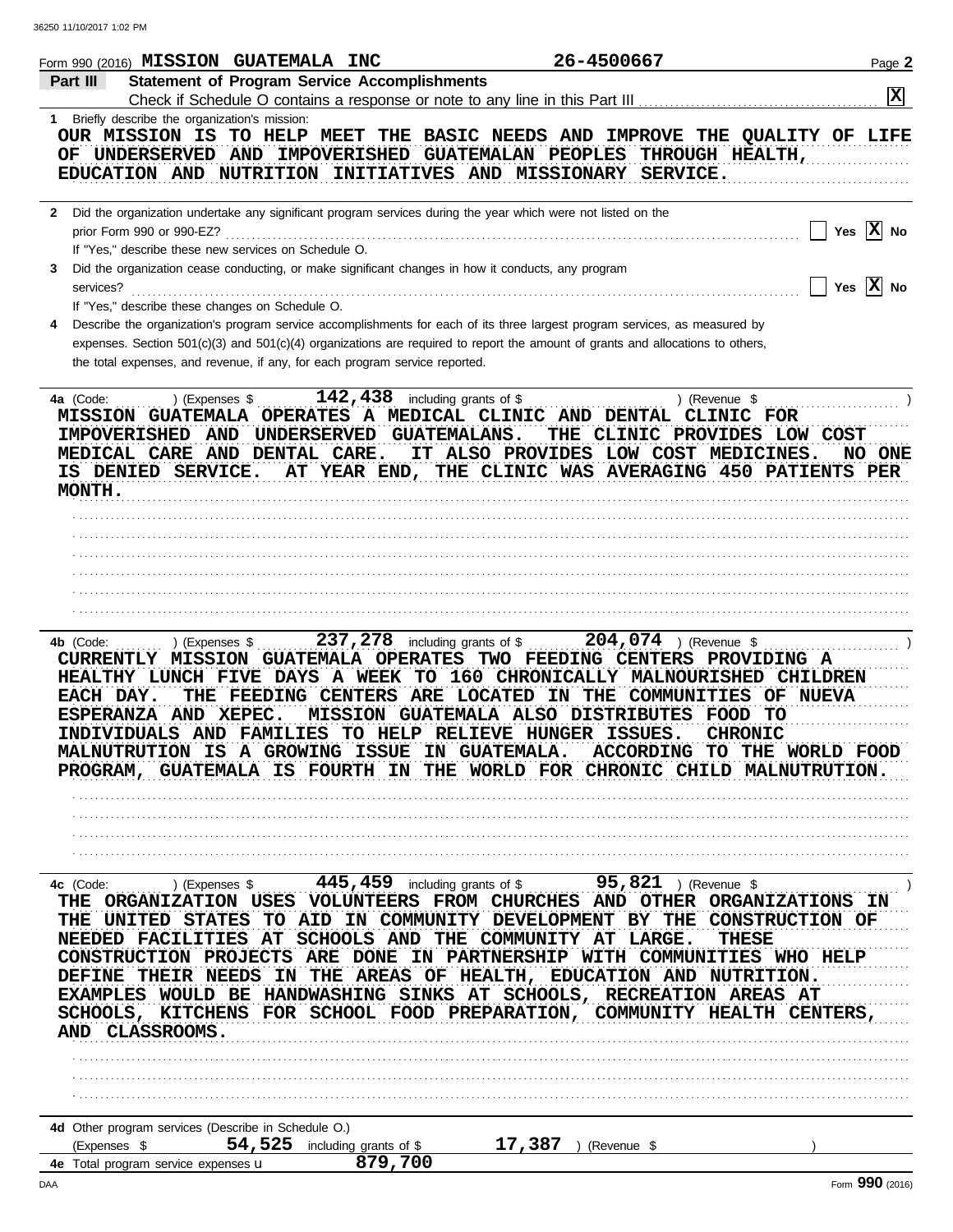|     | Form 990 (2016) MISSION GUATEMALA INC                                                                                                                                                                                                           |                                                                        | 26-4500667                                                                                                                                                                                                                                                                                    | Page 2                                                                                   |
|-----|-------------------------------------------------------------------------------------------------------------------------------------------------------------------------------------------------------------------------------------------------|------------------------------------------------------------------------|-----------------------------------------------------------------------------------------------------------------------------------------------------------------------------------------------------------------------------------------------------------------------------------------------|------------------------------------------------------------------------------------------|
|     | <b>Statement of Program Service Accomplishments</b><br>Part III                                                                                                                                                                                 |                                                                        |                                                                                                                                                                                                                                                                                               |                                                                                          |
|     |                                                                                                                                                                                                                                                 |                                                                        | Check if Schedule O contains a response or note to any line in this Part III                                                                                                                                                                                                                  | $ \mathbf{x} $                                                                           |
|     | 1 Briefly describe the organization's mission:<br>OF UNDERSERVED AND IMPOVERISHED<br>EDUCATION AND NUTRITION INITIATIVES AND MISSIONARY                                                                                                         |                                                                        | OUR MISSION IS TO HELP MEET THE BASIC NEEDS AND IMPROVE THE QUALITY OF LIFE<br><b>GUATEMALAN PEOPLES</b><br>SERVICE.                                                                                                                                                                          | THROUGH HEALTH,                                                                          |
|     | 2 Did the organization undertake any significant program services during the year which were not listed on the<br>prior Form 990 or 990-EZ?<br>If "Yes," describe these new services on Schedule O.                                             |                                                                        |                                                                                                                                                                                                                                                                                               | Yes $ X $ No                                                                             |
| 3   | Did the organization cease conducting, or make significant changes in how it conducts, any program<br>services?                                                                                                                                 |                                                                        |                                                                                                                                                                                                                                                                                               | Yes $ X $ No                                                                             |
|     | If "Yes," describe these changes on Schedule O.                                                                                                                                                                                                 |                                                                        | Describe the organization's program service accomplishments for each of its three largest program services, as measured by                                                                                                                                                                    |                                                                                          |
|     | the total expenses, and revenue, if any, for each program service reported.                                                                                                                                                                     |                                                                        | expenses. Section 501(c)(3) and 501(c)(4) organizations are required to report the amount of grants and allocations to others,                                                                                                                                                                |                                                                                          |
|     | 4a (Code:<br>) (Expenses \$<br>IMPOVERISHED AND<br>MEDICAL CARE AND DENTAL CARE.<br>IS DENIED SERVICE.<br>MONTH.                                                                                                                                | 142, 438 including grants of $$$<br>UNDERSERVED<br><b>GUATEMALANS.</b> | MISSION GUATEMALA OPERATES A MEDICAL CLINIC AND DENTAL CLINIC FOR<br>THE CLINIC PROVIDES<br>IT ALSO PROVIDES LOW COST MEDICINES.<br>AT YEAR END, THE CLINIC WAS AVERAGING 450 PATIENTS PER                                                                                                    | ) (Revenue \$<br>LOW COST<br>NO ONE                                                      |
|     |                                                                                                                                                                                                                                                 |                                                                        |                                                                                                                                                                                                                                                                                               |                                                                                          |
|     |                                                                                                                                                                                                                                                 |                                                                        |                                                                                                                                                                                                                                                                                               |                                                                                          |
|     |                                                                                                                                                                                                                                                 |                                                                        |                                                                                                                                                                                                                                                                                               |                                                                                          |
|     |                                                                                                                                                                                                                                                 |                                                                        |                                                                                                                                                                                                                                                                                               |                                                                                          |
|     |                                                                                                                                                                                                                                                 |                                                                        |                                                                                                                                                                                                                                                                                               |                                                                                          |
|     | 4b (Code:<br>) (Expenses \$<br>HEALTHY LUNCH FIVE DAYS A WEEK<br>EACH DAY.<br>THE FEEDING CENTERS<br><b>XEPEC.</b><br>ESPERANZA AND<br>INDIVIDUALS AND FAMILIES TO HELP RELIEVE HUNGER ISSUES.<br>MALNUTRUTION IS A GROWING ISSUE IN GUATEMALA. | 237, 278 including grants of \$                                        | 204,074<br>CURRENTLY MISSION GUATEMALA OPERATES TWO FEEDING CENTERS PROVIDING A<br>TO 160 CHRONICALLY MALNOURISHED CHILDREN<br><b>ARE LOCATED</b><br>IN<br>THE COMMUNITIES<br>MISSION GUATEMALA ALSO DISTRIBUTES<br>PROGRAM, GUATEMALA IS FOURTH IN THE WORLD FOR CHRONIC CHILD MALNUTRUTION. | ) (Revenue \$<br>OF NUEVA<br>FOOD<br>TО<br><b>CHRONIC</b><br>ACCORDING TO THE WORLD FOOD |
|     |                                                                                                                                                                                                                                                 |                                                                        |                                                                                                                                                                                                                                                                                               |                                                                                          |
|     |                                                                                                                                                                                                                                                 |                                                                        |                                                                                                                                                                                                                                                                                               |                                                                                          |
|     |                                                                                                                                                                                                                                                 |                                                                        |                                                                                                                                                                                                                                                                                               |                                                                                          |
|     | 4c (Code:<br>) (Expenses \$<br>THE UNITED STATES<br>NEEDED FACILITIES<br>AT                                                                                                                                                                     | SCHOOLS AND THE COMMUNITY AT                                           | THE ORGANIZATION USES VOLUNTEERS FROM CHURCHES AND OTHER ORGANIZATIONS IN<br>TO AID IN COMMUNITY DEVELOPMENT BY THE CONSTRUCTION OF<br><b>LARGE.</b>                                                                                                                                          | <b>THESE</b>                                                                             |
|     |                                                                                                                                                                                                                                                 |                                                                        | CONSTRUCTION PROJECTS ARE DONE IN PARTNERSHIP WITH COMMUNITIES WHO HELP<br>DEFINE THEIR NEEDS IN THE AREAS OF HEALTH, EDUCATION AND NUTRITION.<br>EXAMPLES WOULD BE HANDWASHING SINKS AT SCHOOLS, RECREATION AREAS AT                                                                         |                                                                                          |
|     | AND CLASSROOMS.                                                                                                                                                                                                                                 |                                                                        | SCHOOLS, KITCHENS FOR SCHOOL FOOD PREPARATION, COMMUNITY HEALTH CENTERS,                                                                                                                                                                                                                      |                                                                                          |
|     |                                                                                                                                                                                                                                                 |                                                                        |                                                                                                                                                                                                                                                                                               |                                                                                          |
|     |                                                                                                                                                                                                                                                 |                                                                        |                                                                                                                                                                                                                                                                                               |                                                                                          |
|     | 4d Other program services (Describe in Schedule O.)                                                                                                                                                                                             |                                                                        |                                                                                                                                                                                                                                                                                               |                                                                                          |
|     | (Expenses \$<br>4e Total program service expenses u                                                                                                                                                                                             | 54, 525 including grants of \$<br>879,700                              | 17,387<br>(Revenue \$                                                                                                                                                                                                                                                                         |                                                                                          |
| DAA |                                                                                                                                                                                                                                                 |                                                                        |                                                                                                                                                                                                                                                                                               | Form 990 (2016)                                                                          |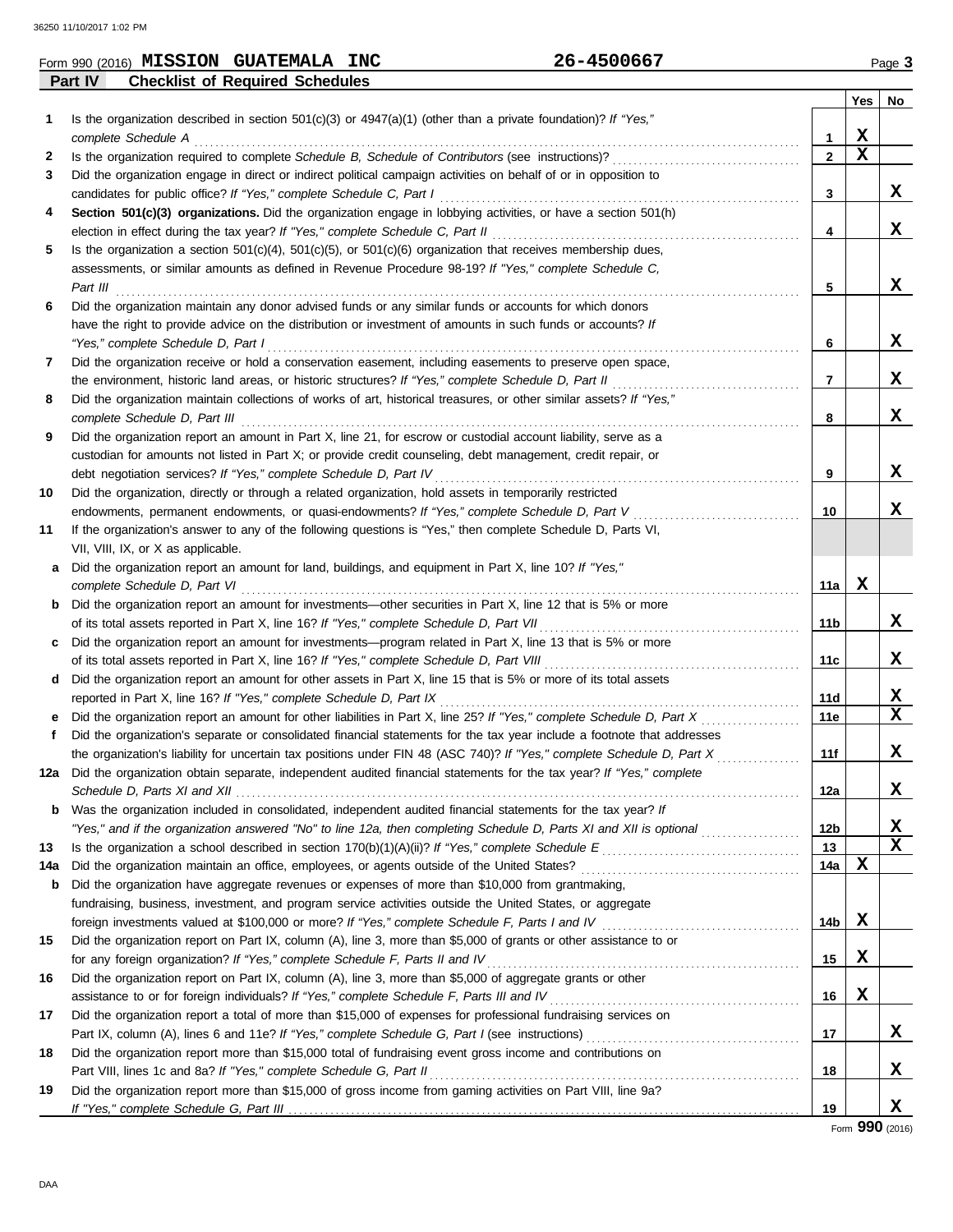|         | Form 990 (2016) MISSION GUATEMALA INC  | 26-4500667                                                                                                       |     | Page 3 |
|---------|----------------------------------------|------------------------------------------------------------------------------------------------------------------|-----|--------|
| Part IV | <b>Checklist of Required Schedules</b> |                                                                                                                  |     |        |
|         |                                        |                                                                                                                  | Yes | No     |
|         |                                        | Is the organization described in section $501(c)(3)$ or $4947(a)(1)$ (other than a private foundation)? If "Yes" |     |        |

| 1   | Is the organization described in section $501(c)(3)$ or $4947(a)(1)$ (other than a private foundation)? If "Yes,"       |                 |             |                         |
|-----|-------------------------------------------------------------------------------------------------------------------------|-----------------|-------------|-------------------------|
|     | complete Schedule A                                                                                                     | 1               | X           |                         |
| 2   | Is the organization required to complete Schedule B, Schedule of Contributors (see instructions)?                       | $\mathbf{2}$    | $\mathbf x$ |                         |
| 3   | Did the organization engage in direct or indirect political campaign activities on behalf of or in opposition to        |                 |             |                         |
|     | candidates for public office? If "Yes," complete Schedule C, Part I                                                     | 3               |             | X.                      |
| 4   | Section 501(c)(3) organizations. Did the organization engage in lobbying activities, or have a section 501(h)           |                 |             |                         |
|     | election in effect during the tax year? If "Yes," complete Schedule C, Part II                                          | 4               |             | X,                      |
| 5   | Is the organization a section $501(c)(4)$ , $501(c)(5)$ , or $501(c)(6)$ organization that receives membership dues,    |                 |             |                         |
|     | assessments, or similar amounts as defined in Revenue Procedure 98-19? If "Yes," complete Schedule C,<br>Part III       | 5               |             | X.                      |
| 6   | Did the organization maintain any donor advised funds or any similar funds or accounts for which donors                 |                 |             |                         |
|     | have the right to provide advice on the distribution or investment of amounts in such funds or accounts? If             |                 |             |                         |
|     | "Yes," complete Schedule D, Part I                                                                                      | 6               |             | X.                      |
| 7   | Did the organization receive or hold a conservation easement, including easements to preserve open space,               |                 |             |                         |
|     | the environment, historic land areas, or historic structures? If "Yes," complete Schedule D, Part II                    | 7               |             | X.                      |
| 8   | Did the organization maintain collections of works of art, historical treasures, or other similar assets? If "Yes,"     |                 |             |                         |
|     | complete Schedule D, Part III                                                                                           | 8               |             | x                       |
| 9   | Did the organization report an amount in Part X, line 21, for escrow or custodial account liability, serve as a         |                 |             |                         |
|     | custodian for amounts not listed in Part X; or provide credit counseling, debt management, credit repair, or            |                 |             |                         |
|     | debt negotiation services? If "Yes," complete Schedule D, Part IV                                                       | 9               |             | X.                      |
| 10  | Did the organization, directly or through a related organization, hold assets in temporarily restricted                 |                 |             |                         |
|     | endowments, permanent endowments, or quasi-endowments? If "Yes," complete Schedule D, Part V                            | 10              |             | x                       |
| 11  | If the organization's answer to any of the following questions is "Yes," then complete Schedule D, Parts VI,            |                 |             |                         |
|     | VII, VIII, IX, or X as applicable.                                                                                      |                 |             |                         |
| a   | Did the organization report an amount for land, buildings, and equipment in Part X, line 10? If "Yes,"                  |                 |             |                         |
|     | complete Schedule D, Part VI                                                                                            | 11a             | X           |                         |
| b   | Did the organization report an amount for investments—other securities in Part X, line 12 that is 5% or more            |                 |             |                         |
|     | of its total assets reported in Part X, line 16? If "Yes," complete Schedule D, Part VII                                | 11 <sub>b</sub> |             | X.                      |
| c   | Did the organization report an amount for investments—program related in Part X, line 13 that is 5% or more             |                 |             |                         |
|     |                                                                                                                         | 11c             |             | x                       |
| d   | Did the organization report an amount for other assets in Part X, line 15 that is 5% or more of its total assets        |                 |             |                         |
|     | reported in Part X, line 16? If "Yes," complete Schedule D, Part IX                                                     | 11d             |             | X,                      |
| е   | Did the organization report an amount for other liabilities in Part X, line 25? If "Yes," complete Schedule D, Part X   | 11e             |             | $\overline{\mathbf{x}}$ |
| f   | Did the organization's separate or consolidated financial statements for the tax year include a footnote that addresses |                 |             |                         |
|     | the organization's liability for uncertain tax positions under FIN 48 (ASC 740)? If "Yes," complete Schedule D, Part X  | 11f             |             | X.                      |
| 12a | Did the organization obtain separate, independent audited financial statements for the tax year? If "Yes," complete     |                 |             |                         |
|     |                                                                                                                         | 12a             |             | X                       |
| b   | Was the organization included in consolidated, independent audited financial statements for the tax year? If            |                 |             |                         |
|     | "Yes," and if the organization answered "No" to line 12a, then completing Schedule D, Parts XI and XII is optional      | 12 <sub>b</sub> |             | X                       |
| 13  |                                                                                                                         | 13              |             | $\overline{\mathbf{x}}$ |
| 14a | Did the organization maintain an office, employees, or agents outside of the United States?                             | 14a             | X           |                         |
| b   | Did the organization have aggregate revenues or expenses of more than \$10,000 from grantmaking,                        |                 |             |                         |
|     | fundraising, business, investment, and program service activities outside the United States, or aggregate               |                 | X           |                         |
|     | Did the organization report on Part IX, column (A), line 3, more than \$5,000 of grants or other assistance to or       | 14b             |             |                         |
| 15  | for any foreign organization? If "Yes," complete Schedule F, Parts II and IV                                            | 15              | X           |                         |
| 16  | Did the organization report on Part IX, column (A), line 3, more than \$5,000 of aggregate grants or other              |                 |             |                         |
|     | assistance to or for foreign individuals? If "Yes," complete Schedule F, Parts III and IV                               | 16              | х           |                         |
| 17  | Did the organization report a total of more than \$15,000 of expenses for professional fundraising services on          |                 |             |                         |
|     |                                                                                                                         | 17              |             | X.                      |
| 18  | Did the organization report more than \$15,000 total of fundraising event gross income and contributions on             |                 |             |                         |
|     | Part VIII, lines 1c and 8a? If "Yes," complete Schedule G, Part II                                                      | 18              |             | X.                      |
| 19  | Did the organization report more than \$15,000 of gross income from gaming activities on Part VIII, line 9a?            |                 |             |                         |
|     |                                                                                                                         | 19              |             | X.                      |

Form **990** (2016)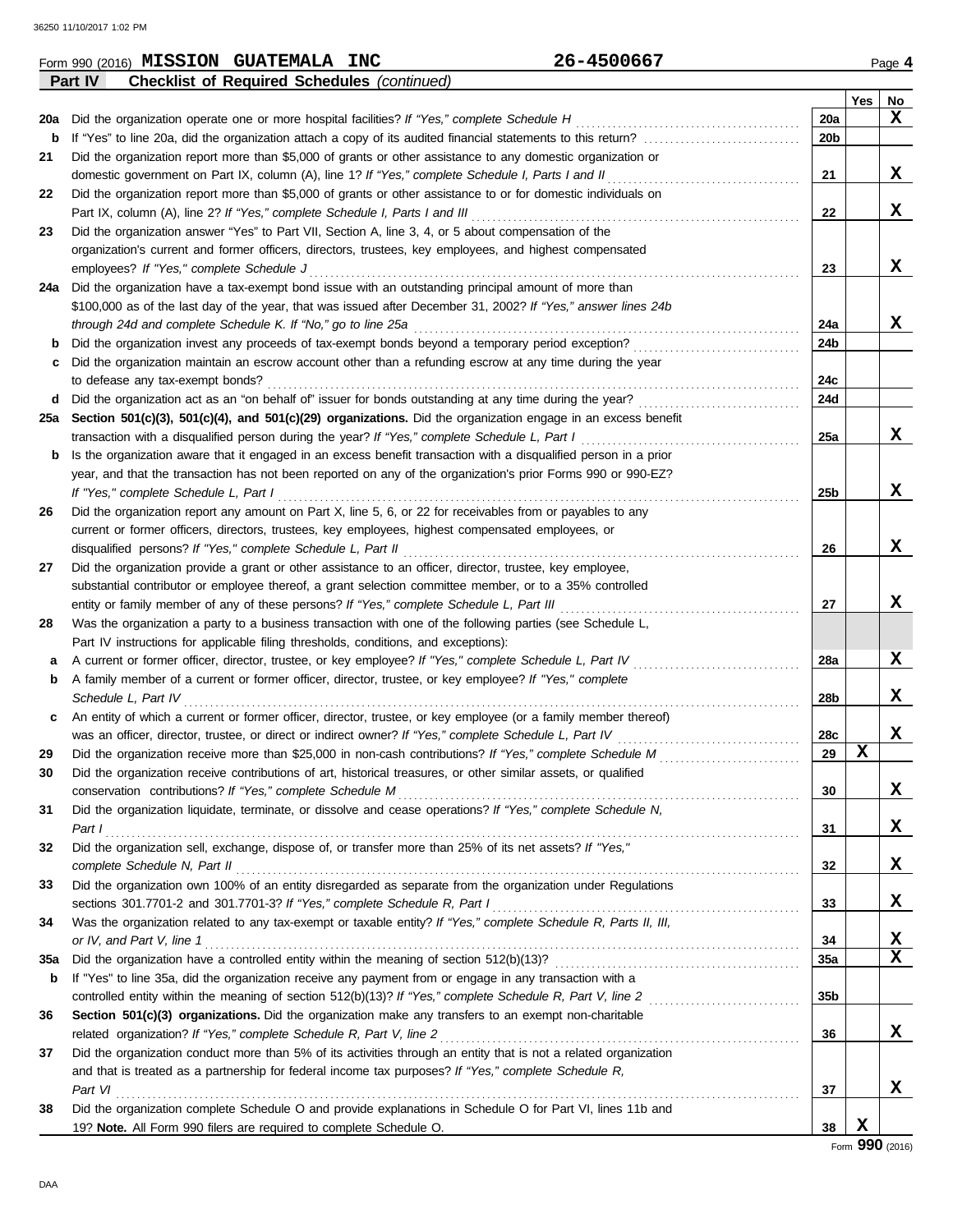|     | 26-4500667<br>Form 990 (2016) MISSION GUATEMALA INC                                                              |                 |             | Page 4      |
|-----|------------------------------------------------------------------------------------------------------------------|-----------------|-------------|-------------|
|     | <b>Checklist of Required Schedules (continued)</b><br>Part IV                                                    |                 |             |             |
|     |                                                                                                                  |                 | Yes         | No          |
|     | 20a Did the organization operate one or more hospital facilities? If "Yes," complete Schedule H                  | 20a             |             | X           |
| b   | If "Yes" to line 20a, did the organization attach a copy of its audited financial statements to this return?     | 20b             |             |             |
| 21  | Did the organization report more than \$5,000 of grants or other assistance to any domestic organization or      |                 |             |             |
|     | domestic government on Part IX, column (A), line 1? If "Yes," complete Schedule I, Parts I and II                | 21              |             | X           |
| 22  | Did the organization report more than \$5,000 of grants or other assistance to or for domestic individuals on    |                 |             |             |
|     | Part IX, column (A), line 2? If "Yes," complete Schedule I, Parts I and III                                      | 22              |             | X           |
| 23  | Did the organization answer "Yes" to Part VII, Section A, line 3, 4, or 5 about compensation of the              |                 |             |             |
|     | organization's current and former officers, directors, trustees, key employees, and highest compensated          |                 |             |             |
|     | employees? If "Yes," complete Schedule J                                                                         | 23              |             | X           |
|     | 24a Did the organization have a tax-exempt bond issue with an outstanding principal amount of more than          |                 |             |             |
|     | \$100,000 as of the last day of the year, that was issued after December 31, 2002? If "Yes," answer lines 24b    |                 |             |             |
|     |                                                                                                                  |                 |             | X           |
|     | through 24d and complete Schedule K. If "No," go to line 25a                                                     | 24a             |             |             |
| b   | Did the organization invest any proceeds of tax-exempt bonds beyond a temporary period exception?                | 24b             |             |             |
| c   | Did the organization maintain an escrow account other than a refunding escrow at any time during the year        |                 |             |             |
|     | to defease any tax-exempt bonds?                                                                                 | 24c             |             |             |
|     | d Did the organization act as an "on behalf of" issuer for bonds outstanding at any time during the year?<br>.   | 24d             |             |             |
|     | 25a Section 501(c)(3), 501(c)(4), and 501(c)(29) organizations. Did the organization engage in an excess benefit |                 |             |             |
|     | transaction with a disqualified person during the year? If "Yes," complete Schedule L, Part I                    | 25a             |             | x           |
| b   | Is the organization aware that it engaged in an excess benefit transaction with a disqualified person in a prior |                 |             |             |
|     | year, and that the transaction has not been reported on any of the organization's prior Forms 990 or 990-EZ?     |                 |             |             |
|     | If "Yes," complete Schedule L, Part I                                                                            | 25b             |             | X           |
| 26  | Did the organization report any amount on Part X, line 5, 6, or 22 for receivables from or payables to any       |                 |             |             |
|     | current or former officers, directors, trustees, key employees, highest compensated employees, or                |                 |             |             |
|     | disqualified persons? If "Yes," complete Schedule L, Part II                                                     | 26              |             | X           |
| 27  | Did the organization provide a grant or other assistance to an officer, director, trustee, key employee,         |                 |             |             |
|     | substantial contributor or employee thereof, a grant selection committee member, or to a 35% controlled          |                 |             |             |
|     | entity or family member of any of these persons? If "Yes," complete Schedule L, Part III                         | 27              |             | x           |
| 28  | Was the organization a party to a business transaction with one of the following parties (see Schedule L,        |                 |             |             |
|     | Part IV instructions for applicable filing thresholds, conditions, and exceptions):                              |                 |             |             |
|     |                                                                                                                  | 28a             |             | X           |
| а   | A current or former officer, director, trustee, or key employee? If "Yes," complete Schedule L, Part IV          |                 |             |             |
| b   | A family member of a current or former officer, director, trustee, or key employee? If "Yes," complete           |                 |             |             |
|     | Schedule L. Part IV                                                                                              | 28b             |             | x           |
| c   | An entity of which a current or former officer, director, trustee, or key employee (or a family member thereof)  |                 |             |             |
|     | was an officer, director, trustee, or direct or indirect owner? If "Yes," complete Schedule L, Part IV           | 28c             |             | X           |
|     |                                                                                                                  | 29              | X           |             |
| 30  | Did the organization receive contributions of art, historical treasures, or other similar assets, or qualified   |                 |             |             |
|     | conservation contributions? If "Yes," complete Schedule M                                                        | 30              |             | X           |
| 31  | Did the organization liquidate, terminate, or dissolve and cease operations? If "Yes," complete Schedule N,      |                 |             |             |
|     | Part I                                                                                                           | 31              |             | X           |
| 32  | Did the organization sell, exchange, dispose of, or transfer more than 25% of its net assets? If "Yes,"          |                 |             |             |
|     | complete Schedule N, Part II                                                                                     | 32              |             | X           |
| 33  | Did the organization own 100% of an entity disregarded as separate from the organization under Regulations       |                 |             |             |
|     | sections 301.7701-2 and 301.7701-3? If "Yes," complete Schedule R, Part I                                        | 33              |             | X           |
| 34  | Was the organization related to any tax-exempt or taxable entity? If "Yes," complete Schedule R, Parts II, III,  |                 |             |             |
|     | or IV, and Part V, line 1                                                                                        | 34              |             | X           |
| 35a |                                                                                                                  | 35a             |             | $\mathbf x$ |
|     |                                                                                                                  |                 |             |             |
| b   | If "Yes" to line 35a, did the organization receive any payment from or engage in any transaction with a          |                 |             |             |
|     | controlled entity within the meaning of section 512(b)(13)? If "Yes," complete Schedule R, Part V, line 2        | 35 <sub>b</sub> |             |             |
| 36  | Section 501(c)(3) organizations. Did the organization make any transfers to an exempt non-charitable             |                 |             |             |
|     | related organization? If "Yes," complete Schedule R, Part V, line 2                                              | 36              |             | X           |
| 37  | Did the organization conduct more than 5% of its activities through an entity that is not a related organization |                 |             |             |
|     | and that is treated as a partnership for federal income tax purposes? If "Yes," complete Schedule R,             |                 |             |             |
|     | Part VI                                                                                                          | 37              |             | x           |
| 38  | Did the organization complete Schedule O and provide explanations in Schedule O for Part VI, lines 11b and       |                 |             |             |
|     | 19? Note. All Form 990 filers are required to complete Schedule O.                                               | 38              | $\mathbf x$ |             |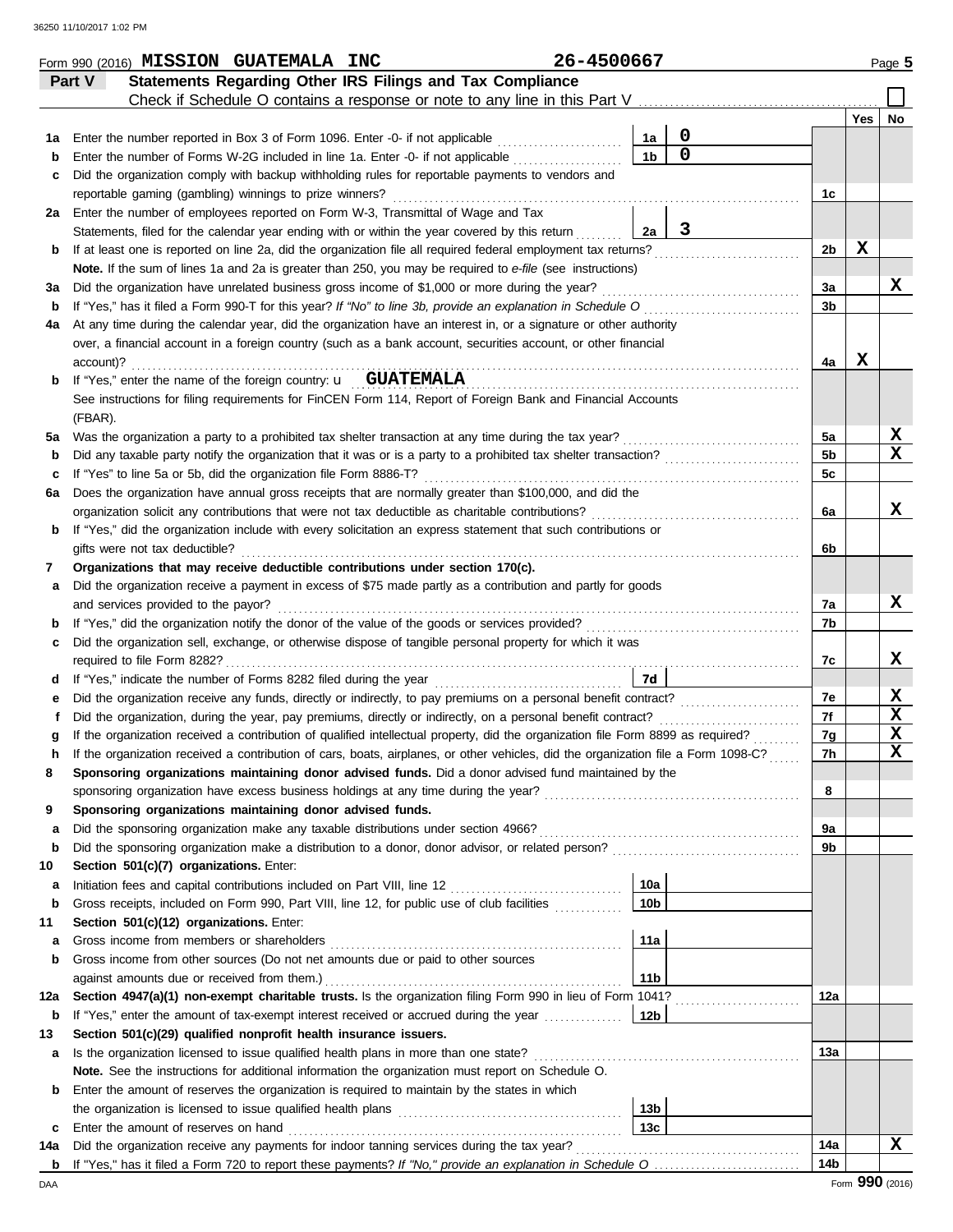|        | Form 990 (2016) MISSION GUATEMALA INC                                                                                                              |  |  | 26-4500667 |                 |                               |                |     | Page 5                  |
|--------|----------------------------------------------------------------------------------------------------------------------------------------------------|--|--|------------|-----------------|-------------------------------|----------------|-----|-------------------------|
|        | Statements Regarding Other IRS Filings and Tax Compliance<br>Part V                                                                                |  |  |            |                 |                               |                |     |                         |
|        | Check if Schedule O contains a response or note to any line in this Part V                                                                         |  |  |            |                 |                               |                |     |                         |
|        |                                                                                                                                                    |  |  |            |                 |                               |                | Yes | No                      |
| 1а     | Enter the number reported in Box 3 of Form 1096. Enter -0- if not applicable                                                                       |  |  |            | 1a              | $\mathbf 0$<br>$\overline{0}$ |                |     |                         |
| b      | Enter the number of Forms W-2G included in line 1a. Enter -0- if not applicable                                                                    |  |  |            | 1 <sub>b</sub>  |                               |                |     |                         |
| с      | Did the organization comply with backup withholding rules for reportable payments to vendors and                                                   |  |  |            |                 |                               |                |     |                         |
|        | reportable gaming (gambling) winnings to prize winners?<br>2a Enter the number of employees reported on Form W-3, Transmittal of Wage and Tax      |  |  |            |                 |                               | 1c             |     |                         |
|        | Statements, filed for the calendar year ending with or within the year covered by this return                                                      |  |  |            | 2a              | 3                             |                |     |                         |
| b      | If at least one is reported on line 2a, did the organization file all required federal employment tax returns?                                     |  |  |            |                 |                               | 2b             | X   |                         |
|        | Note. If the sum of lines 1a and 2a is greater than 250, you may be required to e-file (see instructions)                                          |  |  |            |                 |                               |                |     |                         |
| За     | Did the organization have unrelated business gross income of \$1,000 or more during the year?                                                      |  |  |            |                 |                               | За             |     | X                       |
| b      | If "Yes," has it filed a Form 990-T for this year? If "No" to line 3b, provide an explanation in Schedule O                                        |  |  |            |                 |                               | 3b             |     |                         |
| 4a     | At any time during the calendar year, did the organization have an interest in, or a signature or other authority                                  |  |  |            |                 |                               |                |     |                         |
|        | over, a financial account in a foreign country (such as a bank account, securities account, or other financial                                     |  |  |            |                 |                               |                |     |                         |
|        | account)?                                                                                                                                          |  |  |            |                 |                               | 4a             | X   |                         |
| b      | If "Yes," enter the name of the foreign country: <b>u</b> GUATEMALA                                                                                |  |  |            |                 |                               |                |     |                         |
|        | See instructions for filing requirements for FinCEN Form 114, Report of Foreign Bank and Financial Accounts                                        |  |  |            |                 |                               |                |     |                         |
|        | (FBAR).                                                                                                                                            |  |  |            |                 |                               |                |     |                         |
| 5a     | Was the organization a party to a prohibited tax shelter transaction at any time during the tax year?                                              |  |  |            |                 |                               | 5a             |     | X                       |
| b      | Did any taxable party notify the organization that it was or is a party to a prohibited tax shelter transaction?                                   |  |  |            |                 |                               | 5 <sub>b</sub> |     | $\mathbf x$             |
| с      | If "Yes" to line 5a or 5b, did the organization file Form 8886-T?                                                                                  |  |  |            |                 |                               | 5c             |     |                         |
| 6а     | Does the organization have annual gross receipts that are normally greater than \$100,000, and did the                                             |  |  |            |                 |                               |                |     |                         |
|        | organization solicit any contributions that were not tax deductible as charitable contributions?                                                   |  |  |            |                 |                               | 6a             |     | x                       |
| b      | If "Yes," did the organization include with every solicitation an express statement that such contributions or                                     |  |  |            |                 |                               |                |     |                         |
|        | gifts were not tax deductible?                                                                                                                     |  |  |            |                 |                               | 6b             |     |                         |
| 7      | Organizations that may receive deductible contributions under section 170(c).                                                                      |  |  |            |                 |                               |                |     |                         |
| а      | Did the organization receive a payment in excess of \$75 made partly as a contribution and partly for goods<br>and services provided to the payor? |  |  |            |                 |                               | 7a             |     | x                       |
| b      | If "Yes," did the organization notify the donor of the value of the goods or services provided?                                                    |  |  |            |                 |                               | 7b             |     |                         |
| с      | Did the organization sell, exchange, or otherwise dispose of tangible personal property for which it was                                           |  |  |            |                 |                               |                |     |                         |
|        | required to file Form 8282?                                                                                                                        |  |  |            |                 |                               | 7c             |     | x                       |
| d      |                                                                                                                                                    |  |  |            | 7d              |                               |                |     |                         |
| е      | Did the organization receive any funds, directly or indirectly, to pay premiums on a personal benefit contract?                                    |  |  |            |                 |                               | 7e             |     | X                       |
|        | Did the organization, during the year, pay premiums, directly or indirectly, on a personal benefit contract?                                       |  |  |            |                 |                               | 7f             |     | X                       |
|        | If the organization received a contribution of qualified intellectual property, did the organization file Form 8899 as required?                   |  |  |            |                 |                               | 7g             |     | $\mathbf x$             |
|        | If the organization received a contribution of cars, boats, airplanes, or other vehicles, did the organization file a Form 1098-C?                 |  |  |            |                 |                               | 7h             |     | $\overline{\textbf{x}}$ |
| 8      | Sponsoring organizations maintaining donor advised funds. Did a donor advised fund maintained by the                                               |  |  |            |                 |                               |                |     |                         |
|        |                                                                                                                                                    |  |  |            |                 |                               | 8              |     |                         |
| 9      | Sponsoring organizations maintaining donor advised funds.                                                                                          |  |  |            |                 |                               |                |     |                         |
| а      |                                                                                                                                                    |  |  |            |                 |                               | 9a             |     |                         |
| b      | Did the sponsoring organization make a distribution to a donor, donor advisor, or related person?                                                  |  |  |            |                 |                               | 9b             |     |                         |
| 10     | Section 501(c)(7) organizations. Enter:                                                                                                            |  |  |            |                 |                               |                |     |                         |
| а      | Initiation fees and capital contributions included on Part VIII, line 12 [11] [11] [11] [12] [11] [12] [11] [1                                     |  |  |            | 10a             |                               |                |     |                         |
| b      | Gross receipts, included on Form 990, Part VIII, line 12, for public use of club facilities                                                        |  |  |            | 10 <sub>b</sub> |                               |                |     |                         |
| 11     | Section 501(c)(12) organizations. Enter:<br>Gross income from members or shareholders                                                              |  |  |            | 11a             |                               |                |     |                         |
| а<br>b | Gross income from other sources (Do not net amounts due or paid to other sources                                                                   |  |  |            |                 |                               |                |     |                         |
|        | against amounts due or received from them.)                                                                                                        |  |  |            | 11 <sub>b</sub> |                               |                |     |                         |
| 12a    | Section 4947(a)(1) non-exempt charitable trusts. Is the organization filing Form 990 in lieu of Form 1041?                                         |  |  |            |                 |                               | 12a            |     |                         |
| b      | If "Yes," enter the amount of tax-exempt interest received or accrued during the year                                                              |  |  |            | 12b             |                               |                |     |                         |
| 13     | Section 501(c)(29) qualified nonprofit health insurance issuers.                                                                                   |  |  |            |                 |                               |                |     |                         |
| а      | Is the organization licensed to issue qualified health plans in more than one state?                                                               |  |  |            |                 |                               | 13а            |     |                         |
|        | Note. See the instructions for additional information the organization must report on Schedule O.                                                  |  |  |            |                 |                               |                |     |                         |
| b      | Enter the amount of reserves the organization is required to maintain by the states in which                                                       |  |  |            |                 |                               |                |     |                         |
|        |                                                                                                                                                    |  |  |            | 13 <sub>b</sub> |                               |                |     |                         |
| c      | Enter the amount of reserves on hand                                                                                                               |  |  |            | 13 <sub>c</sub> |                               |                |     |                         |
| 14a    | Did the organization receive any payments for indoor tanning services during the tax year?                                                         |  |  |            |                 |                               | 14a            |     | x                       |
|        |                                                                                                                                                    |  |  |            |                 |                               | 14b            |     |                         |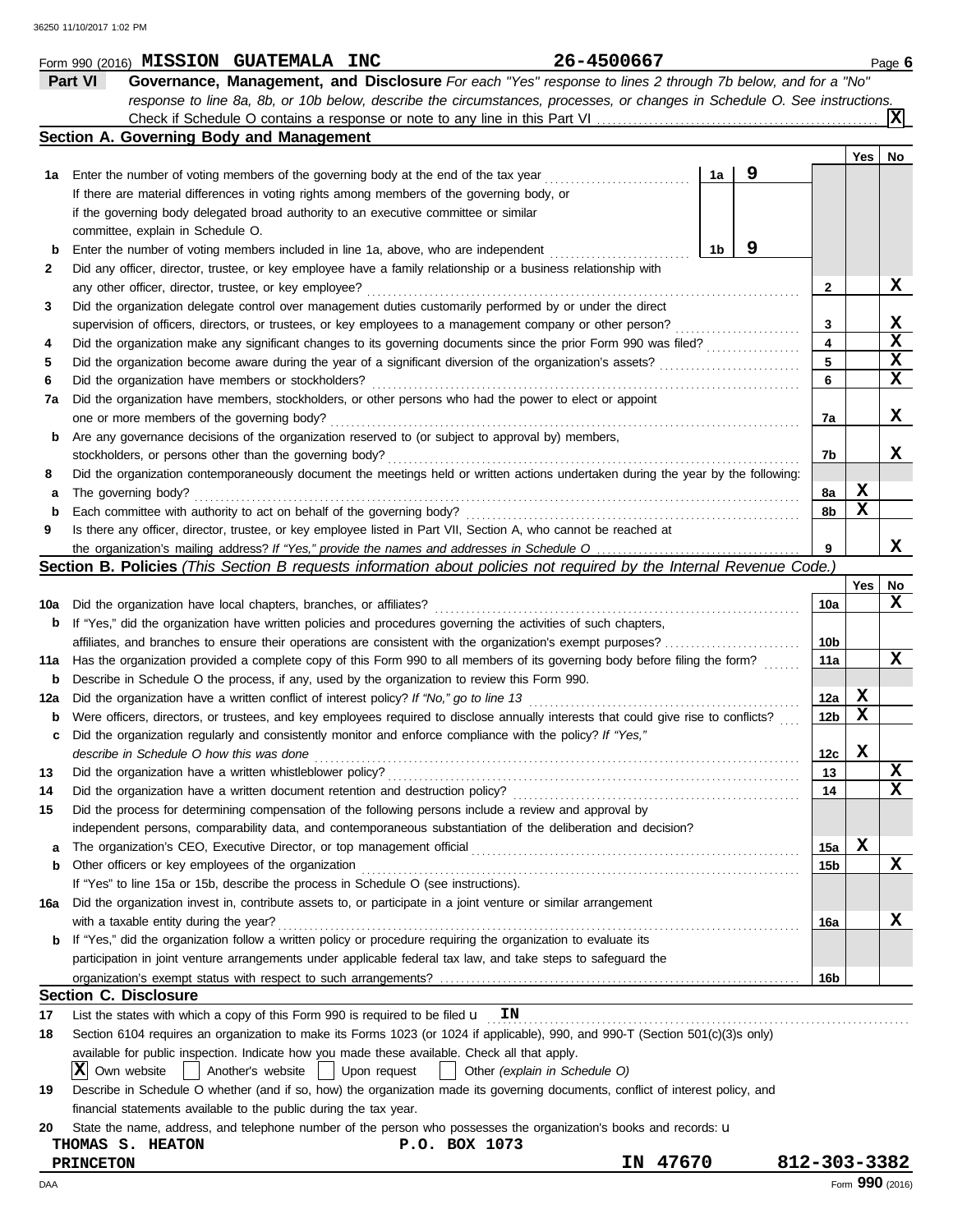|     | 26-4500667<br>Form 990 (2016) MISSION GUATEMALA INC                                                                                 |                 |             | Page 6          |
|-----|-------------------------------------------------------------------------------------------------------------------------------------|-----------------|-------------|-----------------|
|     | Part VI<br>Governance, Management, and Disclosure For each "Yes" response to lines 2 through 7b below, and for a "No"               |                 |             |                 |
|     | response to line 8a, 8b, or 10b below, describe the circumstances, processes, or changes in Schedule O. See instructions.           |                 |             |                 |
|     |                                                                                                                                     |                 |             | ΙXΙ             |
|     | Section A. Governing Body and Management                                                                                            |                 |             |                 |
|     |                                                                                                                                     |                 | Yes         | No              |
| 1а  | 9<br>1a<br>Enter the number of voting members of the governing body at the end of the tax year                                      |                 |             |                 |
|     | If there are material differences in voting rights among members of the governing body, or                                          |                 |             |                 |
|     | if the governing body delegated broad authority to an executive committee or similar                                                |                 |             |                 |
|     | committee, explain in Schedule O.                                                                                                   |                 |             |                 |
| b   | 9<br>1 <sub>b</sub><br>Enter the number of voting members included in line 1a, above, who are independent                           |                 |             |                 |
| 2   | Did any officer, director, trustee, or key employee have a family relationship or a business relationship with                      |                 |             |                 |
|     | any other officer, director, trustee, or key employee?                                                                              | $\mathbf{2}$    |             | X               |
| 3   | Did the organization delegate control over management duties customarily performed by or under the direct                           |                 |             |                 |
|     | supervision of officers, directors, or trustees, or key employees to a management company or other person?                          | 3               |             | х               |
| 4   | Did the organization make any significant changes to its governing documents since the prior Form 990 was filed?                    | 4               |             | X               |
| 5   | Did the organization become aware during the year of a significant diversion of the organization's assets?                          | 5               |             | X               |
| 6   | Did the organization have members or stockholders?                                                                                  | 6               |             | $\mathbf x$     |
| 7a  | Did the organization have members, stockholders, or other persons who had the power to elect or appoint                             |                 |             |                 |
|     | one or more members of the governing body?                                                                                          | 7a              |             | X               |
| b   | Are any governance decisions of the organization reserved to (or subject to approval by) members,                                   |                 |             |                 |
|     | stockholders, or persons other than the governing body?                                                                             | 7b              |             | x               |
| 8   | Did the organization contemporaneously document the meetings held or written actions undertaken during the year by the following:   |                 |             |                 |
|     | The governing body?                                                                                                                 | 8а              | X           |                 |
| а   | Each committee with authority to act on behalf of the governing body?                                                               | 8b              | $\mathbf x$ |                 |
| b   |                                                                                                                                     |                 |             |                 |
| 9   | Is there any officer, director, trustee, or key employee listed in Part VII, Section A, who cannot be reached at                    | 9               |             | x               |
|     | <b>Section B. Policies</b> (This Section B requests information about policies not required by the Internal Revenue Code.)          |                 |             |                 |
|     |                                                                                                                                     |                 |             |                 |
|     |                                                                                                                                     |                 | Yes         | No<br>X         |
| 10a | Did the organization have local chapters, branches, or affiliates?                                                                  | 10a             |             |                 |
| b   | If "Yes," did the organization have written policies and procedures governing the activities of such chapters,                      |                 |             |                 |
|     | affiliates, and branches to ensure their operations are consistent with the organization's exempt purposes?                         | 10 <sub>b</sub> |             | X               |
| 11a | Has the organization provided a complete copy of this Form 990 to all members of its governing body before filing the form?         | 11a             |             |                 |
| b   | Describe in Schedule O the process, if any, used by the organization to review this Form 990.                                       |                 |             |                 |
| 12a | Did the organization have a written conflict of interest policy? If "No," go to line 13                                             | 12a             | X           |                 |
| b   | Were officers, directors, or trustees, and key employees required to disclose annually interests that could give rise to conflicts? | 12 <sub>b</sub> | $\mathbf x$ |                 |
| c   | Did the organization regularly and consistently monitor and enforce compliance with the policy? If "Yes,"                           |                 |             |                 |
|     | describe in Schedule O how this was done                                                                                            | 12c             | $\mathbf x$ |                 |
| 13  | Did the organization have a written whistleblower policy?                                                                           | 13              |             | X               |
| 14  | Did the organization have a written document retention and destruction policy?                                                      | 14              |             | X               |
| 15  | Did the process for determining compensation of the following persons include a review and approval by                              |                 |             |                 |
|     | independent persons, comparability data, and contemporaneous substantiation of the deliberation and decision?                       |                 |             |                 |
| a   | The organization's CEO, Executive Director, or top management official                                                              | 15a             | X           |                 |
| b   | Other officers or key employees of the organization                                                                                 | 15b             |             | X               |
|     | If "Yes" to line 15a or 15b, describe the process in Schedule O (see instructions).                                                 |                 |             |                 |
| 16a | Did the organization invest in, contribute assets to, or participate in a joint venture or similar arrangement                      |                 |             |                 |
|     | with a taxable entity during the year?                                                                                              | 16a             |             | X               |
|     | If "Yes," did the organization follow a written policy or procedure requiring the organization to evaluate its                      |                 |             |                 |
|     | participation in joint venture arrangements under applicable federal tax law, and take steps to safeguard the                       |                 |             |                 |
|     |                                                                                                                                     | 16b             |             |                 |
|     | <b>Section C. Disclosure</b>                                                                                                        |                 |             |                 |
| 17  | List the states with which a copy of this Form 990 is required to be filed $\mathbf{u}$ $\mathbf{I}$ N                              |                 |             |                 |
| 18  | Section 6104 requires an organization to make its Forms 1023 (or 1024 if applicable), 990, and 990-T (Section 501(c)(3)s only)      |                 |             |                 |
|     | available for public inspection. Indicate how you made these available. Check all that apply.                                       |                 |             |                 |
|     | ΙXΙ<br>Own website<br>Another's website<br>Upon request<br>Other (explain in Schedule O)                                            |                 |             |                 |
| 19  | Describe in Schedule O whether (and if so, how) the organization made its governing documents, conflict of interest policy, and     |                 |             |                 |
|     | financial statements available to the public during the tax year.                                                                   |                 |             |                 |
| 20  | State the name, address, and telephone number of the person who possesses the organization's books and records: u                   |                 |             |                 |
|     | P.O. BOX 1073<br>THOMAS S. HEATON                                                                                                   |                 |             |                 |
|     | 47670<br>IΝ<br><b>PRINCETON</b>                                                                                                     | 812-303-3382    |             |                 |
| DAA |                                                                                                                                     |                 |             | Form 990 (2016) |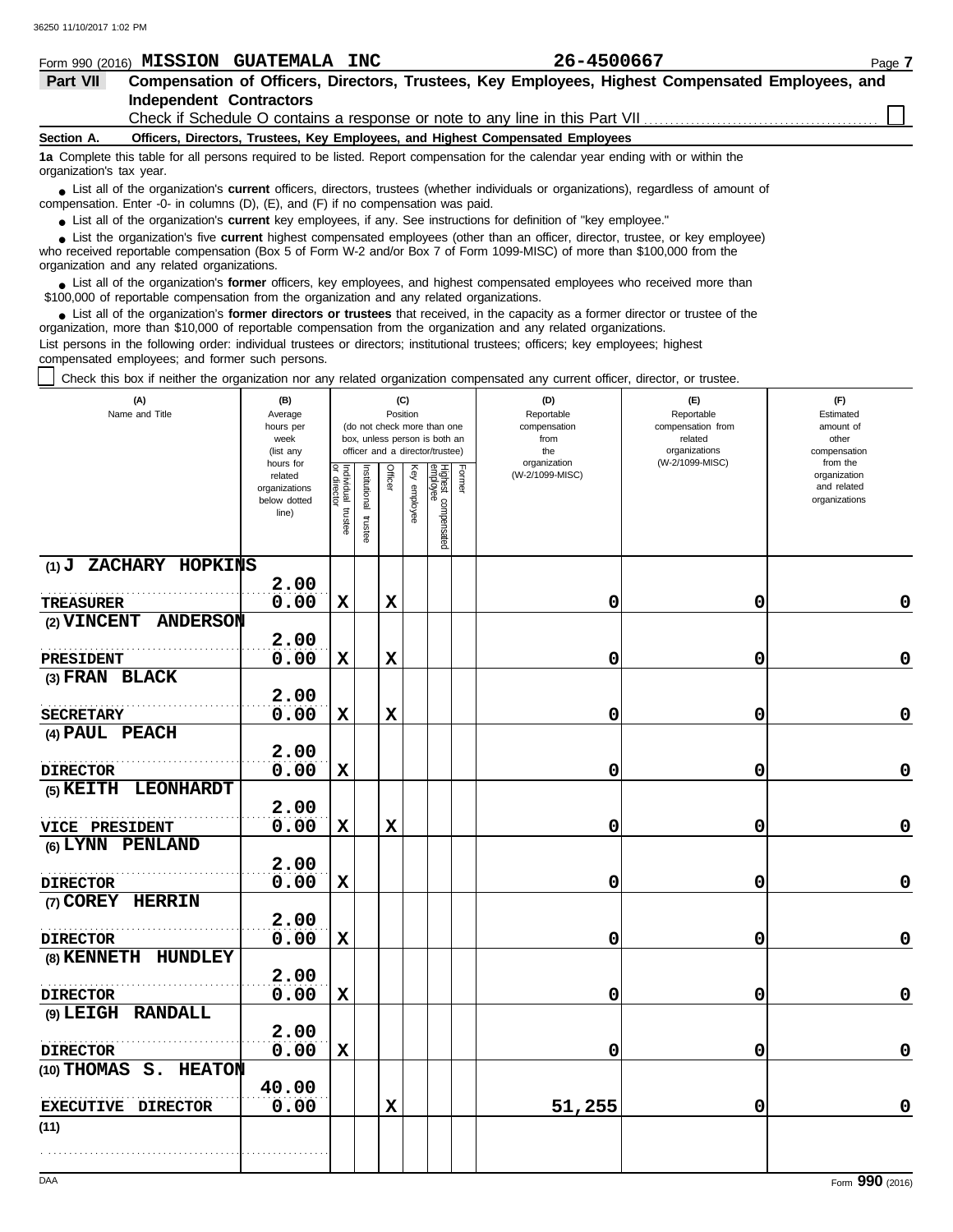|                          | Form 990 (2016) MISSION GUATEMALA INC                                             | 26-4500667                                                                                                                             | Page 7 |
|--------------------------|-----------------------------------------------------------------------------------|----------------------------------------------------------------------------------------------------------------------------------------|--------|
| Part VII                 |                                                                                   | Compensation of Officers, Directors, Trustees, Key Employees, Highest Compensated Employees, and                                       |        |
|                          | <b>Independent Contractors</b>                                                    |                                                                                                                                        |        |
|                          |                                                                                   |                                                                                                                                        |        |
| Section A.               | Officers, Directors, Trustees, Key Employees, and Highest Compensated Employees   |                                                                                                                                        |        |
| organization's tax year. |                                                                                   | 1a Complete this table for all persons required to be listed. Report compensation for the calendar year ending with or within the      |        |
|                          | compensation. Enter -0- in columns (D), (E), and (F) if no compensation was paid. | • List all of the organization's current officers, directors, trustees (whether individuals or organizations), regardless of amount of |        |

● List all of the organization's **current** key employees, if any. See instructions for definition of "key employee."

who received reportable compensation (Box 5 of Form W-2 and/or Box 7 of Form 1099-MISC) of more than \$100,000 from the organization and any related organizations. ■ List the organization's five **current** highest compensated employees (other than an officer, director, trustee, or key employee)<br> **•** Preceived reportable compensation (Box 5 of Form W.2 and/or Box 7 of Form 1000 MISC)

■ List all of the organization's **former** officers, key employees, and highest compensated employees who received more than<br> **•** 00,000 of reportable compensation from the ergonization and any related ergonizations \$100,000 of reportable compensation from the organization and any related organizations.

■ List all of the organization's **former directors or trustees** that received, in the capacity as a former director or trustee of the<br>paization, more than \$10,000 of reportable compensation from the organization and any r organization, more than \$10,000 of reportable compensation from the organization and any related organizations. List persons in the following order: individual trustees or directors; institutional trustees; officers; key employees; highest

compensated employees; and former such persons.

Check this box if neither the organization nor any related organization compensated any current officer, director, or trustee.

| (A)<br>Name and Title                          | (B)<br>Average<br>hours per<br>week<br>(list any<br>hours for |                                   |                         | (C)<br>Position |              | (do not check more than one<br>box, unless person is both an<br>officer and a director/trustee) |        | (D)<br>Reportable<br>compensation<br>from<br>the<br>organization | (E)<br>Reportable<br>compensation from<br>related<br>organizations<br>(W-2/1099-MISC) | (F)<br>Estimated<br>amount of<br>other<br>compensation<br>from the |
|------------------------------------------------|---------------------------------------------------------------|-----------------------------------|-------------------------|-----------------|--------------|-------------------------------------------------------------------------------------------------|--------|------------------------------------------------------------------|---------------------------------------------------------------------------------------|--------------------------------------------------------------------|
|                                                | related<br>organizations<br>below dotted<br>line)             | Individual trustee<br>or director | nstitutional<br>trustee | Officer         | Key employee | Highest compensated<br>employee                                                                 | Former | (W-2/1099-MISC)                                                  |                                                                                       | organization<br>and related<br>organizations                       |
| $(1)$ J ZACHARY HOPKINS                        |                                                               |                                   |                         |                 |              |                                                                                                 |        |                                                                  |                                                                                       |                                                                    |
| <b>TREASURER</b>                               | 2.00<br>0.00                                                  | $\mathbf x$                       |                         | $\mathbf x$     |              |                                                                                                 |        | 0                                                                | 0                                                                                     | 0                                                                  |
| (2) VINCENT<br><b>ANDERSON</b>                 |                                                               |                                   |                         |                 |              |                                                                                                 |        |                                                                  |                                                                                       |                                                                    |
|                                                | 2.00                                                          |                                   |                         |                 |              |                                                                                                 |        |                                                                  |                                                                                       |                                                                    |
| <b>PRESIDENT</b>                               | 0.00                                                          | $\mathbf x$                       |                         | $\mathbf x$     |              |                                                                                                 |        | 0                                                                | 0                                                                                     | 0                                                                  |
| (3) FRAN BLACK                                 |                                                               |                                   |                         |                 |              |                                                                                                 |        |                                                                  |                                                                                       |                                                                    |
|                                                | 2.00                                                          |                                   |                         |                 |              |                                                                                                 |        |                                                                  |                                                                                       |                                                                    |
| <b>SECRETARY</b><br>(4) PAUL PEACH             | 0.00                                                          | X                                 |                         | X               |              |                                                                                                 |        | 0                                                                | 0                                                                                     | 0                                                                  |
|                                                | 2.00                                                          |                                   |                         |                 |              |                                                                                                 |        |                                                                  |                                                                                       |                                                                    |
| <b>DIRECTOR</b>                                | 0.00                                                          | $\mathbf x$                       |                         |                 |              |                                                                                                 |        | 0                                                                | 0                                                                                     | $\mathbf 0$                                                        |
| (5) KEITH LEONHARDT                            |                                                               |                                   |                         |                 |              |                                                                                                 |        |                                                                  |                                                                                       |                                                                    |
|                                                | 2.00                                                          |                                   |                         |                 |              |                                                                                                 |        |                                                                  |                                                                                       |                                                                    |
| <b>VICE PRESIDENT</b>                          | 0.00                                                          | $\mathbf x$                       |                         | $\mathbf x$     |              |                                                                                                 |        | 0                                                                | 0                                                                                     | $\mathbf 0$                                                        |
| (6) LYNN PENLAND                               |                                                               |                                   |                         |                 |              |                                                                                                 |        |                                                                  |                                                                                       |                                                                    |
|                                                | 2.00                                                          |                                   |                         |                 |              |                                                                                                 |        |                                                                  |                                                                                       |                                                                    |
| <b>DIRECTOR</b>                                | 0.00                                                          | X                                 |                         |                 |              |                                                                                                 |        | 0                                                                | 0                                                                                     | 0                                                                  |
| (7) COREY HERRIN                               |                                                               |                                   |                         |                 |              |                                                                                                 |        |                                                                  |                                                                                       |                                                                    |
| <b>DIRECTOR</b>                                | 2.00<br>0.00                                                  | $\mathbf x$                       |                         |                 |              |                                                                                                 |        | 0                                                                | 0                                                                                     | $\mathbf 0$                                                        |
| (8) KENNETH HUNDLEY                            |                                                               |                                   |                         |                 |              |                                                                                                 |        |                                                                  |                                                                                       |                                                                    |
|                                                | 2.00                                                          |                                   |                         |                 |              |                                                                                                 |        |                                                                  |                                                                                       |                                                                    |
| <b>DIRECTOR</b>                                | 0.00                                                          | $\mathbf x$                       |                         |                 |              |                                                                                                 |        | 0                                                                | 0                                                                                     | $\mathbf 0$                                                        |
| (9) LEIGH RANDALL                              |                                                               |                                   |                         |                 |              |                                                                                                 |        |                                                                  |                                                                                       |                                                                    |
|                                                | 2.00                                                          |                                   |                         |                 |              |                                                                                                 |        |                                                                  |                                                                                       |                                                                    |
| <b>DIRECTOR</b>                                | 0.00                                                          | $\mathbf x$                       |                         |                 |              |                                                                                                 |        | 0                                                                | 0                                                                                     | 0                                                                  |
| (10) THOMAS<br>S <sub>1</sub><br><b>HEATON</b> |                                                               |                                   |                         |                 |              |                                                                                                 |        |                                                                  |                                                                                       |                                                                    |
|                                                | 40.00                                                         |                                   |                         |                 |              |                                                                                                 |        |                                                                  |                                                                                       |                                                                    |
| <b>DIRECTOR</b><br><b>EXECUTIVE</b>            | 0.00                                                          |                                   |                         | X               |              |                                                                                                 |        | 51,255                                                           | 0                                                                                     | 0                                                                  |
| (11)                                           |                                                               |                                   |                         |                 |              |                                                                                                 |        |                                                                  |                                                                                       |                                                                    |
|                                                |                                                               |                                   |                         |                 |              |                                                                                                 |        |                                                                  |                                                                                       |                                                                    |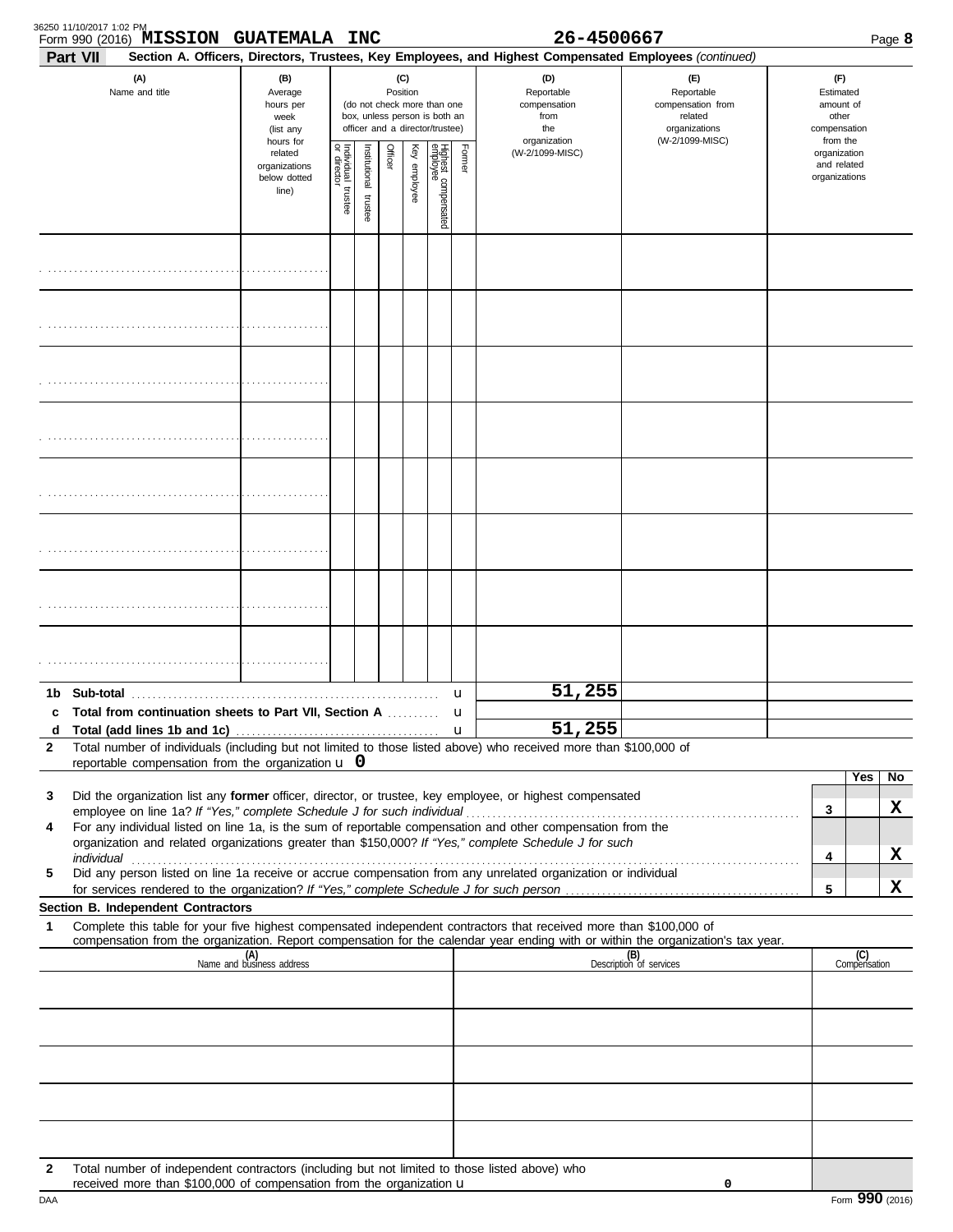|              | 36250 11/10/2017 1:02 PM<br>Form 990 (2016) MISSION GUATEMALA INC                                                                                                                                                                                                                                                                                                                                                                                      |                                                                |                         |                       |         |                 |                                                                                                 |        | 26-4500667                                                                                                                                                 |                                                                    |                                                          | Page 8                       |
|--------------|--------------------------------------------------------------------------------------------------------------------------------------------------------------------------------------------------------------------------------------------------------------------------------------------------------------------------------------------------------------------------------------------------------------------------------------------------------|----------------------------------------------------------------|-------------------------|-----------------------|---------|-----------------|-------------------------------------------------------------------------------------------------|--------|------------------------------------------------------------------------------------------------------------------------------------------------------------|--------------------------------------------------------------------|----------------------------------------------------------|------------------------------|
|              | Part VII<br>(A)<br>Name and title                                                                                                                                                                                                                                                                                                                                                                                                                      | (B)<br>Average<br>hours per<br>week<br>(list any               |                         |                       |         | (C)<br>Position | (do not check more than one<br>box, unless person is both an<br>officer and a director/trustee) |        | Section A. Officers, Directors, Trustees, Key Employees, and Highest Compensated Employees (continued)<br>(D)<br>Reportable<br>compensation<br>from<br>the | (E)<br>Reportable<br>compensation from<br>related<br>organizations | (F)<br>Estimated<br>amount of<br>other<br>compensation   |                              |
|              |                                                                                                                                                                                                                                                                                                                                                                                                                                                        | hours for<br>related<br>organizations<br>below dotted<br>line) | Individual 1<br>trustee | Institutional trustee | Officer | Ķey<br>employee | Highest compensated<br>employee                                                                 | Former | organization<br>(W-2/1099-MISC)                                                                                                                            | (W-2/1099-MISC)                                                    | from the<br>organization<br>and related<br>organizations |                              |
|              |                                                                                                                                                                                                                                                                                                                                                                                                                                                        |                                                                |                         |                       |         |                 |                                                                                                 |        |                                                                                                                                                            |                                                                    |                                                          |                              |
|              |                                                                                                                                                                                                                                                                                                                                                                                                                                                        |                                                                |                         |                       |         |                 |                                                                                                 |        |                                                                                                                                                            |                                                                    |                                                          |                              |
|              |                                                                                                                                                                                                                                                                                                                                                                                                                                                        |                                                                |                         |                       |         |                 |                                                                                                 |        |                                                                                                                                                            |                                                                    |                                                          |                              |
|              |                                                                                                                                                                                                                                                                                                                                                                                                                                                        |                                                                |                         |                       |         |                 |                                                                                                 |        |                                                                                                                                                            |                                                                    |                                                          |                              |
|              |                                                                                                                                                                                                                                                                                                                                                                                                                                                        |                                                                |                         |                       |         |                 |                                                                                                 |        |                                                                                                                                                            |                                                                    |                                                          |                              |
|              |                                                                                                                                                                                                                                                                                                                                                                                                                                                        |                                                                |                         |                       |         |                 |                                                                                                 |        |                                                                                                                                                            |                                                                    |                                                          |                              |
|              |                                                                                                                                                                                                                                                                                                                                                                                                                                                        |                                                                |                         |                       |         |                 |                                                                                                 |        |                                                                                                                                                            |                                                                    |                                                          |                              |
|              |                                                                                                                                                                                                                                                                                                                                                                                                                                                        |                                                                |                         |                       |         |                 |                                                                                                 |        | 51,255                                                                                                                                                     |                                                                    |                                                          |                              |
|              | Total from continuation sheets to Part VII, Section A                                                                                                                                                                                                                                                                                                                                                                                                  |                                                                |                         |                       |         |                 |                                                                                                 | u      |                                                                                                                                                            |                                                                    |                                                          |                              |
|              |                                                                                                                                                                                                                                                                                                                                                                                                                                                        |                                                                |                         |                       |         |                 |                                                                                                 |        | 51,255                                                                                                                                                     |                                                                    |                                                          |                              |
| $\mathbf{2}$ | Total number of individuals (including but not limited to those listed above) who received more than \$100,000 of<br>reportable compensation from the organization $\bf{u}$ 0                                                                                                                                                                                                                                                                          |                                                                |                         |                       |         |                 |                                                                                                 |        |                                                                                                                                                            |                                                                    |                                                          |                              |
| 3            | Did the organization list any former officer, director, or trustee, key employee, or highest compensated                                                                                                                                                                                                                                                                                                                                               |                                                                |                         |                       |         |                 |                                                                                                 |        |                                                                                                                                                            |                                                                    | 3                                                        | $\overline{N}$ o<br>Yes<br>X |
| 4            | For any individual listed on line 1a, is the sum of reportable compensation and other compensation from the<br>organization and related organizations greater than \$150,000? If "Yes," complete Schedule J for such<br>individual commutation and contact the contract of the contract of the contract of the contract of the contract of the contract of the contract of the contract of the contract of the contract of the contract of the contrac |                                                                |                         |                       |         |                 |                                                                                                 |        |                                                                                                                                                            |                                                                    | 4                                                        | X                            |
| 5            | Did any person listed on line 1a receive or accrue compensation from any unrelated organization or individual                                                                                                                                                                                                                                                                                                                                          |                                                                |                         |                       |         |                 |                                                                                                 |        |                                                                                                                                                            |                                                                    | 5                                                        | X                            |
|              | Section B. Independent Contractors                                                                                                                                                                                                                                                                                                                                                                                                                     |                                                                |                         |                       |         |                 |                                                                                                 |        |                                                                                                                                                            |                                                                    |                                                          |                              |
| 1            | Complete this table for your five highest compensated independent contractors that received more than \$100,000 of<br>compensation from the organization. Report compensation for the calendar year ending with or within the organization's tax year.                                                                                                                                                                                                 |                                                                |                         |                       |         |                 |                                                                                                 |        |                                                                                                                                                            |                                                                    |                                                          |                              |
|              |                                                                                                                                                                                                                                                                                                                                                                                                                                                        | (A)<br>Name and business address                               |                         |                       |         |                 |                                                                                                 |        |                                                                                                                                                            | (B)<br>Description of services                                     |                                                          | (C)<br>Compensation          |
|              |                                                                                                                                                                                                                                                                                                                                                                                                                                                        |                                                                |                         |                       |         |                 |                                                                                                 |        |                                                                                                                                                            |                                                                    |                                                          |                              |
|              |                                                                                                                                                                                                                                                                                                                                                                                                                                                        |                                                                |                         |                       |         |                 |                                                                                                 |        |                                                                                                                                                            |                                                                    |                                                          |                              |
|              |                                                                                                                                                                                                                                                                                                                                                                                                                                                        |                                                                |                         |                       |         |                 |                                                                                                 |        |                                                                                                                                                            |                                                                    |                                                          |                              |
|              |                                                                                                                                                                                                                                                                                                                                                                                                                                                        |                                                                |                         |                       |         |                 |                                                                                                 |        |                                                                                                                                                            |                                                                    |                                                          |                              |
| 2            | Total number of independent contractors (including but not limited to those listed above) who<br>received more than \$100,000 of compensation from the organization u                                                                                                                                                                                                                                                                                  |                                                                |                         |                       |         |                 |                                                                                                 |        |                                                                                                                                                            | 0                                                                  |                                                          |                              |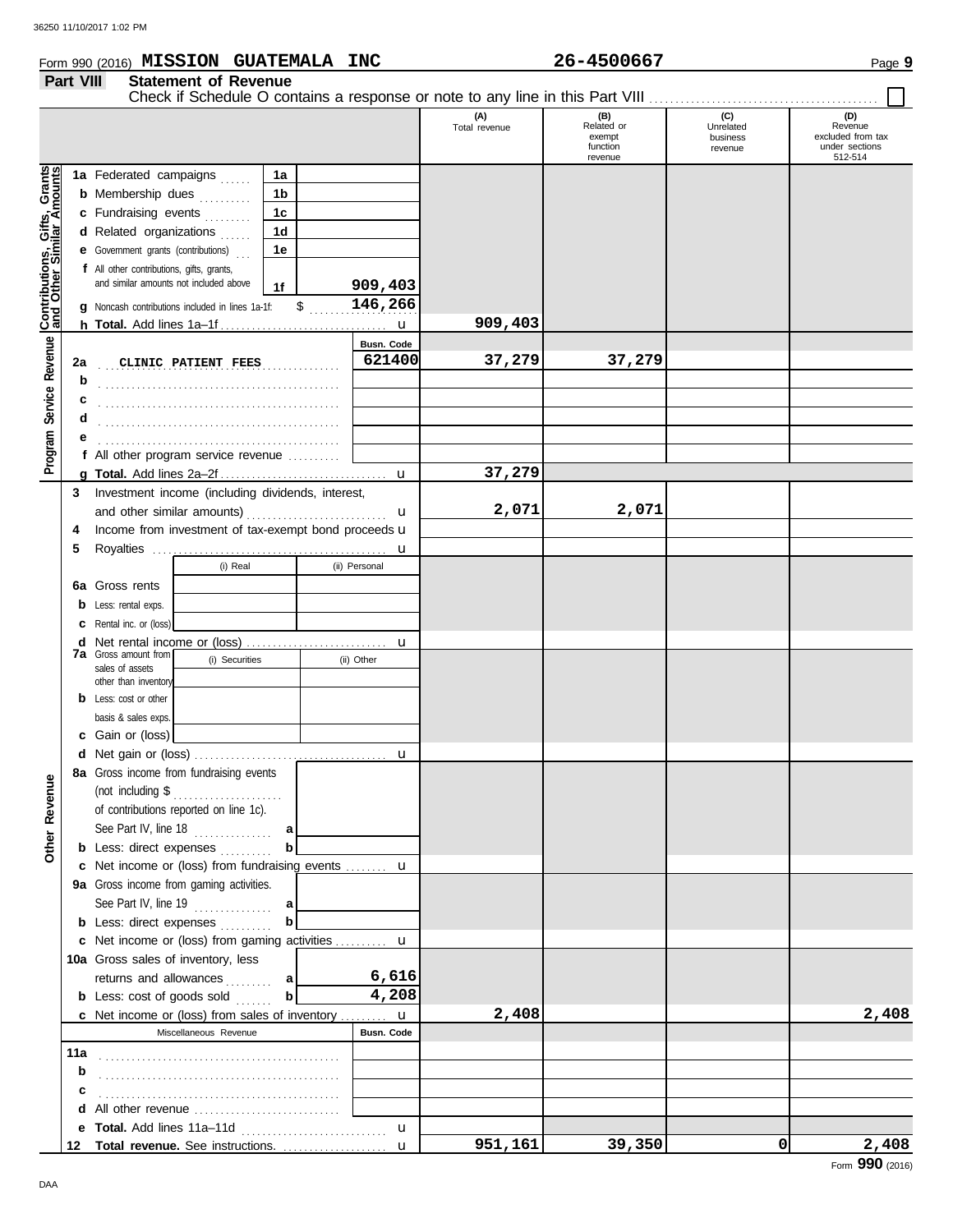|                                                           | Form 990 (2016) MISSION GUATEMALA INC                                    |                                  |               |                      | 26-4500667                                           |                                         | Page 9                                                           |
|-----------------------------------------------------------|--------------------------------------------------------------------------|----------------------------------|---------------|----------------------|------------------------------------------------------|-----------------------------------------|------------------------------------------------------------------|
| Part VIII                                                 | <b>Statement of Revenue</b>                                              |                                  |               |                      |                                                      |                                         |                                                                  |
|                                                           |                                                                          |                                  |               | (A)<br>Total revenue | $(B)$<br>Related or<br>exempt<br>function<br>revenue | (C)<br>Unrelated<br>business<br>revenue | (D)<br>Revenue<br>excluded from tax<br>under sections<br>512-514 |
| Contributions, Gifts, Grants<br>and Other Similar Amounts | 1a Federated campaigns                                                   | 1a                               |               |                      |                                                      |                                         |                                                                  |
|                                                           | <b>b</b> Membership dues                                                 | 1 <sub>b</sub>                   |               |                      |                                                      |                                         |                                                                  |
|                                                           | c Fundraising events<br>d Related organizations                          | 1 <sub>c</sub><br>1 <sub>d</sub> |               |                      |                                                      |                                         |                                                                  |
|                                                           | e Government grants (contributions)                                      | 1e                               |               |                      |                                                      |                                         |                                                                  |
|                                                           | f All other contributions, gifts, grants,                                |                                  |               |                      |                                                      |                                         |                                                                  |
|                                                           | and similar amounts not included above                                   | 1f                               | 909,403       |                      |                                                      |                                         |                                                                  |
|                                                           | g Noncash contributions included in lines 1a-1f:                         | $\mathsf{S}$                     | 146,266       |                      |                                                      |                                         |                                                                  |
|                                                           |                                                                          |                                  |               | 909,403              |                                                      |                                         |                                                                  |
|                                                           |                                                                          |                                  | Busn. Code    |                      |                                                      |                                         |                                                                  |
| 2a                                                        | CLINIC PATIENT FEES                                                      |                                  | 621400        | 37,279               | 37,279                                               |                                         |                                                                  |
| b                                                         |                                                                          | .                                |               |                      |                                                      |                                         |                                                                  |
| С                                                         |                                                                          |                                  |               |                      |                                                      |                                         |                                                                  |
| d                                                         |                                                                          |                                  |               |                      |                                                      |                                         |                                                                  |
| е                                                         |                                                                          |                                  |               |                      |                                                      |                                         |                                                                  |
|                                                           | f All other program service revenue $\ldots$                             |                                  |               |                      |                                                      |                                         |                                                                  |
|                                                           |                                                                          |                                  |               | 37,279               |                                                      |                                         |                                                                  |
|                                                           | 3 Investment income (including dividends, interest,                      |                                  |               |                      |                                                      |                                         |                                                                  |
|                                                           | and other similar amounts)                                               |                                  | u             | 2,071                | 2,071                                                |                                         |                                                                  |
| 4                                                         | Income from investment of tax-exempt bond proceeds u                     |                                  |               |                      |                                                      |                                         |                                                                  |
| 5                                                         |                                                                          |                                  |               |                      |                                                      |                                         |                                                                  |
|                                                           | (i) Real                                                                 |                                  | (ii) Personal |                      |                                                      |                                         |                                                                  |
|                                                           | 6a Gross rents                                                           |                                  |               |                      |                                                      |                                         |                                                                  |
|                                                           | <b>b</b> Less: rental exps.                                              |                                  |               |                      |                                                      |                                         |                                                                  |
|                                                           | <b>c</b> Rental inc. or (loss)                                           |                                  |               |                      |                                                      |                                         |                                                                  |
|                                                           | <b>d</b> Net rental income or (loss) $\ldots$ $\ldots$ $\ldots$ $\ldots$ |                                  | $\mathbf u$   |                      |                                                      |                                         |                                                                  |
|                                                           | <b>7a</b> Gross amount from<br>(i) Securities                            |                                  | (ii) Other    |                      |                                                      |                                         |                                                                  |
|                                                           | sales of assets<br>other than inventory                                  |                                  |               |                      |                                                      |                                         |                                                                  |
|                                                           | <b>b</b> Less: cost or other                                             |                                  |               |                      |                                                      |                                         |                                                                  |
|                                                           | basis & sales exps.                                                      |                                  |               |                      |                                                      |                                         |                                                                  |
|                                                           | c Gain or (loss)                                                         |                                  |               |                      |                                                      |                                         |                                                                  |
|                                                           |                                                                          |                                  | $\mathbf u$   |                      |                                                      |                                         |                                                                  |
|                                                           | <b>8a</b> Gross income from fundraising events                           |                                  |               |                      |                                                      |                                         |                                                                  |
|                                                           | (not including \$                                                        |                                  |               |                      |                                                      |                                         |                                                                  |
|                                                           | .                                                                        |                                  |               |                      |                                                      |                                         |                                                                  |

**Other Revenue** Other Reven

of contributions reported on line 1c).

u **a b b** Less: direct expenses . . . . . . . . . **c** Net income or (loss) from fundraising events . . . . . . . . See Part IV, line 18 . . . . . . . . . . . . . . . **9a** Gross income from gaming activities. See Part IV, line 19 . . . . . . . . . . . . . . . **b** Less: direct expenses **. . . . . . . . .** Net income or (loss) from gaming activities . . . . . . . . . . **c** 10a Gross sales of inventory, less returns and allowances .......... **b** Less: cost of goods sold  $\ldots$ Net income or (loss) from sales of inventory . . . . . . . . . **c 11a b c d** All other revenue .............................. **e Total.** Add lines 11a–11d . . . . . . . . . . . . . . . . . . . . . . . . . . . . **Total revenue.** See instructions. . . . . . . . . . . . . . . . . . . . . **12 b a a b** u u . . . . . . . . . . . . . . . . . . . . . . . . . . . . . . . . . . . . . . . . . . . . . . . . . . . . . . . . . . . . . . . . . . . . . . . . . . . . . . . . . . . . . . . . . . . . Miscellaneous Revenue **Busn. Code** u u **6,616 4,208 2,408 2,408 951,161 39,350 0 2,408**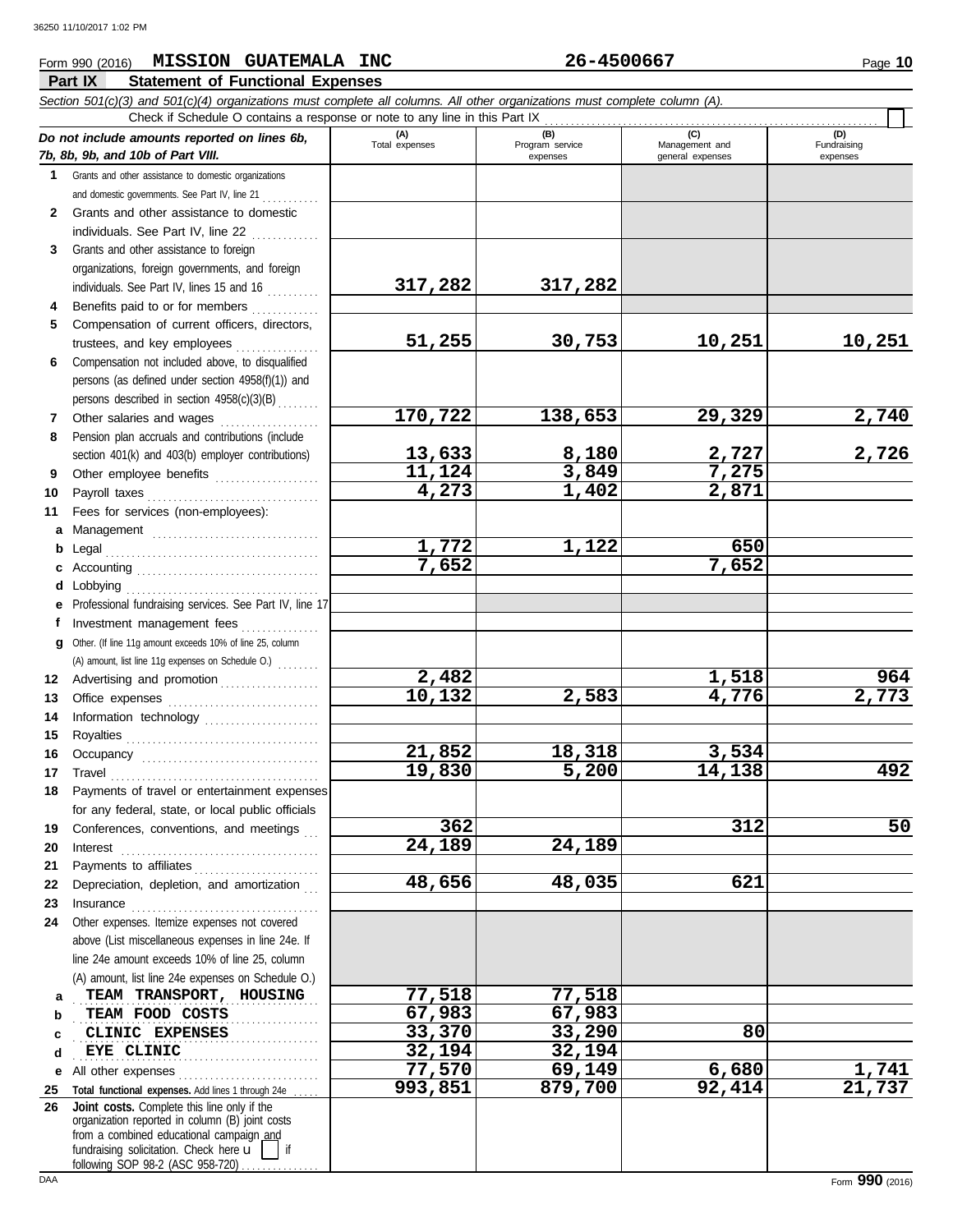#### **Part IX Statement of Functional Expenses** Form 990 (2016) Page **10 MISSION GUATEMALA INC 26-4500667** *Section 501(c)(3) and 501(c)(4) organizations must complete all columns. All other organizations must complete column (A). Do not include amounts reported on lines 6b, 7b, 8b, 9b, and 10b of Part VIII.* **1 2 3** Grants and other assistance to foreign **4 5 6 7 8 9 10 11** Fees for services (non-employees): **a** Management ................................. **b** Legal . . . . . . . . . . . . . . . . . . . . . . . . . . . . . . . . . . . . . . . . . **c** Accounting . . . . . . . . . . . . . . . . . . . . . . . . . . . . . . . . . . . **d** Lobbying . . . . . . . . . . . . . . . . . . . . . . . . . . . . . . . . . . . . . **e** Professional fundraising services. See Part IV, line 17 **f g** Other. (If line 11g amount exceeds 10% of line 25, column **12** Advertising and promotion . . . . . . . . . . . . . . . . . . **13 14 15 16 17 18 19 20 21 22** Depreciation, depletion, and amortization . . . **23 24 a b c d** Grants and other assistance to domestic organizations and domestic governments. See Part IV, line 21 . . . . . . . . . . Grants and other assistance to domestic individuals. See Part IV, line 22 . . . . . . . . . . . . . organizations, foreign governments, and foreign individuals. See Part IV, lines 15 and 16 Benefits paid to or for members ............. Compensation of current officers, directors, trustees, and key employees . . . . . . . . . . . . . . . . Compensation not included above, to disqualified persons (as defined under section 4958(f)(1)) and persons described in section 4958(c)(3)(B) . . . . . . . . Other salaries and wages ................... Pension plan accruals and contributions (include section 401(k) and 403(b) employer contributions) Other employee benefits .................... Payroll taxes . . . . . . . . . . . . . . . . . . . . . . . . . . . . . . . . . Investment management fees ................ Office expenses ................................ Information technology ...................... Royalties . . . . . . . . . . . . . . . . . . . . . . . . . . . . . . . . . . . . . Occupancy . . . . . . . . . . . . . . . . . . . . . . . . . . . . . . . . . . Travel . . . . . . . . . . . . . . . . . . . . . . . . . . . . . . . . . . . . . . . . Payments of travel or entertainment expenses for any federal, state, or local public officials Conferences, conventions, and meetings Interest . . . . . . . . . . . . . . . . . . . . . . . . . . . . . . . . . . . . . . Payments to affiliates . . . . . . . . . . . . . . . . . . . . . . . . Insurance . . . . . . . . . . . . . . . . . . . . . . . . . . . . . . . . . . . . Other expenses. Itemize expenses not covered above (List miscellaneous expenses in line 24e. If line 24e amount exceeds 10% of line 25, column (A) amount, list line 24e expenses on Schedule O.) **(A) (B) (C) (D)** Total expenses Program service Management and expenses and general expenses (D)<br>Fundraising expenses . . . . . . . . . . . . . . . . . . . . . . . . . . . . . . . . . . . . . . . . . . . . . . . **TEAM TRANSPORT, HOUSING 77,518 77,518** . . . . . . . . . . . . . . . . . . . . . . . . . . . . . . . . . . . . . . . . . . . . . . . **TEAM FOOD COSTS 67,983 67,983** . . . . . . . . . . . . . . . . . . . . . . . . . . . . . . . . . . . . . . . . . . . . . . . **CLINIC EXPENSES 33,370 33,290 80** Check if Schedule O contains a response or note to any line in this Part IX (A) amount, list line 11g expenses on Schedule O.) ....... **317,282 317,282 51,255 30,753 10,251 10,251 170,722 138,653 29,329 2,740 13,633 8,180 2,727 2,726 11,124 3,849 7,275 4,273 1,402 2,871 1,772 1,122 650 7,652 7,652 2,482 1,518 964 10,132 2,583 4,776 2,773 21,852 18,318 3,534 19,830 5,200 14,138 492 362 312 50 24,189 24,189 48,656 48,035 621 EYE CLINIC 32,194 32,194 32,194 53,194 59,149**

**993,851 879,700 92,414 21,737**

**e** All other expenses . . . . . . . . . . . . . . . . . . . . . . . . . . . **25 Total functional expenses.** Add lines 1 through 24e . . . . . **26** fundraising solicitation. Check here  $\mathbf{u}$  | if organization reported in column (B) joint costs from a combined educational campaign and following SOP 98-2 (ASC 958-720) **Joint costs.** Complete this line only if the

. . . . . . . . . . . . . . . . . . . . . . . . . . . . . . . . . . . . . . . . . . . . . . .

**77,570 69,149 6,680 1,741**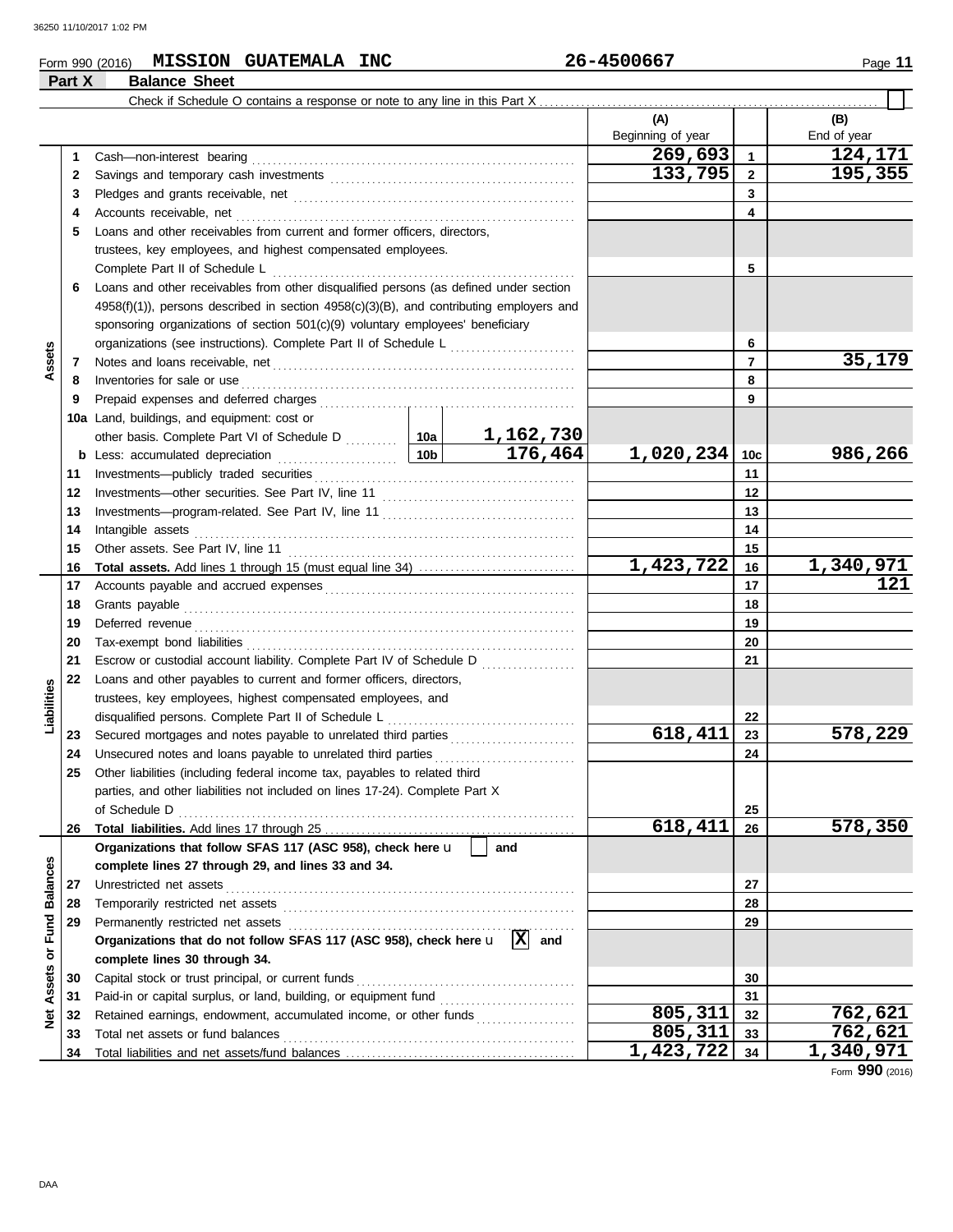### Form 990 (2016) Page **11 MISSION GUATEMALA INC 26-4500667 Part X Balance Sheet**

|                 |    |                                                                                                                                                                                                                                     |                     | (A)               |                | (B)         |
|-----------------|----|-------------------------------------------------------------------------------------------------------------------------------------------------------------------------------------------------------------------------------------|---------------------|-------------------|----------------|-------------|
|                 |    |                                                                                                                                                                                                                                     |                     | Beginning of year |                | End of year |
|                 | 1  |                                                                                                                                                                                                                                     |                     | 269,693           | $\mathbf{1}$   | 124,171     |
|                 | 2  |                                                                                                                                                                                                                                     |                     | 133,795           | $\mathbf{2}$   | 195,355     |
|                 | 3  |                                                                                                                                                                                                                                     |                     |                   | 3              |             |
|                 | 4  |                                                                                                                                                                                                                                     |                     |                   | 4              |             |
|                 | 5  | Loans and other receivables from current and former officers, directors,                                                                                                                                                            |                     |                   |                |             |
|                 |    | trustees, key employees, and highest compensated employees.                                                                                                                                                                         |                     |                   |                |             |
|                 |    |                                                                                                                                                                                                                                     |                     | 5                 |                |             |
|                 | 6  | Loans and other receivables from other disqualified persons (as defined under section                                                                                                                                               |                     |                   |                |             |
|                 |    | $4958(f)(1)$ ), persons described in section $4958(c)(3)(B)$ , and contributing employers and                                                                                                                                       |                     |                   |                |             |
|                 |    | sponsoring organizations of section 501(c)(9) voluntary employees' beneficiary                                                                                                                                                      |                     |                   |                |             |
|                 |    |                                                                                                                                                                                                                                     |                     |                   | 6              |             |
| Assets          | 7  |                                                                                                                                                                                                                                     |                     |                   | $\overline{7}$ | 35,179      |
|                 | 8  | Inventories for sale or use <i>continuous continuous continuous continuous</i> continuous continuous continuous continuous continuous continuous continuous continuous continuous continuous continuous continuous continuous conti |                     |                   | 8              |             |
|                 | 9  |                                                                                                                                                                                                                                     |                     |                   | 9              |             |
|                 |    | 10a Land, buildings, and equipment: cost or                                                                                                                                                                                         |                     |                   |                |             |
|                 |    | other basis. Complete Part VI of Schedule D    10a   1,162,730                                                                                                                                                                      |                     |                   |                |             |
|                 |    |                                                                                                                                                                                                                                     | $\frac{176,464}{ }$ | 1,020,234         | 10c            | 986,266     |
|                 | 11 |                                                                                                                                                                                                                                     |                     |                   | 11             |             |
|                 | 12 |                                                                                                                                                                                                                                     |                     |                   | 12             |             |
|                 | 13 |                                                                                                                                                                                                                                     |                     |                   | 13             |             |
|                 | 14 | Intangible assets with a state of the contract of the state of the state of the state of the state of the state of the state of the state of the state of the state of the state of the state of the state of the state of the      |                     |                   | 14             |             |
|                 | 15 |                                                                                                                                                                                                                                     |                     | 15                |                |             |
|                 | 16 | Total assets. Add lines 1 through 15 (must equal line 34)                                                                                                                                                                           |                     | 1,423,722         | 16             | 1,340,971   |
|                 | 17 |                                                                                                                                                                                                                                     |                     | 17                | 121            |             |
|                 | 18 |                                                                                                                                                                                                                                     |                     | 18                |                |             |
|                 | 19 |                                                                                                                                                                                                                                     |                     |                   | 19             |             |
|                 | 20 |                                                                                                                                                                                                                                     |                     |                   | 20             |             |
|                 | 21 | Escrow or custodial account liability. Complete Part IV of Schedule D                                                                                                                                                               |                     |                   | 21             |             |
|                 | 22 | Loans and other payables to current and former officers, directors,                                                                                                                                                                 |                     |                   |                |             |
| Liabilities     |    | trustees, key employees, highest compensated employees, and                                                                                                                                                                         |                     |                   |                |             |
|                 |    | disqualified persons. Complete Part II of Schedule L                                                                                                                                                                                |                     |                   | 22             |             |
|                 | 23 | Secured mortgages and notes payable to unrelated third parties [1] [1] Secured mortgages and notes payable to unrelated third parties                                                                                               |                     | 618,411           | 23             | 578,229     |
|                 | 24 |                                                                                                                                                                                                                                     |                     |                   | 24             |             |
|                 | 25 | Other liabilities (including federal income tax, payables to related third                                                                                                                                                          |                     |                   |                |             |
|                 |    | parties, and other liabilities not included on lines 17-24). Complete Part X                                                                                                                                                        |                     |                   |                |             |
|                 |    | of Schedule D                                                                                                                                                                                                                       |                     | 618,411           | 25             | 578,350     |
|                 | 26 | Organizations that follow SFAS 117 (ASC 958), check here u                                                                                                                                                                          | and                 |                   | 26             |             |
|                 |    | complete lines 27 through 29, and lines 33 and 34.                                                                                                                                                                                  |                     |                   |                |             |
|                 | 27 | Unrestricted net assets                                                                                                                                                                                                             |                     |                   | 27             |             |
| <b>Balances</b> | 28 |                                                                                                                                                                                                                                     |                     |                   | 28             |             |
|                 | 29 | Permanently restricted net assets                                                                                                                                                                                                   |                     |                   | 29             |             |
| or Fund         |    | $P$ ermanently restricted net assets<br>Organizations that do not follow SFAS 117 (ASC 958), check here $\mathbf{u}$ $\overline{X}$                                                                                                 | and                 |                   |                |             |
|                 |    | complete lines 30 through 34.                                                                                                                                                                                                       |                     |                   |                |             |
|                 | 30 | Capital stock or trust principal, or current funds                                                                                                                                                                                  |                     |                   | 30             |             |
| Assets          | 31 |                                                                                                                                                                                                                                     |                     |                   | 31             |             |
| ğ               | 32 | Retained earnings, endowment, accumulated income, or other funds                                                                                                                                                                    |                     | 805,311           | 32             | 762,621     |
|                 | 33 | Total net assets or fund balances                                                                                                                                                                                                   |                     | 805,311           | 33             | 762,621     |
|                 | 34 |                                                                                                                                                                                                                                     |                     | 1,423,722         | 34             | 1,340,971   |

Form **990** (2016)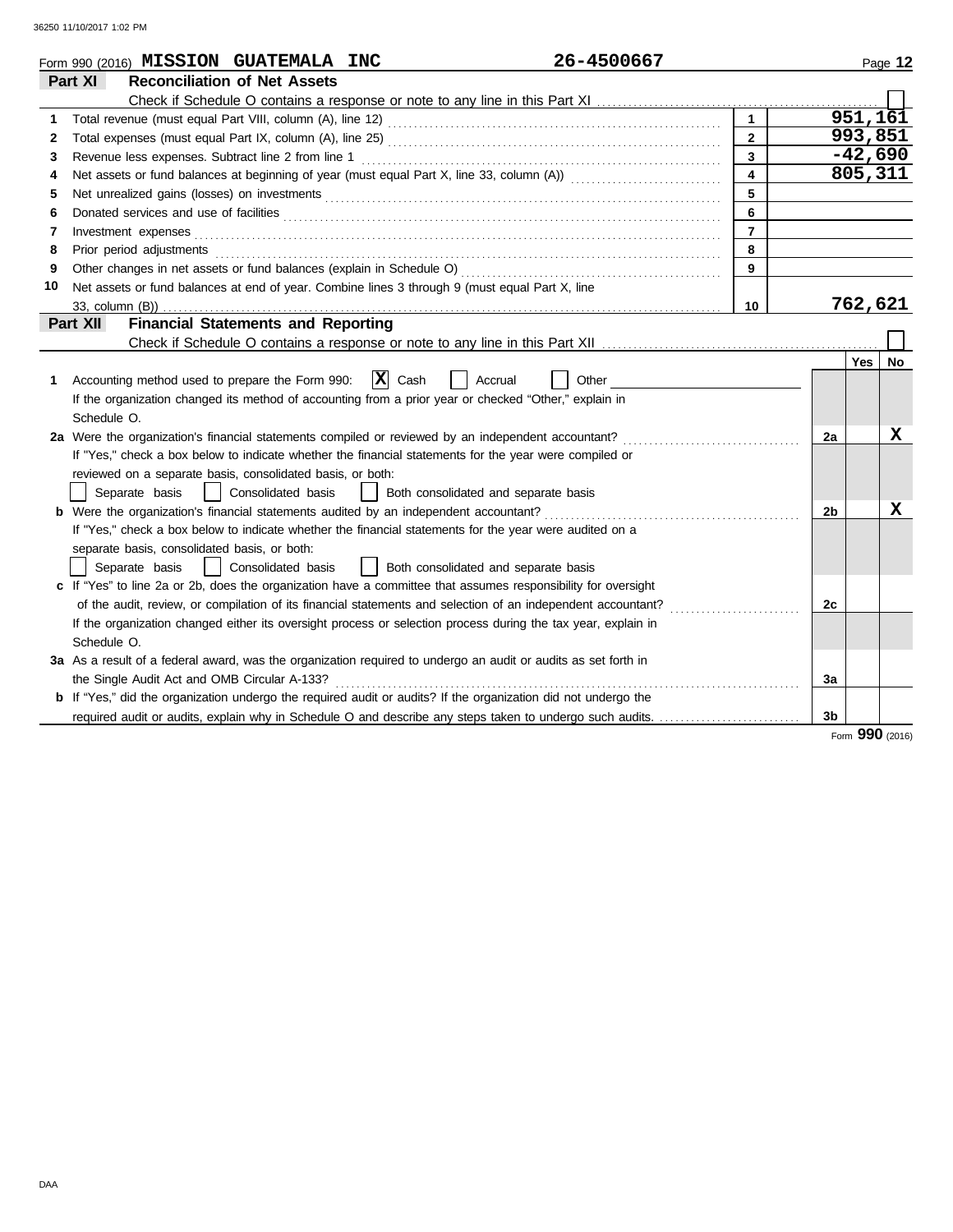|    | 26-4500667<br>Form 990 (2016) MISSION GUATEMALA INC                                                                                                                                                                                 |                |                |           | Page 12 |
|----|-------------------------------------------------------------------------------------------------------------------------------------------------------------------------------------------------------------------------------------|----------------|----------------|-----------|---------|
|    | <b>Reconciliation of Net Assets</b><br>Part XI                                                                                                                                                                                      |                |                |           |         |
|    |                                                                                                                                                                                                                                     |                |                |           |         |
| 1  |                                                                                                                                                                                                                                     | $\mathbf{1}$   |                | 951, 161  |         |
| 2  |                                                                                                                                                                                                                                     | $\overline{2}$ |                | 993,851   |         |
| 3  | Revenue less expenses. Subtract line 2 from line 1                                                                                                                                                                                  | $\mathbf{3}$   |                | $-42,690$ |         |
| 4  |                                                                                                                                                                                                                                     | $\overline{4}$ |                | 805,311   |         |
| 5  |                                                                                                                                                                                                                                     | 5              |                |           |         |
| 6  | Donated services and use of facilities <b>constructs</b> and a service of the service of the service of the service of the service of the service of the service of the service of the service of the service of the service of the | 6              |                |           |         |
| 7  | Investment expenses                                                                                                                                                                                                                 | $\overline{7}$ |                |           |         |
| 8  | Prior period adjustments entertainments and a series of the series of the series of the series of the series of the series of the series of the series of the series of the series of the series of the series of the series o      | 8              |                |           |         |
| 9  |                                                                                                                                                                                                                                     | $\mathbf{9}$   |                |           |         |
| 10 | Net assets or fund balances at end of year. Combine lines 3 through 9 (must equal Part X, line                                                                                                                                      |                |                |           |         |
|    | $33$ , column $(B)$ )                                                                                                                                                                                                               | 10             |                | 762,621   |         |
|    | <b>Financial Statements and Reporting</b><br>Part XII                                                                                                                                                                               |                |                |           |         |
|    |                                                                                                                                                                                                                                     |                |                |           |         |
|    |                                                                                                                                                                                                                                     |                |                | Yes       | No      |
| 1  | $ \mathbf{X} $ Cash<br>Accounting method used to prepare the Form 990:<br>Accrual<br>Other                                                                                                                                          |                |                |           |         |
|    | If the organization changed its method of accounting from a prior year or checked "Other," explain in                                                                                                                               |                |                |           |         |
|    | Schedule O.                                                                                                                                                                                                                         |                |                |           |         |
|    | 2a Were the organization's financial statements compiled or reviewed by an independent accountant?                                                                                                                                  |                | 2a             |           | x       |
|    | If "Yes," check a box below to indicate whether the financial statements for the year were compiled or                                                                                                                              |                |                |           |         |
|    | reviewed on a separate basis, consolidated basis, or both:                                                                                                                                                                          |                |                |           |         |
|    | Both consolidated and separate basis<br>Separate basis<br>  Consolidated basis                                                                                                                                                      |                |                |           |         |
|    | <b>b</b> Were the organization's financial statements audited by an independent accountant?                                                                                                                                         |                | 2b             |           | X       |
|    | If "Yes," check a box below to indicate whether the financial statements for the year were audited on a                                                                                                                             |                |                |           |         |
|    | separate basis, consolidated basis, or both:                                                                                                                                                                                        |                |                |           |         |
|    | Consolidated basis<br>Separate basis<br>  Both consolidated and separate basis                                                                                                                                                      |                |                |           |         |
|    | c If "Yes" to line 2a or 2b, does the organization have a committee that assumes responsibility for oversight                                                                                                                       |                |                |           |         |
|    | of the audit, review, or compilation of its financial statements and selection of an independent accountant?                                                                                                                        |                | 2c             |           |         |
|    | If the organization changed either its oversight process or selection process during the tax year, explain in                                                                                                                       |                |                |           |         |
|    | Schedule O.                                                                                                                                                                                                                         |                |                |           |         |
|    | 3a As a result of a federal award, was the organization required to undergo an audit or audits as set forth in                                                                                                                      |                |                |           |         |
|    | the Single Audit Act and OMB Circular A-133?                                                                                                                                                                                        |                | За             |           |         |
|    | <b>b</b> If "Yes," did the organization undergo the required audit or audits? If the organization did not undergo the                                                                                                               |                |                |           |         |
|    | required audit or audits, explain why in Schedule O and describe any steps taken to undergo such audits.                                                                                                                            |                | 3 <sub>b</sub> |           |         |

Form **990** (2016)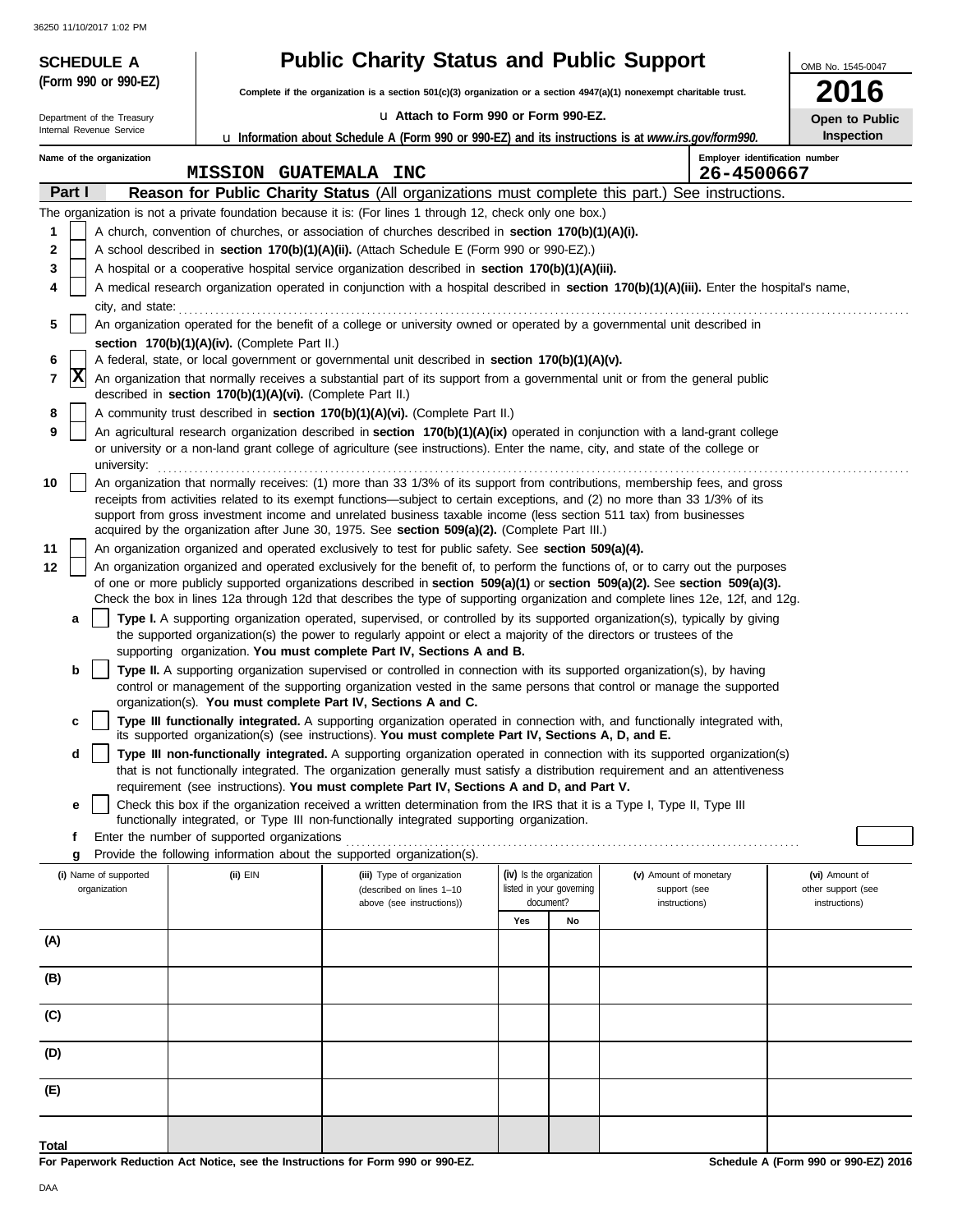| <b>SCHEDULE A</b>          |                                                                                                     | <b>Public Charity Status and Public Support</b>                                                                                                                                                                                          |                          |    |                                | OMB No. 1545-0047  |
|----------------------------|-----------------------------------------------------------------------------------------------------|------------------------------------------------------------------------------------------------------------------------------------------------------------------------------------------------------------------------------------------|--------------------------|----|--------------------------------|--------------------|
| (Form 990 or 990-EZ)       |                                                                                                     | Complete if the organization is a section 501(c)(3) organization or a section 4947(a)(1) nonexempt charitable trust.                                                                                                                     |                          |    |                                | 16                 |
| Department of the Treasury |                                                                                                     | La Attach to Form 990 or Form 990-EZ.                                                                                                                                                                                                    |                          |    |                                | Open to Public     |
| Internal Revenue Service   | u Information about Schedule A (Form 990 or 990-EZ) and its instructions is at www.irs.gov/form990. |                                                                                                                                                                                                                                          |                          |    |                                | Inspection         |
| Name of the organization   |                                                                                                     |                                                                                                                                                                                                                                          |                          |    | Employer identification number |                    |
|                            | <b>MISSION GUATEMALA INC</b>                                                                        |                                                                                                                                                                                                                                          |                          |    | 26-4500667                     |                    |
| Part I                     |                                                                                                     | Reason for Public Charity Status (All organizations must complete this part.) See instructions.                                                                                                                                          |                          |    |                                |                    |
|                            |                                                                                                     | The organization is not a private foundation because it is: (For lines 1 through 12, check only one box.)                                                                                                                                |                          |    |                                |                    |
| 1                          |                                                                                                     | A church, convention of churches, or association of churches described in section 170(b)(1)(A)(i).                                                                                                                                       |                          |    |                                |                    |
| 2                          |                                                                                                     | A school described in section 170(b)(1)(A)(ii). (Attach Schedule E (Form 990 or 990-EZ).)                                                                                                                                                |                          |    |                                |                    |
| 3                          |                                                                                                     | A hospital or a cooperative hospital service organization described in section 170(b)(1)(A)(iii).                                                                                                                                        |                          |    |                                |                    |
| 4                          |                                                                                                     | A medical research organization operated in conjunction with a hospital described in section 170(b)(1)(A)(iii). Enter the hospital's name,                                                                                               |                          |    |                                |                    |
| city, and state:<br>5      |                                                                                                     | An organization operated for the benefit of a college or university owned or operated by a governmental unit described in                                                                                                                |                          |    |                                |                    |
|                            | section 170(b)(1)(A)(iv). (Complete Part II.)                                                       |                                                                                                                                                                                                                                          |                          |    |                                |                    |
| 6                          |                                                                                                     | A federal, state, or local government or governmental unit described in section 170(b)(1)(A)(v).                                                                                                                                         |                          |    |                                |                    |
| X<br>7                     | described in section 170(b)(1)(A)(vi). (Complete Part II.)                                          | An organization that normally receives a substantial part of its support from a governmental unit or from the general public                                                                                                             |                          |    |                                |                    |
| 8                          |                                                                                                     | A community trust described in section 170(b)(1)(A)(vi). (Complete Part II.)                                                                                                                                                             |                          |    |                                |                    |
| 9                          |                                                                                                     | An agricultural research organization described in section 170(b)(1)(A)(ix) operated in conjunction with a land-grant college                                                                                                            |                          |    |                                |                    |
| university:                |                                                                                                     | or university or a non-land grant college of agriculture (see instructions). Enter the name, city, and state of the college or                                                                                                           |                          |    |                                |                    |
| 10                         |                                                                                                     | An organization that normally receives: (1) more than 33 1/3% of its support from contributions, membership fees, and gross                                                                                                              |                          |    |                                |                    |
|                            |                                                                                                     | receipts from activities related to its exempt functions—subject to certain exceptions, and (2) no more than 33 1/3% of its                                                                                                              |                          |    |                                |                    |
|                            |                                                                                                     | support from gross investment income and unrelated business taxable income (less section 511 tax) from businesses                                                                                                                        |                          |    |                                |                    |
|                            |                                                                                                     | acquired by the organization after June 30, 1975. See section 509(a)(2). (Complete Part III.)                                                                                                                                            |                          |    |                                |                    |
| 11<br>12                   |                                                                                                     | An organization organized and operated exclusively to test for public safety. See section 509(a)(4).<br>An organization organized and operated exclusively for the benefit of, to perform the functions of, or to carry out the purposes |                          |    |                                |                    |
|                            |                                                                                                     | of one or more publicly supported organizations described in section 509(a)(1) or section 509(a)(2). See section 509(a)(3).                                                                                                              |                          |    |                                |                    |
|                            |                                                                                                     | Check the box in lines 12a through 12d that describes the type of supporting organization and complete lines 12e, 12f, and 12g.                                                                                                          |                          |    |                                |                    |
| a                          |                                                                                                     | Type I. A supporting organization operated, supervised, or controlled by its supported organization(s), typically by giving                                                                                                              |                          |    |                                |                    |
|                            |                                                                                                     | the supported organization(s) the power to regularly appoint or elect a majority of the directors or trustees of the                                                                                                                     |                          |    |                                |                    |
| b                          |                                                                                                     | supporting organization. You must complete Part IV, Sections A and B.<br>Type II. A supporting organization supervised or controlled in connection with its supported organization(s), by having                                         |                          |    |                                |                    |
|                            |                                                                                                     | control or management of the supporting organization vested in the same persons that control or manage the supported                                                                                                                     |                          |    |                                |                    |
|                            |                                                                                                     | organization(s). You must complete Part IV, Sections A and C.                                                                                                                                                                            |                          |    |                                |                    |
| c                          |                                                                                                     | Type III functionally integrated. A supporting organization operated in connection with, and functionally integrated with,                                                                                                               |                          |    |                                |                    |
| d                          |                                                                                                     | its supported organization(s) (see instructions). You must complete Part IV, Sections A, D, and E.<br>Type III non-functionally integrated. A supporting organization operated in connection with its supported organization(s)          |                          |    |                                |                    |
|                            |                                                                                                     | that is not functionally integrated. The organization generally must satisfy a distribution requirement and an attentiveness                                                                                                             |                          |    |                                |                    |
|                            |                                                                                                     | requirement (see instructions). You must complete Part IV, Sections A and D, and Part V.                                                                                                                                                 |                          |    |                                |                    |
| е                          |                                                                                                     | Check this box if the organization received a written determination from the IRS that it is a Type I, Type II, Type III                                                                                                                  |                          |    |                                |                    |
| f                          | Enter the number of supported organizations                                                         | functionally integrated, or Type III non-functionally integrated supporting organization.                                                                                                                                                |                          |    |                                |                    |
| g                          |                                                                                                     | Provide the following information about the supported organization(s).                                                                                                                                                                   |                          |    |                                |                    |
| (i) Name of supported      | (ii) EIN                                                                                            | (iii) Type of organization                                                                                                                                                                                                               | (iv) Is the organization |    | (v) Amount of monetary         | (vi) Amount of     |
| organization               |                                                                                                     | (described on lines 1-10                                                                                                                                                                                                                 | listed in your governing |    | support (see                   | other support (see |
|                            |                                                                                                     | above (see instructions))                                                                                                                                                                                                                | document?                |    | instructions)                  | instructions)      |
| (A)                        |                                                                                                     |                                                                                                                                                                                                                                          | Yes                      | No |                                |                    |
|                            |                                                                                                     |                                                                                                                                                                                                                                          |                          |    |                                |                    |
| (B)                        |                                                                                                     |                                                                                                                                                                                                                                          |                          |    |                                |                    |
| (C)                        |                                                                                                     |                                                                                                                                                                                                                                          |                          |    |                                |                    |
| (D)                        |                                                                                                     |                                                                                                                                                                                                                                          |                          |    |                                |                    |
|                            |                                                                                                     |                                                                                                                                                                                                                                          |                          |    |                                |                    |
| (E)                        |                                                                                                     |                                                                                                                                                                                                                                          |                          |    |                                |                    |
| <b>Total</b>               |                                                                                                     |                                                                                                                                                                                                                                          |                          |    |                                |                    |

**For Paperwork Reduction Act Notice, see the Instructions for Form 990 or 990-EZ.**

**Schedule A (Form 990 or 990-EZ) 2016**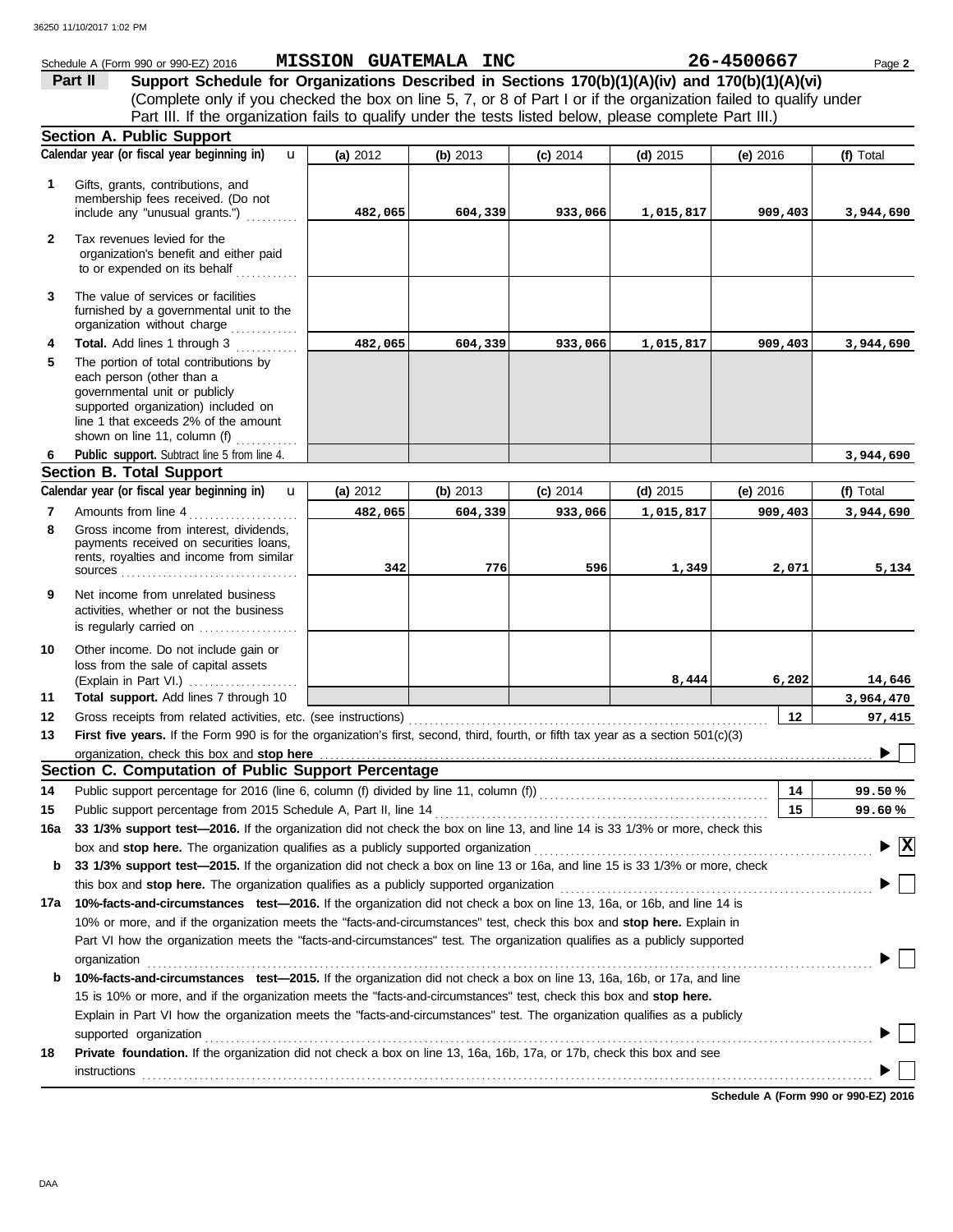|              | Schedule A (Form 990 or 990-EZ) 2016                                                                                                                                                                                                        | <b>MISSION GUATEMALA INC</b> |            |            |            | 26-4500667 | Page 2                                        |  |
|--------------|---------------------------------------------------------------------------------------------------------------------------------------------------------------------------------------------------------------------------------------------|------------------------------|------------|------------|------------|------------|-----------------------------------------------|--|
|              | Support Schedule for Organizations Described in Sections 170(b)(1)(A)(iv) and 170(b)(1)(A)(vi)<br>Part II                                                                                                                                   |                              |            |            |            |            |                                               |  |
|              | (Complete only if you checked the box on line 5, 7, or 8 of Part I or if the organization failed to qualify under                                                                                                                           |                              |            |            |            |            |                                               |  |
|              | Part III. If the organization fails to qualify under the tests listed below, please complete Part III.)                                                                                                                                     |                              |            |            |            |            |                                               |  |
|              | <b>Section A. Public Support</b>                                                                                                                                                                                                            |                              |            |            |            |            |                                               |  |
|              | Calendar year (or fiscal year beginning in)<br>$\mathbf{u}$                                                                                                                                                                                 | (a) 2012                     | (b) $2013$ | $(c)$ 2014 | $(d)$ 2015 | (e) 2016   | (f) Total                                     |  |
| 1            | Gifts, grants, contributions, and                                                                                                                                                                                                           |                              |            |            |            |            |                                               |  |
|              | membership fees received. (Do not                                                                                                                                                                                                           |                              |            |            |            |            |                                               |  |
|              | include any "unusual grants.")                                                                                                                                                                                                              | 482,065                      | 604,339    | 933,066    | 1,015,817  | 909,403    | 3,944,690                                     |  |
| $\mathbf{2}$ | Tax revenues levied for the                                                                                                                                                                                                                 |                              |            |            |            |            |                                               |  |
|              | organization's benefit and either paid                                                                                                                                                                                                      |                              |            |            |            |            |                                               |  |
|              | to or expended on its behalf                                                                                                                                                                                                                |                              |            |            |            |            |                                               |  |
| 3            | The value of services or facilities                                                                                                                                                                                                         |                              |            |            |            |            |                                               |  |
|              | furnished by a governmental unit to the                                                                                                                                                                                                     |                              |            |            |            |            |                                               |  |
|              | organization without charge                                                                                                                                                                                                                 |                              |            |            |            |            |                                               |  |
| 4            | Total. Add lines 1 through 3                                                                                                                                                                                                                | 482,065                      | 604,339    | 933,066    | 1,015,817  | 909,403    | 3,944,690                                     |  |
| 5            | The portion of total contributions by                                                                                                                                                                                                       |                              |            |            |            |            |                                               |  |
|              | each person (other than a<br>governmental unit or publicly                                                                                                                                                                                  |                              |            |            |            |            |                                               |  |
|              | supported organization) included on                                                                                                                                                                                                         |                              |            |            |            |            |                                               |  |
|              | line 1 that exceeds 2% of the amount                                                                                                                                                                                                        |                              |            |            |            |            |                                               |  |
|              | shown on line 11, column (f) $\ldots$                                                                                                                                                                                                       |                              |            |            |            |            |                                               |  |
| 6            | Public support. Subtract line 5 from line 4.<br><b>Section B. Total Support</b>                                                                                                                                                             |                              |            |            |            |            | 3,944,690                                     |  |
|              | Calendar year (or fiscal year beginning in)<br>$\mathbf{u}$                                                                                                                                                                                 | (a) 2012                     | (b) $2013$ | $(c)$ 2014 | $(d)$ 2015 | (e) $2016$ | (f) Total                                     |  |
| 7            | Amounts from line 4                                                                                                                                                                                                                         | 482,065                      | 604,339    | 933,066    | 1,015,817  | 909,403    | 3,944,690                                     |  |
| 8            | Gross income from interest, dividends,                                                                                                                                                                                                      |                              |            |            |            |            |                                               |  |
|              | payments received on securities loans,                                                                                                                                                                                                      |                              |            |            |            |            |                                               |  |
|              | rents, royalties and income from similar                                                                                                                                                                                                    | 342                          | 776        | 596        | 1,349      | 2,071      | 5,134                                         |  |
|              |                                                                                                                                                                                                                                             |                              |            |            |            |            |                                               |  |
| 9            | Net income from unrelated business                                                                                                                                                                                                          |                              |            |            |            |            |                                               |  |
|              | activities, whether or not the business<br>is regularly carried on $\ldots$ , $\ldots$ , $\ldots$                                                                                                                                           |                              |            |            |            |            |                                               |  |
|              |                                                                                                                                                                                                                                             |                              |            |            |            |            |                                               |  |
| 10           | Other income. Do not include gain or<br>loss from the sale of capital assets                                                                                                                                                                |                              |            |            |            |            |                                               |  |
|              |                                                                                                                                                                                                                                             |                              |            |            | 8,444      | 6,202      | 14,646                                        |  |
| 11           | Total support. Add lines 7 through 10                                                                                                                                                                                                       |                              |            |            |            |            | 3,964,470                                     |  |
| 12           |                                                                                                                                                                                                                                             |                              |            |            |            | 12         | 97,415                                        |  |
| 13           | First five years. If the Form 990 is for the organization's first, second, third, fourth, or fifth tax year as a section 501(c)(3)                                                                                                          |                              |            |            |            |            |                                               |  |
|              | organization, check this box and stop here <b>construction and construction</b> construction and construction and stop here <b>constructed</b>                                                                                              |                              |            |            |            |            | ▶                                             |  |
|              | Section C. Computation of Public Support Percentage                                                                                                                                                                                         |                              |            |            |            |            |                                               |  |
| 14           | Public support percentage for 2016 (line 6, column (f) divided by line 11, column (f)) [[[[[[[[[[[[[[[[[[[[[[                                                                                                                               |                              |            |            |            | 14         | 99.50%                                        |  |
| 15           |                                                                                                                                                                                                                                             |                              |            |            |            | 15         | 99.60%                                        |  |
| 16a          | 33 1/3% support test-2016. If the organization did not check the box on line 13, and line 14 is 33 1/3% or more, check this                                                                                                                 |                              |            |            |            |            |                                               |  |
|              | box and stop here. The organization qualifies as a publicly supported organization <b>construes and stop here.</b> The organization                                                                                                         |                              |            |            |            |            | $\blacktriangleright$ $\overline{\mathbf{X}}$ |  |
| b            | 33 1/3% support test-2015. If the organization did not check a box on line 13 or 16a, and line 15 is 33 1/3% or more, check                                                                                                                 |                              |            |            |            |            |                                               |  |
|              |                                                                                                                                                                                                                                             |                              |            |            |            |            |                                               |  |
| 17a          | 10%-facts-and-circumstances test-2016. If the organization did not check a box on line 13, 16a, or 16b, and line 14 is                                                                                                                      |                              |            |            |            |            |                                               |  |
|              | 10% or more, and if the organization meets the "facts-and-circumstances" test, check this box and stop here. Explain in                                                                                                                     |                              |            |            |            |            |                                               |  |
|              | Part VI how the organization meets the "facts-and-circumstances" test. The organization qualifies as a publicly supported                                                                                                                   |                              |            |            |            |            |                                               |  |
|              | organization                                                                                                                                                                                                                                |                              |            |            |            |            |                                               |  |
| b            | 10%-facts-and-circumstances test-2015. If the organization did not check a box on line 13, 16a, 16b, or 17a, and line<br>15 is 10% or more, and if the organization meets the "facts-and-circumstances" test, check this box and stop here. |                              |            |            |            |            |                                               |  |
|              | Explain in Part VI how the organization meets the "facts-and-circumstances" test. The organization qualifies as a publicly                                                                                                                  |                              |            |            |            |            |                                               |  |
|              |                                                                                                                                                                                                                                             |                              |            |            |            |            |                                               |  |
| 18           | supported organization with the contract of the contract of the contract of the contract of the contract of the<br>Private foundation. If the organization did not check a box on line 13, 16a, 16b, 17a, or 17b, check this box and see    |                              |            |            |            |            |                                               |  |
|              |                                                                                                                                                                                                                                             |                              |            |            |            |            |                                               |  |
|              |                                                                                                                                                                                                                                             |                              |            |            |            |            |                                               |  |

**Schedule A (Form 990 or 990-EZ) 2016**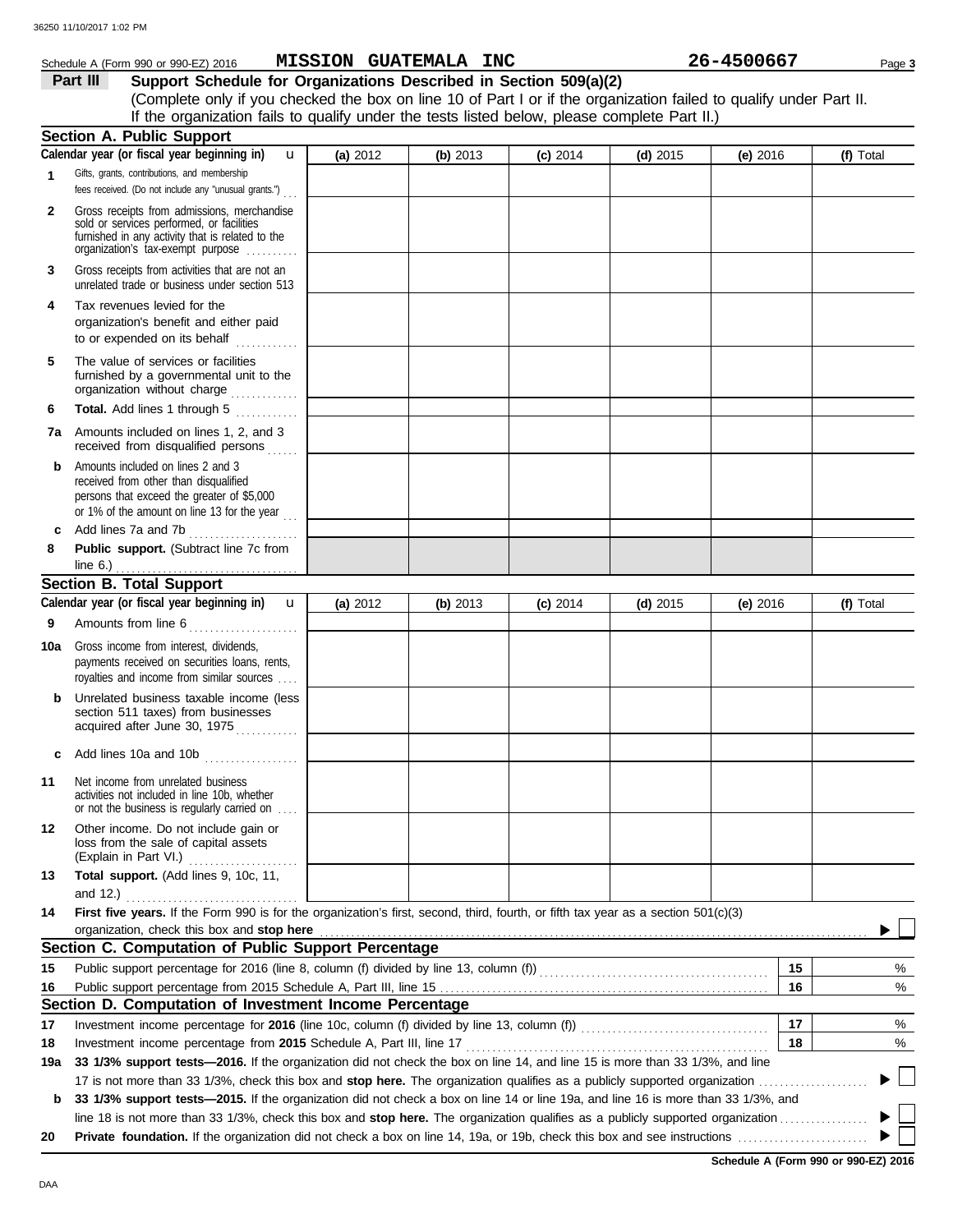#### **Section B. Total Support** unrelated trade or business under section 513 **Part III Support Schedule for Organizations Described in Section 509(a)(2)** (Complete only if you checked the box on line 10 of Part I or if the organization failed to qualify under Part II. **1 2 3 6 8** Schedule A (Form 990 or 990-EZ) 2016 Page **3 MISSION GUATEMALA INC 26-4500667** Gifts, grants, contributions, and membership fees received. (Do not include any "unusual grants.") . . . **Public support.** (Subtract line 7c from Gross receipts from admissions, merchandise sold or services performed, or facilities furnished in any activity that is related to the Gross receipts from activities that are not an **Total.** Add lines 1 through 5 **Section A. Public Support** organization's tax-exempt purpose .......... **4** Tax revenues levied for the organization's benefit and either paid to or expended on its behalf when  $\cdots$ organization without charge .............. furnished by a governmental unit to the **5** The value of services or facilities **7a** Amounts included on lines 1, 2, and 3 received from disqualified persons **b** Amounts included on lines 2 and 3 received from other than disqualified persons that exceed the greater of \$5,000 or 1% of the amount on line 13 for the year  $\ldots$ **c** Add lines 7a and 7b . . . . . . . . . . . . . . . . . . . . . Amounts from line 6 . . . . . . . . . . . . . . . . . . . . . **9** royalties and income from similar sources . . . . payments received on securities loans, rents, **10a** Gross income from interest, dividends, **b** Unrelated business taxable income (less section 511 taxes) from businesses acquired after June 30, 1975 **c** Add lines 10a and 10b . . . . . . . . . . . . . . . . . . **11** Net income from unrelated business activities not included in line 10b, whether or not the business is regularly carried on . . . . (Explain in Part VI.) . . . . . . . . . . . . . . . . . . . . . loss from the sale of capital assets **12** Other income. Do not include gain or **13 Total support.** (Add lines 9, 10c, 11, **14 First five years.** If the Form 990 is for the organization's first, second, third, fourth, or fifth tax year as a section 501(c)(3) organization, check this box and stop here **Section C. Computation of Public Support Percentage** Public support percentage from 2015 Schedule A, Part III, line 15 . . . . . . . . . . . . . . . . . . . . . . . . . . . . . . . . . . . . . . . . . . . . . . . . . . . . . . . . . . . . . . . **15** Public support percentage for 2016 (line 8, column (f) divided by line 13, column (f)) . . . . . . . . . . . . . . . . . . . . . . . . . . . . . . . . . . . . . . . . . . . . **16 Section D. Computation of Investment Income Percentage 18** Investment income percentage for **2016** (line 10c, column (f) divided by line 13, column (f)) . . . . . . . . . . . . . . . . . . . . . . . . . . . . . . . . . . . . **17** Investment income percentage from **2015** Schedule A, Part III, line 17 . . . . . . . . . . . . . . . . . . . . . . . . . . . . . . . . . . . . . . . . . . . . . . . . . . . . . . . . . . % % **16 15 17 18** % % **(a)** 2012 **(b)** 2013 **(c)** 2014 **(d)** 2015 **(e)** 2016 **(f)** Total **(f)** Total line 6.) . . . . . . . . . . . . . . . . . . . . . . . . . . . . . . . . . . . **Calendar year (or fiscal year beginning in)**  Calendar year (or fiscal year beginning in) **u** and 12.) . . . . . . . . . . . . . . . . . . . . . . . . . . . . . . . . . If the organization fails to qualify under the tests listed below, please complete Part II.) **(a)** 2012 **(b)** 2013 **(c)** 2014 **(d)** 2015 **(e)** 2016 u

**19a 33 1/3% support tests—2016.** If the organization did not check the box on line 14, and line 15 is more than 33 1/3%, and line 17 is not more than 33 1/3%, check this box and **stop here.** The organization qualifies as a publicly supported organization . . . . . . . . . . . . . . . . . . . . . ▶ **b 33 1/3% support tests—2015.** If the organization did not check a box on line 14 or line 19a, and line 16 is more than 33 1/3%, and line 18 is not more than 33 1/3%, check this box and **stop here.** The organization qualifies as a publicly supported organization . . . . . . . . . . . . . . . . .

**20 Private foundation.** If the organization did not check a box on line 14, 19a, or 19b, check this box and see instructions . . . . . . . . . . . . . . . . . . . . . . . . .

**Schedule A (Form 990 or 990-EZ) 2016**

DAA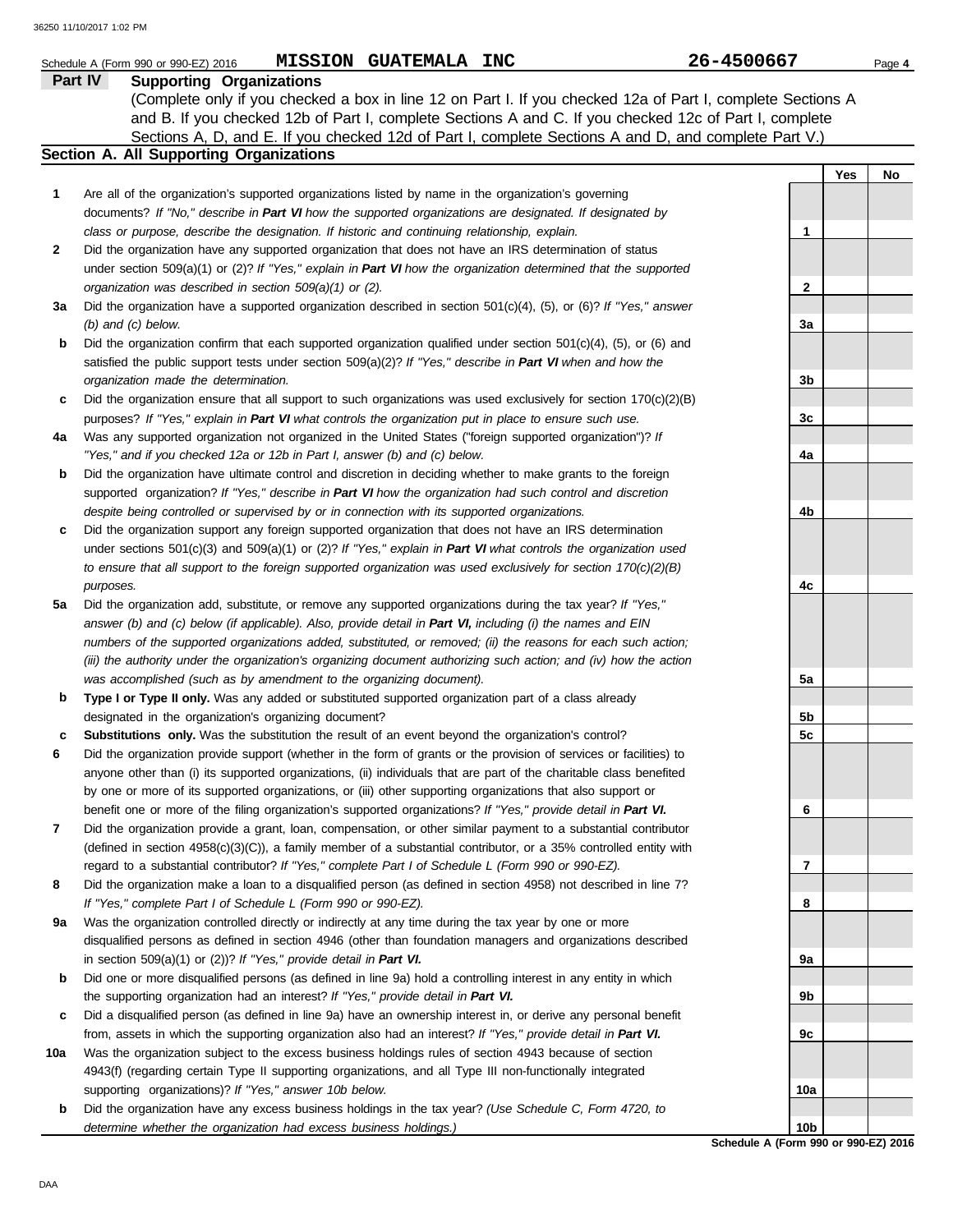|         | <b>MISSION GUATEMALA INC</b><br>Schedule A (Form 990 or 990-EZ) 2016                                                                                                                                                                                                                                                          | 26-4500667                          |     | Page 4 |
|---------|-------------------------------------------------------------------------------------------------------------------------------------------------------------------------------------------------------------------------------------------------------------------------------------------------------------------------------|-------------------------------------|-----|--------|
| Part IV | <b>Supporting Organizations</b>                                                                                                                                                                                                                                                                                               |                                     |     |        |
|         | (Complete only if you checked a box in line 12 on Part I. If you checked 12a of Part I, complete Sections A<br>and B. If you checked 12b of Part I, complete Sections A and C. If you checked 12c of Part I, complete<br>Sections A, D, and E. If you checked 12d of Part I, complete Sections A and D, and complete Part V.) |                                     |     |        |
|         | Section A. All Supporting Organizations                                                                                                                                                                                                                                                                                       |                                     |     |        |
|         |                                                                                                                                                                                                                                                                                                                               |                                     | Yes | No     |
| 1       | Are all of the organization's supported organizations listed by name in the organization's governing                                                                                                                                                                                                                          |                                     |     |        |
|         | documents? If "No," describe in Part VI how the supported organizations are designated. If designated by                                                                                                                                                                                                                      |                                     |     |        |
|         | class or purpose, describe the designation. If historic and continuing relationship, explain.                                                                                                                                                                                                                                 | 1                                   |     |        |
| 2       | Did the organization have any supported organization that does not have an IRS determination of status                                                                                                                                                                                                                        |                                     |     |        |
|         | under section 509(a)(1) or (2)? If "Yes," explain in Part VI how the organization determined that the supported                                                                                                                                                                                                               |                                     |     |        |
|         | organization was described in section 509(a)(1) or (2).                                                                                                                                                                                                                                                                       | 2                                   |     |        |
| За      | Did the organization have a supported organization described in section $501(c)(4)$ , (5), or (6)? If "Yes," answer                                                                                                                                                                                                           |                                     |     |        |
|         | $(b)$ and $(c)$ below.                                                                                                                                                                                                                                                                                                        | 3a                                  |     |        |
| b       | Did the organization confirm that each supported organization qualified under section $501(c)(4)$ , $(5)$ , or $(6)$ and                                                                                                                                                                                                      |                                     |     |        |
|         | satisfied the public support tests under section 509(a)(2)? If "Yes," describe in Part VI when and how the                                                                                                                                                                                                                    |                                     |     |        |
|         | organization made the determination.                                                                                                                                                                                                                                                                                          | 3b                                  |     |        |
| c       | Did the organization ensure that all support to such organizations was used exclusively for section $170(c)(2)(B)$                                                                                                                                                                                                            |                                     |     |        |
|         | purposes? If "Yes," explain in Part VI what controls the organization put in place to ensure such use.                                                                                                                                                                                                                        | 3c                                  |     |        |
| 4a      | Was any supported organization not organized in the United States ("foreign supported organization")? If                                                                                                                                                                                                                      |                                     |     |        |
| b       | "Yes," and if you checked 12a or 12b in Part I, answer (b) and (c) below.<br>Did the organization have ultimate control and discretion in deciding whether to make grants to the foreign                                                                                                                                      | 4a                                  |     |        |
|         | supported organization? If "Yes," describe in Part VI how the organization had such control and discretion                                                                                                                                                                                                                    |                                     |     |        |
|         | despite being controlled or supervised by or in connection with its supported organizations.                                                                                                                                                                                                                                  | 4b                                  |     |        |
| c       | Did the organization support any foreign supported organization that does not have an IRS determination                                                                                                                                                                                                                       |                                     |     |        |
|         | under sections $501(c)(3)$ and $509(a)(1)$ or (2)? If "Yes," explain in Part VI what controls the organization used                                                                                                                                                                                                           |                                     |     |        |
|         | to ensure that all support to the foreign supported organization was used exclusively for section $170(c)(2)(B)$                                                                                                                                                                                                              |                                     |     |        |
|         | purposes.                                                                                                                                                                                                                                                                                                                     | 4c                                  |     |        |
| 5a      | Did the organization add, substitute, or remove any supported organizations during the tax year? If "Yes,"                                                                                                                                                                                                                    |                                     |     |        |
|         | answer (b) and (c) below (if applicable). Also, provide detail in Part VI, including (i) the names and EIN                                                                                                                                                                                                                    |                                     |     |        |
|         | numbers of the supported organizations added, substituted, or removed; (ii) the reasons for each such action;                                                                                                                                                                                                                 |                                     |     |        |
|         | (iii) the authority under the organization's organizing document authorizing such action; and (iv) how the action                                                                                                                                                                                                             |                                     |     |        |
|         | was accomplished (such as by amendment to the organizing document).                                                                                                                                                                                                                                                           | 5a                                  |     |        |
| b       | Type I or Type II only. Was any added or substituted supported organization part of a class already                                                                                                                                                                                                                           |                                     |     |        |
|         | designated in the organization's organizing document?                                                                                                                                                                                                                                                                         | 5b                                  |     |        |
| c       | Substitutions only. Was the substitution the result of an event beyond the organization's control?                                                                                                                                                                                                                            | 5 <sub>c</sub>                      |     |        |
| 6       | Did the organization provide support (whether in the form of grants or the provision of services or facilities) to                                                                                                                                                                                                            |                                     |     |        |
|         | anyone other than (i) its supported organizations, (ii) individuals that are part of the charitable class benefited<br>by one or more of its supported organizations, or (iii) other supporting organizations that also support or                                                                                            |                                     |     |        |
|         | benefit one or more of the filing organization's supported organizations? If "Yes," provide detail in Part VI.                                                                                                                                                                                                                | 6                                   |     |        |
| 7       | Did the organization provide a grant, loan, compensation, or other similar payment to a substantial contributor                                                                                                                                                                                                               |                                     |     |        |
|         | (defined in section $4958(c)(3)(C)$ ), a family member of a substantial contributor, or a 35% controlled entity with                                                                                                                                                                                                          |                                     |     |        |
|         | regard to a substantial contributor? If "Yes," complete Part I of Schedule L (Form 990 or 990-EZ).                                                                                                                                                                                                                            | 7                                   |     |        |
| 8       | Did the organization make a loan to a disqualified person (as defined in section 4958) not described in line 7?                                                                                                                                                                                                               |                                     |     |        |
|         | If "Yes," complete Part I of Schedule L (Form 990 or 990-EZ).                                                                                                                                                                                                                                                                 | 8                                   |     |        |
| 9а      | Was the organization controlled directly or indirectly at any time during the tax year by one or more                                                                                                                                                                                                                         |                                     |     |        |
|         | disqualified persons as defined in section 4946 (other than foundation managers and organizations described                                                                                                                                                                                                                   |                                     |     |        |
|         | in section 509(a)(1) or (2))? If "Yes," provide detail in Part VI.                                                                                                                                                                                                                                                            | 9a                                  |     |        |
| b       | Did one or more disqualified persons (as defined in line 9a) hold a controlling interest in any entity in which                                                                                                                                                                                                               |                                     |     |        |
|         | the supporting organization had an interest? If "Yes," provide detail in Part VI.                                                                                                                                                                                                                                             | 9b                                  |     |        |
| c       | Did a disqualified person (as defined in line 9a) have an ownership interest in, or derive any personal benefit                                                                                                                                                                                                               |                                     |     |        |
|         | from, assets in which the supporting organization also had an interest? If "Yes," provide detail in Part VI.                                                                                                                                                                                                                  | 9c                                  |     |        |
| 10a     | Was the organization subject to the excess business holdings rules of section 4943 because of section                                                                                                                                                                                                                         |                                     |     |        |
|         | 4943(f) (regarding certain Type II supporting organizations, and all Type III non-functionally integrated                                                                                                                                                                                                                     |                                     |     |        |
|         | supporting organizations)? If "Yes," answer 10b below.                                                                                                                                                                                                                                                                        | 10a                                 |     |        |
| b       | Did the organization have any excess business holdings in the tax year? (Use Schedule C, Form 4720, to<br>determine whether the organization had excess business holdings.)                                                                                                                                                   | 10 <sub>b</sub>                     |     |        |
|         |                                                                                                                                                                                                                                                                                                                               | Schodule A (Form 000 or 000 EZ) 204 |     |        |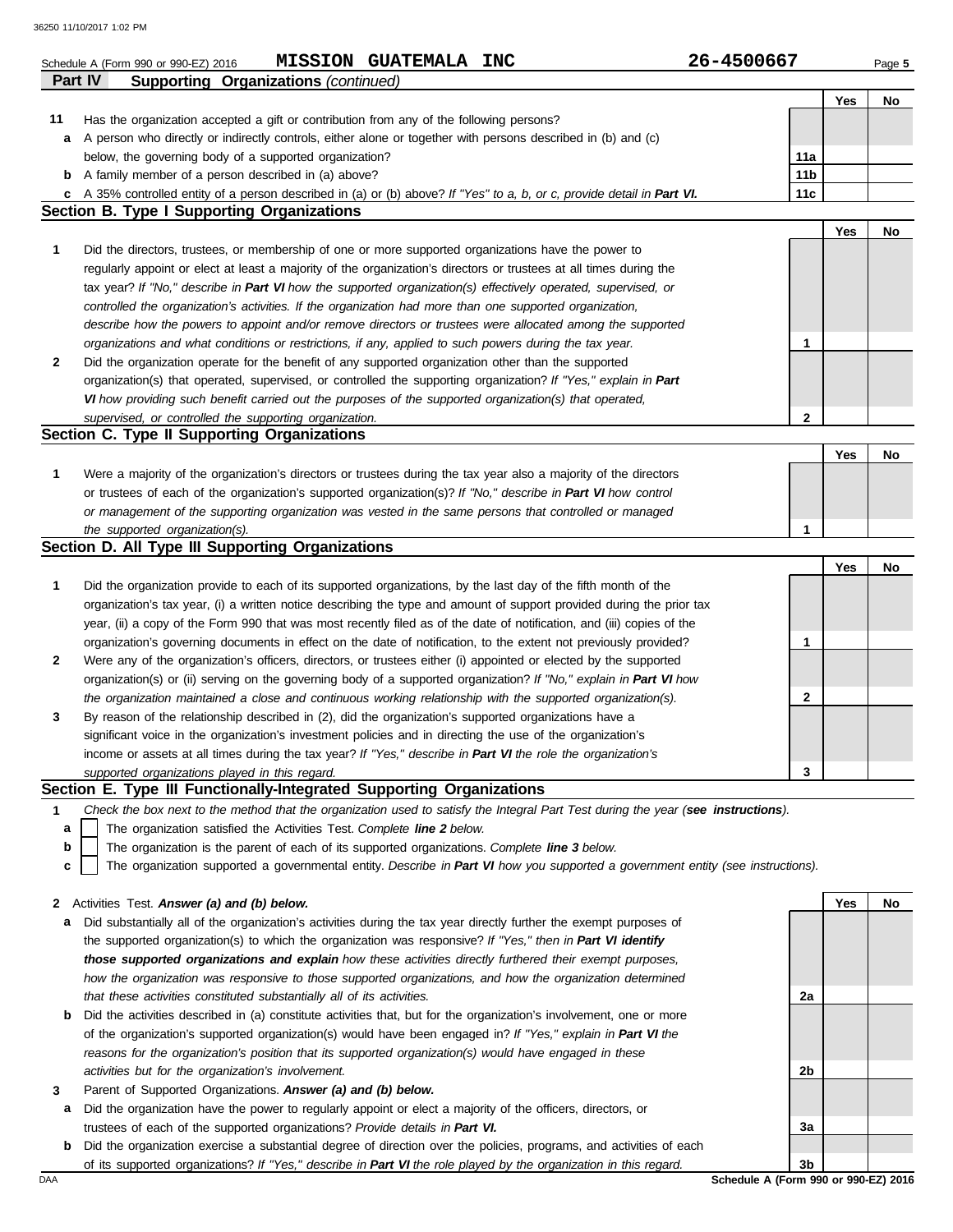|         | <b>MISSION GUATEMALA INC</b><br>Schedule A (Form 990 or 990-EZ) 2016                                                              | 26-4500667      |     | Page 5 |
|---------|-----------------------------------------------------------------------------------------------------------------------------------|-----------------|-----|--------|
| Part IV | <b>Supporting Organizations (continued)</b>                                                                                       |                 |     |        |
|         |                                                                                                                                   |                 | Yes | No     |
| 11      | Has the organization accepted a gift or contribution from any of the following persons?                                           |                 |     |        |
| a       | A person who directly or indirectly controls, either alone or together with persons described in (b) and (c)                      |                 |     |        |
|         | below, the governing body of a supported organization?                                                                            | 11a             |     |        |
|         | <b>b</b> A family member of a person described in (a) above?                                                                      | 11 <sub>b</sub> |     |        |
|         | c A 35% controlled entity of a person described in (a) or (b) above? If "Yes" to a, b, or c, provide detail in Part VI.           | 11c             |     |        |
|         | Section B. Type I Supporting Organizations                                                                                        |                 |     |        |
|         |                                                                                                                                   |                 | Yes | No     |
| 1       | Did the directors, trustees, or membership of one or more supported organizations have the power to                               |                 |     |        |
|         | regularly appoint or elect at least a majority of the organization's directors or trustees at all times during the                |                 |     |        |
|         | tax year? If "No," describe in Part VI how the supported organization(s) effectively operated, supervised, or                     |                 |     |        |
|         | controlled the organization's activities. If the organization had more than one supported organization,                           |                 |     |        |
|         | describe how the powers to appoint and/or remove directors or trustees were allocated among the supported                         |                 |     |        |
|         | organizations and what conditions or restrictions, if any, applied to such powers during the tax year.                            | 1               |     |        |
| 2       | Did the organization operate for the benefit of any supported organization other than the supported                               |                 |     |        |
|         | organization(s) that operated, supervised, or controlled the supporting organization? If "Yes," explain in Part                   |                 |     |        |
|         | VI how providing such benefit carried out the purposes of the supported organization(s) that operated,                            |                 |     |        |
|         | supervised, or controlled the supporting organization.                                                                            | $\mathbf 2$     |     |        |
|         | Section C. Type II Supporting Organizations                                                                                       |                 |     |        |
|         |                                                                                                                                   |                 | Yes | No     |
| 1       | Were a majority of the organization's directors or trustees during the tax year also a majority of the directors                  |                 |     |        |
|         | or trustees of each of the organization's supported organization(s)? If "No," describe in Part VI how control                     |                 |     |        |
|         | or management of the supporting organization was vested in the same persons that controlled or managed                            |                 |     |        |
|         | the supported organization(s).                                                                                                    | 1               |     |        |
|         | Section D. All Type III Supporting Organizations                                                                                  |                 |     |        |
|         |                                                                                                                                   |                 | Yes | No     |
| 1       | Did the organization provide to each of its supported organizations, by the last day of the fifth month of the                    |                 |     |        |
|         | organization's tax year, (i) a written notice describing the type and amount of support provided during the prior tax             |                 |     |        |
|         | year, (ii) a copy of the Form 990 that was most recently filed as of the date of notification, and (iii) copies of the            |                 |     |        |
|         | organization's governing documents in effect on the date of notification, to the extent not previously provided?                  | 1               |     |        |
| 2       | Were any of the organization's officers, directors, or trustees either (i) appointed or elected by the supported                  |                 |     |        |
|         | organization(s) or (ii) serving on the governing body of a supported organization? If "No," explain in Part VI how                |                 |     |        |
|         | the organization maintained a close and continuous working relationship with the supported organization(s).                       | 2               |     |        |
| 3       | By reason of the relationship described in (2), did the organization's supported organizations have a                             |                 |     |        |
|         | significant voice in the organization's investment policies and in directing the use of the organization's                        |                 |     |        |
|         | income or assets at all times during the tax year? If "Yes," describe in Part VI the role the organization's                      |                 |     |        |
|         | supported organizations played in this regard.                                                                                    | 3               |     |        |
|         | Section E. Type III Functionally-Integrated Supporting Organizations                                                              |                 |     |        |
| 1       | Check the box next to the method that the organization used to satisfy the Integral Part Test during the year (see instructions). |                 |     |        |
| a       | The organization satisfied the Activities Test. Complete line 2 below.                                                            |                 |     |        |
| b       | The organization is the parent of each of its supported organizations. Complete line 3 below.                                     |                 |     |        |
| C       | The organization supported a governmental entity. Describe in Part VI how you supported a government entity (see instructions).   |                 |     |        |
|         |                                                                                                                                   |                 |     |        |
| 2       | Activities Test. Answer (a) and (b) below.                                                                                        |                 | Yes | No     |
| а       | Did substantially all of the organization's activities during the tax year directly further the exempt purposes of                |                 |     |        |
|         | the supported organization(s) to which the organization was responsive? If "Yes," then in Part VI identify                        |                 |     |        |
|         | those supported organizations and explain how these activities directly furthered their exempt purposes,                          |                 |     |        |
|         | how the organization was responsive to those supported organizations, and how the organization determined                         |                 |     |        |
|         | that these activities constituted substantially all of its activities.                                                            | 2a              |     |        |
| b       | Did the activities described in (a) constitute activities that, but for the organization's involvement, one or more               |                 |     |        |
|         | of the organization's supported organization(s) would have been engaged in? If "Yes," explain in Part VI the                      |                 |     |        |
|         | reasons for the organization's position that its supported organization(s) would have engaged in these                            |                 |     |        |
|         | activities but for the organization's involvement.                                                                                | 2b              |     |        |
| 3       | Parent of Supported Organizations. Answer (a) and (b) below.                                                                      |                 |     |        |
| а       | Did the organization have the power to regularly appoint or elect a majority of the officers, directors, or                       |                 |     |        |
|         | trustees of each of the supported organizations? Provide details in Part VI.                                                      | За              |     |        |
| b       | Did the organization exercise a substantial degree of direction over the policies, programs, and activities of each               |                 |     |        |
|         | of its supported organizations? If "Yes," describe in Part VI the role played by the organization in this regard.                 | 3 <sub>b</sub>  |     |        |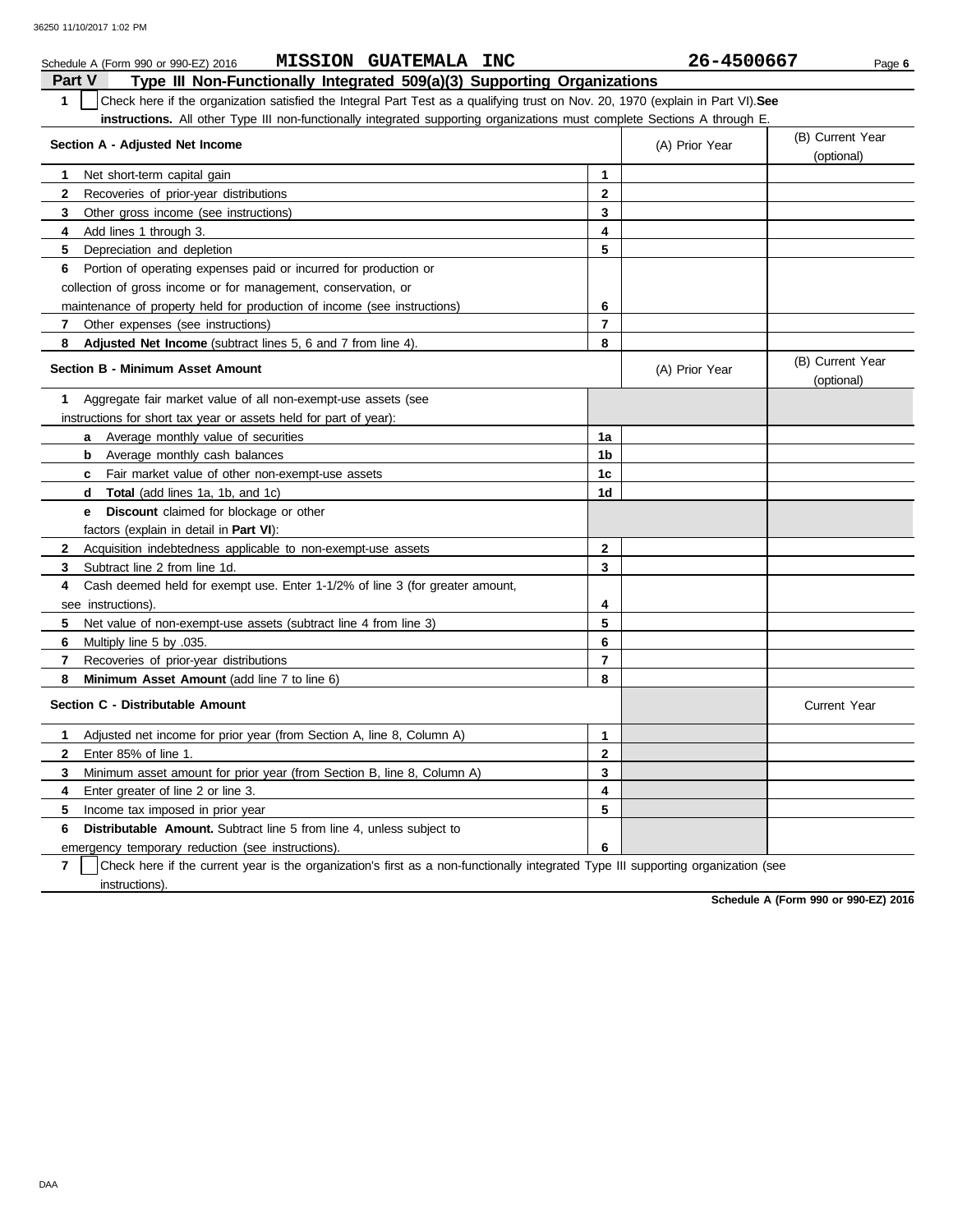| <b>MISSION GUATEMALA INC</b><br>Schedule A (Form 990 or 990-EZ) 2016                                                                            |                                                                                                                           | 26-4500667     | Page 6                         |  |  |  |  |  |
|-------------------------------------------------------------------------------------------------------------------------------------------------|---------------------------------------------------------------------------------------------------------------------------|----------------|--------------------------------|--|--|--|--|--|
| <b>Part V</b><br>Type III Non-Functionally Integrated 509(a)(3) Supporting Organizations                                                        |                                                                                                                           |                |                                |  |  |  |  |  |
| Check here if the organization satisfied the Integral Part Test as a qualifying trust on Nov. 20, 1970 (explain in Part VI). See<br>$\mathbf 1$ |                                                                                                                           |                |                                |  |  |  |  |  |
|                                                                                                                                                 | instructions. All other Type III non-functionally integrated supporting organizations must complete Sections A through E. |                |                                |  |  |  |  |  |
| Section A - Adjusted Net Income                                                                                                                 | (B) Current Year                                                                                                          |                |                                |  |  |  |  |  |
|                                                                                                                                                 |                                                                                                                           | (A) Prior Year | (optional)                     |  |  |  |  |  |
| 1<br>Net short-term capital gain                                                                                                                | $\mathbf{1}$                                                                                                              |                |                                |  |  |  |  |  |
| 2<br>Recoveries of prior-year distributions                                                                                                     | $\mathbf{2}$                                                                                                              |                |                                |  |  |  |  |  |
| 3<br>Other gross income (see instructions)                                                                                                      | 3                                                                                                                         |                |                                |  |  |  |  |  |
| 4<br>Add lines 1 through 3.                                                                                                                     | 4                                                                                                                         |                |                                |  |  |  |  |  |
| 5<br>Depreciation and depletion                                                                                                                 | 5                                                                                                                         |                |                                |  |  |  |  |  |
| Portion of operating expenses paid or incurred for production or<br>6                                                                           |                                                                                                                           |                |                                |  |  |  |  |  |
| collection of gross income or for management, conservation, or                                                                                  |                                                                                                                           |                |                                |  |  |  |  |  |
| maintenance of property held for production of income (see instructions)                                                                        | 6                                                                                                                         |                |                                |  |  |  |  |  |
| 7<br>Other expenses (see instructions)                                                                                                          | 7                                                                                                                         |                |                                |  |  |  |  |  |
| Adjusted Net Income (subtract lines 5, 6 and 7 from line 4).<br>8                                                                               | 8                                                                                                                         |                |                                |  |  |  |  |  |
| Section B - Minimum Asset Amount                                                                                                                |                                                                                                                           | (A) Prior Year | (B) Current Year<br>(optional) |  |  |  |  |  |
| Aggregate fair market value of all non-exempt-use assets (see<br>1                                                                              |                                                                                                                           |                |                                |  |  |  |  |  |
| instructions for short tax year or assets held for part of year):                                                                               |                                                                                                                           |                |                                |  |  |  |  |  |
| Average monthly value of securities<br>a                                                                                                        | 1a                                                                                                                        |                |                                |  |  |  |  |  |
| Average monthly cash balances<br>b                                                                                                              | 1 <sub>b</sub>                                                                                                            |                |                                |  |  |  |  |  |
| Fair market value of other non-exempt-use assets<br>c                                                                                           | 1c                                                                                                                        |                |                                |  |  |  |  |  |
| <b>Total</b> (add lines 1a, 1b, and 1c)<br>d                                                                                                    | 1d                                                                                                                        |                |                                |  |  |  |  |  |
| <b>Discount</b> claimed for blockage or other<br>е                                                                                              |                                                                                                                           |                |                                |  |  |  |  |  |
| factors (explain in detail in <b>Part VI</b> ):                                                                                                 |                                                                                                                           |                |                                |  |  |  |  |  |
| $\mathbf{2}$<br>Acquisition indebtedness applicable to non-exempt-use assets                                                                    | $\mathbf{2}$                                                                                                              |                |                                |  |  |  |  |  |
| Subtract line 2 from line 1d.<br>3                                                                                                              | 3                                                                                                                         |                |                                |  |  |  |  |  |
| Cash deemed held for exempt use. Enter 1-1/2% of line 3 (for greater amount,<br>4                                                               |                                                                                                                           |                |                                |  |  |  |  |  |
| see instructions).                                                                                                                              | 4                                                                                                                         |                |                                |  |  |  |  |  |
| 5<br>Net value of non-exempt-use assets (subtract line 4 from line 3)                                                                           | 5                                                                                                                         |                |                                |  |  |  |  |  |
| 6<br>Multiply line 5 by .035.                                                                                                                   | 6                                                                                                                         |                |                                |  |  |  |  |  |
| 7<br>Recoveries of prior-year distributions                                                                                                     | $\overline{7}$                                                                                                            |                |                                |  |  |  |  |  |
| 8<br>Minimum Asset Amount (add line 7 to line 6)                                                                                                | 8                                                                                                                         |                |                                |  |  |  |  |  |
| Section C - Distributable Amount                                                                                                                |                                                                                                                           |                | <b>Current Year</b>            |  |  |  |  |  |
| Adjusted net income for prior year (from Section A, line 8, Column A)<br>1                                                                      | $\mathbf{1}$                                                                                                              |                |                                |  |  |  |  |  |
| $\mathbf{2}$<br>Enter 85% of line 1.                                                                                                            | $\mathbf{2}$                                                                                                              |                |                                |  |  |  |  |  |
| Minimum asset amount for prior year (from Section B, line 8, Column A)<br>3                                                                     | 3                                                                                                                         |                |                                |  |  |  |  |  |
| 4<br>Enter greater of line 2 or line 3.                                                                                                         | 4                                                                                                                         |                |                                |  |  |  |  |  |
| 5<br>Income tax imposed in prior year                                                                                                           | 5                                                                                                                         |                |                                |  |  |  |  |  |
| <b>Distributable Amount.</b> Subtract line 5 from line 4, unless subject to<br>6                                                                |                                                                                                                           |                |                                |  |  |  |  |  |
| emergency temporary reduction (see instructions).                                                                                               | 6                                                                                                                         |                |                                |  |  |  |  |  |

**7** instructions). Check here if the current year is the organization's first as a non-functionally integrated Type III supporting organization (see

**Schedule A (Form 990 or 990-EZ) 2016**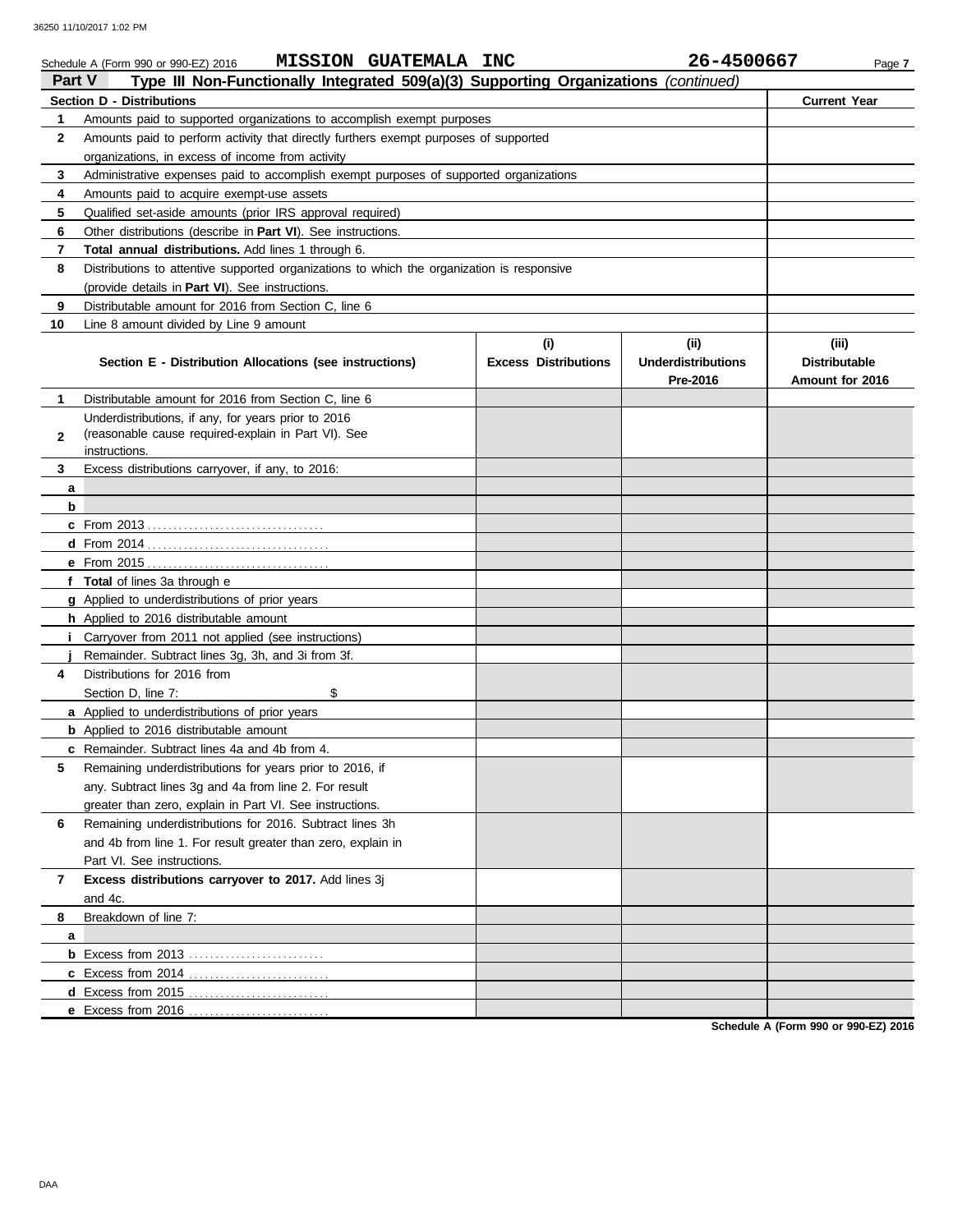| <b>Part V</b> | <b>MISSION GUATEMALA INC</b><br>Schedule A (Form 990 or 990-EZ) 2016<br>Type III Non-Functionally Integrated 509(a)(3) Supporting Organizations (continued) |                             | 26-4500667                | Page 7               |
|---------------|-------------------------------------------------------------------------------------------------------------------------------------------------------------|-----------------------------|---------------------------|----------------------|
|               | <b>Section D - Distributions</b>                                                                                                                            |                             |                           | <b>Current Year</b>  |
| 1             | Amounts paid to supported organizations to accomplish exempt purposes                                                                                       |                             |                           |                      |
| $\mathbf{2}$  | Amounts paid to perform activity that directly furthers exempt purposes of supported                                                                        |                             |                           |                      |
|               | organizations, in excess of income from activity                                                                                                            |                             |                           |                      |
| 3             | Administrative expenses paid to accomplish exempt purposes of supported organizations                                                                       |                             |                           |                      |
| 4             | Amounts paid to acquire exempt-use assets                                                                                                                   |                             |                           |                      |
| 5             | Qualified set-aside amounts (prior IRS approval required)                                                                                                   |                             |                           |                      |
| 6             | Other distributions (describe in Part VI). See instructions.                                                                                                |                             |                           |                      |
| 7             | Total annual distributions. Add lines 1 through 6.                                                                                                          |                             |                           |                      |
| 8             | Distributions to attentive supported organizations to which the organization is responsive                                                                  |                             |                           |                      |
|               | (provide details in Part VI). See instructions.                                                                                                             |                             |                           |                      |
| 9             | Distributable amount for 2016 from Section C, line 6                                                                                                        |                             |                           |                      |
| 10            | Line 8 amount divided by Line 9 amount                                                                                                                      |                             |                           |                      |
|               |                                                                                                                                                             | (i)                         | (iii)                     | (iii)                |
|               | Section E - Distribution Allocations (see instructions)                                                                                                     | <b>Excess Distributions</b> | <b>Underdistributions</b> | <b>Distributable</b> |
|               |                                                                                                                                                             |                             | Pre-2016                  | Amount for 2016      |
| 1             | Distributable amount for 2016 from Section C, line 6                                                                                                        |                             |                           |                      |
|               | Underdistributions, if any, for years prior to 2016                                                                                                         |                             |                           |                      |
| $\mathbf{2}$  | (reasonable cause required-explain in Part VI). See<br>instructions.                                                                                        |                             |                           |                      |
| 3             | Excess distributions carryover, if any, to 2016:                                                                                                            |                             |                           |                      |
| a             |                                                                                                                                                             |                             |                           |                      |
| b             |                                                                                                                                                             |                             |                           |                      |
|               |                                                                                                                                                             |                             |                           |                      |
|               |                                                                                                                                                             |                             |                           |                      |
|               |                                                                                                                                                             |                             |                           |                      |
|               | f Total of lines 3a through e                                                                                                                               |                             |                           |                      |
|               | g Applied to underdistributions of prior years                                                                                                              |                             |                           |                      |
|               | h Applied to 2016 distributable amount                                                                                                                      |                             |                           |                      |
|               | Carryover from 2011 not applied (see instructions)                                                                                                          |                             |                           |                      |
|               | Remainder. Subtract lines 3g, 3h, and 3i from 3f.                                                                                                           |                             |                           |                      |
| 4             | Distributions for 2016 from                                                                                                                                 |                             |                           |                      |
|               | Section D, line 7:<br>\$                                                                                                                                    |                             |                           |                      |
|               | a Applied to underdistributions of prior years                                                                                                              |                             |                           |                      |
|               | <b>b</b> Applied to 2016 distributable amount                                                                                                               |                             |                           |                      |
|               | c Remainder. Subtract lines 4a and 4b from 4.                                                                                                               |                             |                           |                      |
| 5.            | Remaining underdistributions for years prior to 2016, if                                                                                                    |                             |                           |                      |
|               | any. Subtract lines 3g and 4a from line 2. For result                                                                                                       |                             |                           |                      |
|               | greater than zero, explain in Part VI. See instructions.                                                                                                    |                             |                           |                      |
| 6             | Remaining underdistributions for 2016. Subtract lines 3h                                                                                                    |                             |                           |                      |
|               | and 4b from line 1. For result greater than zero, explain in                                                                                                |                             |                           |                      |
|               | Part VI. See instructions.                                                                                                                                  |                             |                           |                      |
| 7             | Excess distributions carryover to 2017. Add lines 3j                                                                                                        |                             |                           |                      |
|               | and 4c.<br>Breakdown of line 7:                                                                                                                             |                             |                           |                      |
| 8             |                                                                                                                                                             |                             |                           |                      |
| a             |                                                                                                                                                             |                             |                           |                      |
|               | c Excess from 2014                                                                                                                                          |                             |                           |                      |
|               | d Excess from 2015                                                                                                                                          |                             |                           |                      |
|               | e Excess from 2016                                                                                                                                          |                             |                           |                      |
|               |                                                                                                                                                             |                             |                           |                      |

**Schedule A (Form 990 or 990-EZ) 2016**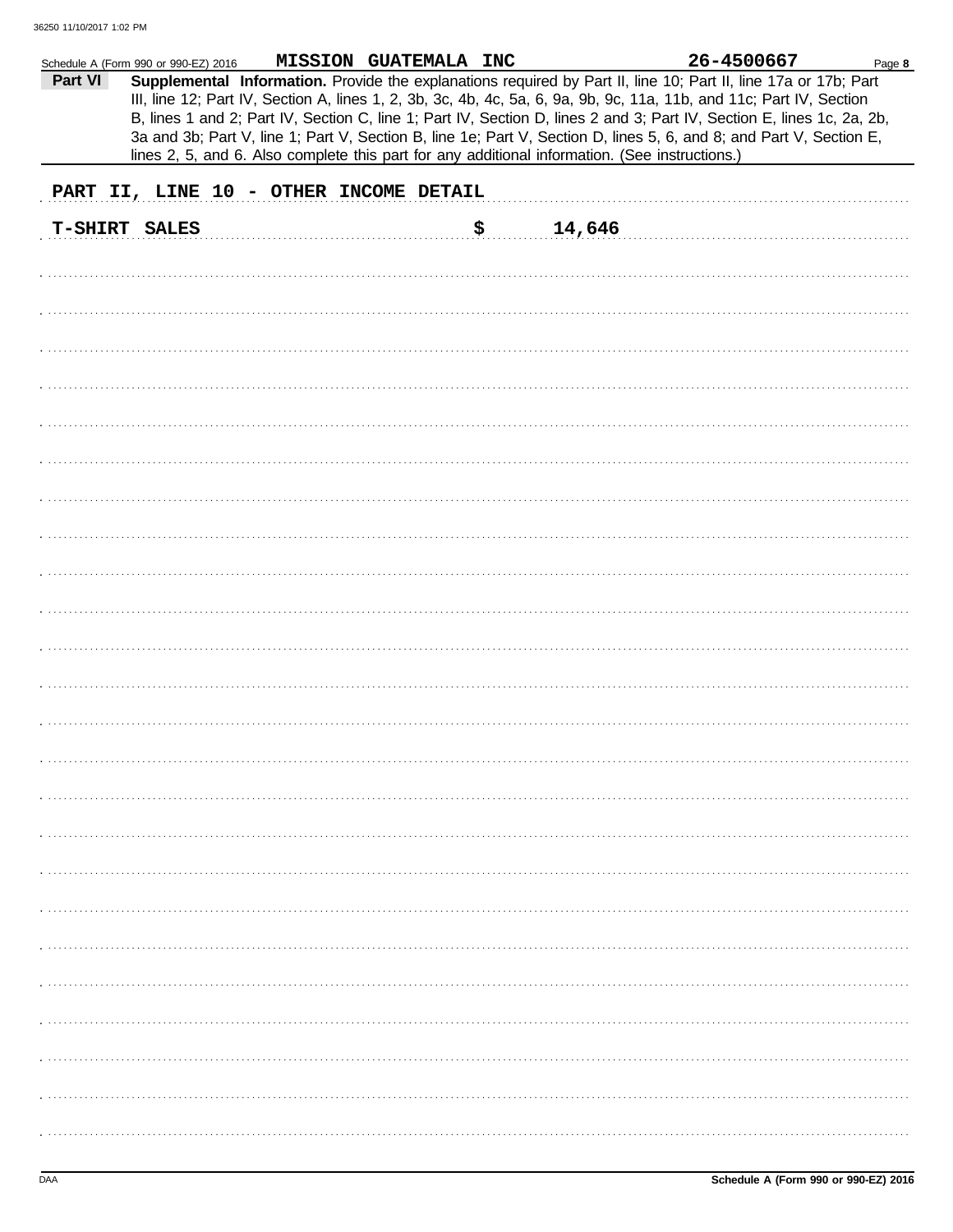|         | Schedule A (Form 990 or 990-EZ) 2016 | <b>MISSION GUATEMALA INC</b>                                                                   |     |        | 26-4500667                                                                                                             | Page 8 |
|---------|--------------------------------------|------------------------------------------------------------------------------------------------|-----|--------|------------------------------------------------------------------------------------------------------------------------|--------|
| Part VI |                                      |                                                                                                |     |        | Supplemental Information. Provide the explanations required by Part II, line 10; Part II, line 17a or 17b; Part        |        |
|         |                                      |                                                                                                |     |        | III, line 12; Part IV, Section A, lines 1, 2, 3b, 3c, 4b, 4c, 5a, 6, 9a, 9b, 9c, 11a, 11b, and 11c; Part IV, Section   |        |
|         |                                      |                                                                                                |     |        | B, lines 1 and 2; Part IV, Section C, line 1; Part IV, Section D, lines 2 and 3; Part IV, Section E, lines 1c, 2a, 2b, |        |
|         |                                      |                                                                                                |     |        | 3a and 3b; Part V, line 1; Part V, Section B, line 1e; Part V, Section D, lines 5, 6, and 8; and Part V, Section E,    |        |
|         |                                      | lines 2, 5, and 6. Also complete this part for any additional information. (See instructions.) |     |        |                                                                                                                        |        |
|         |                                      |                                                                                                |     |        |                                                                                                                        |        |
|         |                                      | PART II, LINE 10 - OTHER INCOME DETAIL                                                         |     |        |                                                                                                                        |        |
|         |                                      |                                                                                                |     |        |                                                                                                                        |        |
|         | T-SHIRT SALES                        |                                                                                                | \$. | 14,646 |                                                                                                                        |        |
|         |                                      |                                                                                                |     |        |                                                                                                                        |        |
|         |                                      |                                                                                                |     |        |                                                                                                                        |        |
|         |                                      |                                                                                                |     |        |                                                                                                                        |        |
|         |                                      |                                                                                                |     |        |                                                                                                                        |        |
|         |                                      |                                                                                                |     |        |                                                                                                                        |        |
|         |                                      |                                                                                                |     |        |                                                                                                                        |        |
|         |                                      |                                                                                                |     |        |                                                                                                                        |        |
|         |                                      |                                                                                                |     |        |                                                                                                                        |        |
|         |                                      |                                                                                                |     |        |                                                                                                                        |        |
|         |                                      |                                                                                                |     |        |                                                                                                                        |        |
|         |                                      |                                                                                                |     |        |                                                                                                                        |        |
|         |                                      |                                                                                                |     |        |                                                                                                                        |        |
|         |                                      |                                                                                                |     |        |                                                                                                                        |        |
|         |                                      |                                                                                                |     |        |                                                                                                                        |        |
|         |                                      |                                                                                                |     |        |                                                                                                                        |        |
|         |                                      |                                                                                                |     |        |                                                                                                                        |        |
|         |                                      |                                                                                                |     |        |                                                                                                                        |        |
|         |                                      |                                                                                                |     |        |                                                                                                                        |        |
|         |                                      |                                                                                                |     |        |                                                                                                                        |        |
|         |                                      |                                                                                                |     |        |                                                                                                                        |        |
|         |                                      |                                                                                                |     |        |                                                                                                                        |        |
|         |                                      |                                                                                                |     |        |                                                                                                                        |        |
|         |                                      |                                                                                                |     |        |                                                                                                                        |        |
|         |                                      |                                                                                                |     |        |                                                                                                                        |        |
|         |                                      |                                                                                                |     |        |                                                                                                                        |        |
|         |                                      |                                                                                                |     |        |                                                                                                                        |        |
|         |                                      |                                                                                                |     |        |                                                                                                                        |        |
|         |                                      |                                                                                                |     |        |                                                                                                                        |        |
|         |                                      |                                                                                                |     |        |                                                                                                                        |        |
|         |                                      |                                                                                                |     |        |                                                                                                                        |        |
|         |                                      |                                                                                                |     |        |                                                                                                                        |        |
|         |                                      |                                                                                                |     |        |                                                                                                                        |        |
|         |                                      |                                                                                                |     |        |                                                                                                                        |        |
|         |                                      |                                                                                                |     |        |                                                                                                                        |        |
|         |                                      |                                                                                                |     |        |                                                                                                                        |        |
|         |                                      |                                                                                                |     |        |                                                                                                                        |        |
|         |                                      |                                                                                                |     |        |                                                                                                                        |        |
|         |                                      |                                                                                                |     |        |                                                                                                                        |        |
|         |                                      |                                                                                                |     |        |                                                                                                                        |        |
|         |                                      |                                                                                                |     |        |                                                                                                                        |        |
|         |                                      |                                                                                                |     |        |                                                                                                                        |        |
|         |                                      |                                                                                                |     |        |                                                                                                                        |        |
|         |                                      |                                                                                                |     |        |                                                                                                                        |        |
|         |                                      |                                                                                                |     |        |                                                                                                                        |        |
|         |                                      |                                                                                                |     |        |                                                                                                                        |        |
|         |                                      |                                                                                                |     |        |                                                                                                                        |        |
|         |                                      |                                                                                                |     |        |                                                                                                                        |        |
|         |                                      |                                                                                                |     |        |                                                                                                                        |        |
|         |                                      |                                                                                                |     |        |                                                                                                                        |        |
|         |                                      |                                                                                                |     |        |                                                                                                                        |        |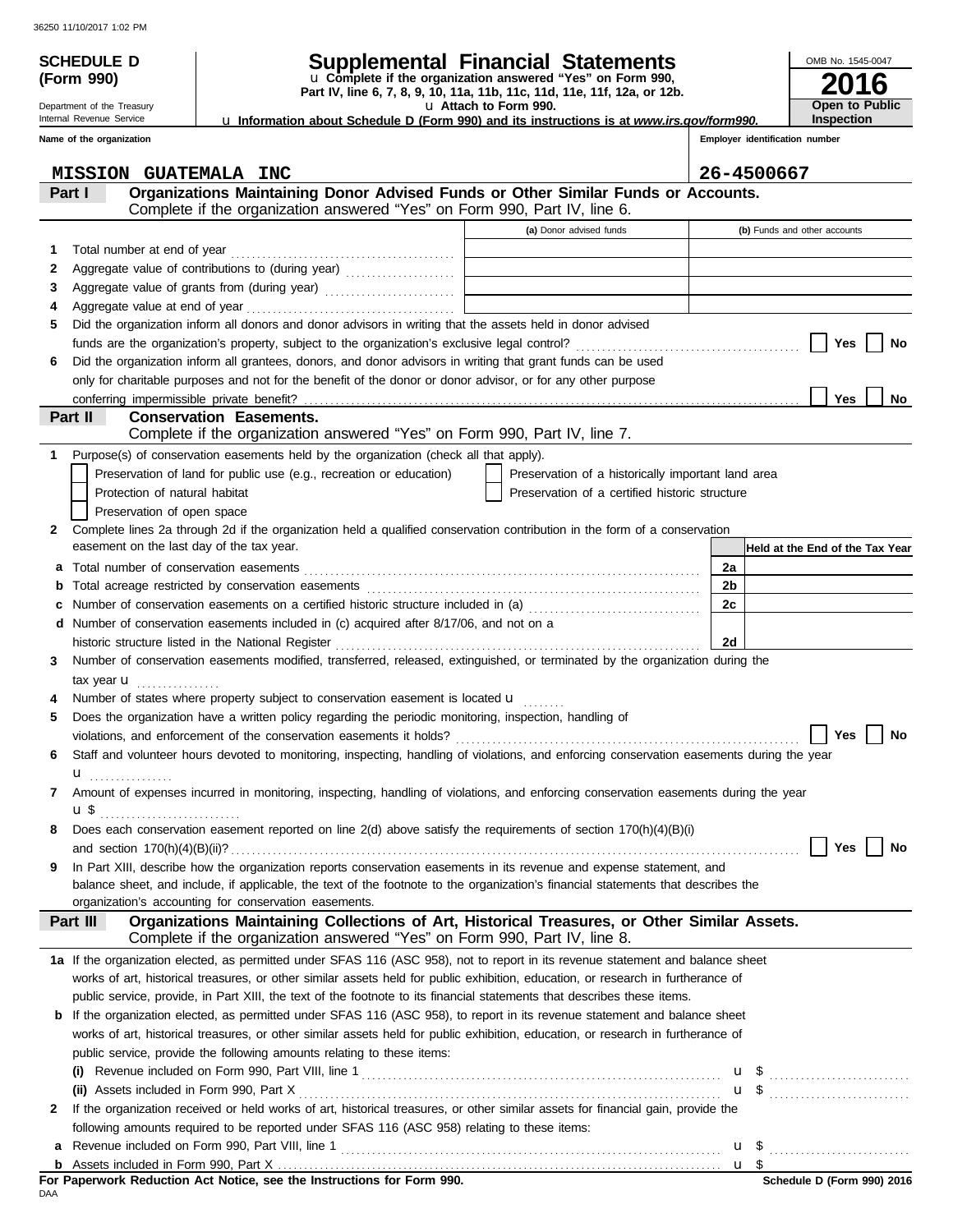Department of the Treasury Internal Revenue Service

**(Form 990)**

### **SCHEDULE D Supplemental Financial Statements**

**Part IV, line 6, 7, 8, 9, 10, 11a, 11b, 11c, 11d, 11e, 11f, 12a, or 12b.** u **Complete if the organization answered "Yes" on Form 990,**

u **Attach to Form 990.**  u **Information about Schedule D (Form 990) and its instructions is at** *www.irs.gov/form990.*

**Inspection**

**2016**

**Open to Public**

OMB No. 1545-0047

|   | Name of the organization                                                                                                                                                              | Employer identification number                     |                                 |
|---|---------------------------------------------------------------------------------------------------------------------------------------------------------------------------------------|----------------------------------------------------|---------------------------------|
|   | <b>MISSION GUATEMALA INC</b>                                                                                                                                                          |                                                    | 26-4500667                      |
|   | Organizations Maintaining Donor Advised Funds or Other Similar Funds or Accounts.<br>Part I                                                                                           |                                                    |                                 |
|   | Complete if the organization answered "Yes" on Form 990, Part IV, line 6.                                                                                                             |                                                    |                                 |
|   |                                                                                                                                                                                       | (a) Donor advised funds                            | (b) Funds and other accounts    |
| 1 | Total number at end of year                                                                                                                                                           |                                                    |                                 |
| 2 | Aggregate value of contributions to (during year) [1] [1] [1] [1] [1] Aggregate value of contributions to (during year)                                                               |                                                    |                                 |
| 3 | Aggregate value of grants from (during year)                                                                                                                                          |                                                    |                                 |
| 4 | Aggregate value at end of year                                                                                                                                                        |                                                    |                                 |
| 5 | Did the organization inform all donors and donor advisors in writing that the assets held in donor advised                                                                            |                                                    |                                 |
|   |                                                                                                                                                                                       |                                                    | Yes<br>No                       |
| 6 | Did the organization inform all grantees, donors, and donor advisors in writing that grant funds can be used                                                                          |                                                    |                                 |
|   | only for charitable purposes and not for the benefit of the donor or donor advisor, or for any other purpose                                                                          |                                                    |                                 |
|   | conferring impermissible private benefit?                                                                                                                                             |                                                    | Yes<br>No                       |
|   | Part II<br><b>Conservation Easements.</b><br>Complete if the organization answered "Yes" on Form 990, Part IV, line 7.                                                                |                                                    |                                 |
| 1 | Purpose(s) of conservation easements held by the organization (check all that apply).                                                                                                 |                                                    |                                 |
|   | Preservation of land for public use (e.g., recreation or education)                                                                                                                   | Preservation of a historically important land area |                                 |
|   | Protection of natural habitat                                                                                                                                                         | Preservation of a certified historic structure     |                                 |
|   | Preservation of open space                                                                                                                                                            |                                                    |                                 |
| 2 | Complete lines 2a through 2d if the organization held a qualified conservation contribution in the form of a conservation                                                             |                                                    |                                 |
|   | easement on the last day of the tax year.                                                                                                                                             |                                                    | Held at the End of the Tax Year |
| а |                                                                                                                                                                                       |                                                    | 2a                              |
| b |                                                                                                                                                                                       |                                                    | 2b                              |
|   | Number of conservation easements on a certified historic structure included in (a) [[[[[[[[[[[[[[[[[[[[[[[[[]]]]]]]                                                                   |                                                    | 2c                              |
| d | Number of conservation easements included in (c) acquired after 8/17/06, and not on a                                                                                                 |                                                    |                                 |
|   | historic structure listed in the National Register                                                                                                                                    |                                                    | 2d                              |
| 3 | Number of conservation easements modified, transferred, released, extinguished, or terminated by the organization during the                                                          |                                                    |                                 |
|   | tax year $\mathbf u$                                                                                                                                                                  |                                                    |                                 |
|   | Number of states where property subject to conservation easement is located u                                                                                                         |                                                    |                                 |
| 5 | Does the organization have a written policy regarding the periodic monitoring, inspection, handling of                                                                                |                                                    |                                 |
|   |                                                                                                                                                                                       |                                                    | No<br>Yes                       |
| 6 | Staff and volunteer hours devoted to monitoring, inspecting, handling of violations, and enforcing conservation easements during the year                                             |                                                    |                                 |
|   | u <sub></sub>                                                                                                                                                                         |                                                    |                                 |
| 7 | Amount of expenses incurred in monitoring, inspecting, handling of violations, and enforcing conservation easements during the year                                                   |                                                    |                                 |
|   | u\$                                                                                                                                                                                   |                                                    |                                 |
|   | Does each conservation easement reported on line 2(d) above satisfy the requirements of section 170(h)(4)(B)(i)                                                                       |                                                    |                                 |
|   |                                                                                                                                                                                       |                                                    | No<br>Yes                       |
| 9 | In Part XIII, describe how the organization reports conservation easements in its revenue and expense statement, and                                                                  |                                                    |                                 |
|   | balance sheet, and include, if applicable, the text of the footnote to the organization's financial statements that describes the                                                     |                                                    |                                 |
|   | organization's accounting for conservation easements.                                                                                                                                 |                                                    |                                 |
|   | Organizations Maintaining Collections of Art, Historical Treasures, or Other Similar Assets.<br>Part III<br>Complete if the organization answered "Yes" on Form 990, Part IV, line 8. |                                                    |                                 |
|   | 1a If the organization elected, as permitted under SFAS 116 (ASC 958), not to report in its revenue statement and balance sheet                                                       |                                                    |                                 |
|   | works of art, historical treasures, or other similar assets held for public exhibition, education, or research in furtherance of                                                      |                                                    |                                 |
|   | public service, provide, in Part XIII, the text of the footnote to its financial statements that describes these items.                                                               |                                                    |                                 |
| b | If the organization elected, as permitted under SFAS 116 (ASC 958), to report in its revenue statement and balance sheet                                                              |                                                    |                                 |
|   | works of art, historical treasures, or other similar assets held for public exhibition, education, or research in furtherance of                                                      |                                                    |                                 |
|   | public service, provide the following amounts relating to these items:                                                                                                                |                                                    |                                 |
|   |                                                                                                                                                                                       |                                                    | $\mathbf{u}$ \$                 |
|   | (ii) Assets included in Form 990, Part X                                                                                                                                              |                                                    |                                 |
| 2 | If the organization received or held works of art, historical treasures, or other similar assets for financial gain, provide the                                                      |                                                    |                                 |
|   | following amounts required to be reported under SFAS 116 (ASC 958) relating to these items:                                                                                           |                                                    |                                 |
| а |                                                                                                                                                                                       |                                                    | u \$                            |
|   |                                                                                                                                                                                       |                                                    |                                 |

DAA **For Paperwork Reduction Act Notice, see the Instructions for Form 990.**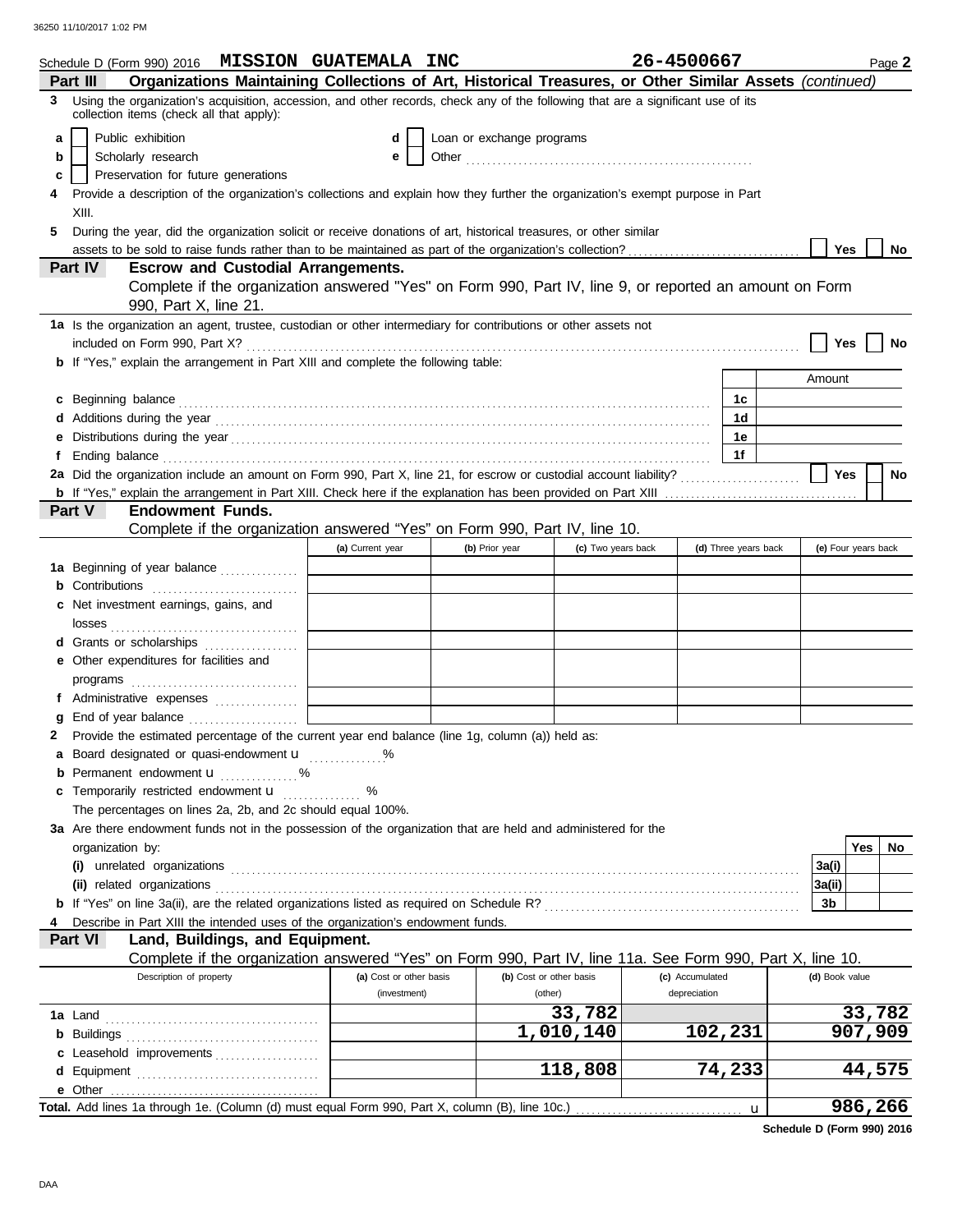|    | Schedule D (Form 990) 2016 MISSION GUATEMALA INC<br>Organizations Maintaining Collections of Art, Historical Treasures, or Other Similar Assets (continued)<br>Part III |                         |                           |                    | 26-4500667      |                      | Page 2              |  |
|----|-------------------------------------------------------------------------------------------------------------------------------------------------------------------------|-------------------------|---------------------------|--------------------|-----------------|----------------------|---------------------|--|
| 3  | Using the organization's acquisition, accession, and other records, check any of the following that are a significant use of its                                        |                         |                           |                    |                 |                      |                     |  |
|    | collection items (check all that apply):                                                                                                                                |                         |                           |                    |                 |                      |                     |  |
| a  | Public exhibition                                                                                                                                                       | d                       | Loan or exchange programs |                    |                 |                      |                     |  |
| b  | Scholarly research                                                                                                                                                      | е                       |                           |                    |                 |                      |                     |  |
| c  | Preservation for future generations                                                                                                                                     |                         |                           |                    |                 |                      |                     |  |
|    | Provide a description of the organization's collections and explain how they further the organization's exempt purpose in Part<br>XIII.                                 |                         |                           |                    |                 |                      |                     |  |
| 5. | During the year, did the organization solicit or receive donations of art, historical treasures, or other similar                                                       |                         |                           |                    |                 |                      |                     |  |
|    | assets to be sold to raise funds rather than to be maintained as part of the organization's collection?                                                                 |                         |                           |                    |                 |                      | <b>Yes</b><br>No    |  |
|    | Part IV<br><b>Escrow and Custodial Arrangements.</b>                                                                                                                    |                         |                           |                    |                 |                      |                     |  |
|    | Complete if the organization answered "Yes" on Form 990, Part IV, line 9, or reported an amount on Form                                                                 |                         |                           |                    |                 |                      |                     |  |
|    | 990, Part X, line 21.                                                                                                                                                   |                         |                           |                    |                 |                      |                     |  |
|    | 1a Is the organization an agent, trustee, custodian or other intermediary for contributions or other assets not                                                         |                         |                           |                    |                 |                      |                     |  |
|    |                                                                                                                                                                         |                         |                           |                    |                 |                      | Yes<br>No           |  |
|    | <b>b</b> If "Yes," explain the arrangement in Part XIII and complete the following table:                                                                               |                         |                           |                    |                 |                      |                     |  |
|    |                                                                                                                                                                         |                         |                           |                    |                 |                      | Amount              |  |
| c  |                                                                                                                                                                         |                         |                           |                    |                 | 1c                   |                     |  |
|    |                                                                                                                                                                         |                         |                           |                    |                 | 1d                   |                     |  |
|    |                                                                                                                                                                         |                         |                           |                    |                 | 1e                   |                     |  |
|    |                                                                                                                                                                         |                         |                           |                    |                 | 1f                   |                     |  |
|    | 2a Did the organization include an amount on Form 990, Part X, line 21, for escrow or custodial account liability?                                                      |                         |                           |                    |                 |                      | <b>Yes</b><br>No    |  |
|    |                                                                                                                                                                         |                         |                           |                    |                 |                      |                     |  |
|    | <b>Endowment Funds.</b><br>Part V                                                                                                                                       |                         |                           |                    |                 |                      |                     |  |
|    | Complete if the organization answered "Yes" on Form 990, Part IV, line 10.                                                                                              |                         |                           |                    |                 |                      |                     |  |
|    |                                                                                                                                                                         | (a) Current year        | (b) Prior year            | (c) Two years back |                 | (d) Three years back | (e) Four years back |  |
|    | 1a Beginning of year balance                                                                                                                                            |                         |                           |                    |                 |                      |                     |  |
|    | <b>b</b> Contributions                                                                                                                                                  |                         |                           |                    |                 |                      |                     |  |
|    | c Net investment earnings, gains, and                                                                                                                                   |                         |                           |                    |                 |                      |                     |  |
|    | d Grants or scholarships                                                                                                                                                |                         |                           |                    |                 |                      |                     |  |
|    | e Other expenditures for facilities and                                                                                                                                 |                         |                           |                    |                 |                      |                     |  |
|    |                                                                                                                                                                         |                         |                           |                    |                 |                      |                     |  |
|    | f Administrative expenses                                                                                                                                               |                         |                           |                    |                 |                      |                     |  |
|    |                                                                                                                                                                         |                         |                           |                    |                 |                      |                     |  |
|    | 2 Provide the estimated percentage of the current year end balance (line 1g, column (a)) held as:                                                                       |                         |                           |                    |                 |                      |                     |  |
|    | a Board designated or quasi-endowment u %                                                                                                                               |                         |                           |                    |                 |                      |                     |  |
|    | Permanent endowment <b>u</b> %                                                                                                                                          |                         |                           |                    |                 |                      |                     |  |
| c  | Temporarily restricted endowment <b>u</b>                                                                                                                               | %                       |                           |                    |                 |                      |                     |  |
|    | The percentages on lines 2a, 2b, and 2c should equal 100%.                                                                                                              |                         |                           |                    |                 |                      |                     |  |
|    | 3a Are there endowment funds not in the possession of the organization that are held and administered for the                                                           |                         |                           |                    |                 |                      |                     |  |
|    | organization by:                                                                                                                                                        |                         |                           |                    |                 |                      | <b>Yes</b><br>No.   |  |
|    |                                                                                                                                                                         |                         |                           |                    |                 |                      | 3a(i)               |  |
|    |                                                                                                                                                                         |                         |                           |                    |                 |                      | 3a(ii)              |  |
|    |                                                                                                                                                                         |                         |                           |                    |                 |                      | 3b                  |  |
|    | Describe in Part XIII the intended uses of the organization's endowment funds.                                                                                          |                         |                           |                    |                 |                      |                     |  |
|    | Land, Buildings, and Equipment.<br>Part VI                                                                                                                              |                         |                           |                    |                 |                      |                     |  |
|    | Complete if the organization answered "Yes" on Form 990, Part IV, line 11a. See Form 990, Part X, line 10.                                                              |                         |                           |                    |                 |                      |                     |  |
|    | Description of property                                                                                                                                                 | (a) Cost or other basis | (b) Cost or other basis   |                    | (c) Accumulated |                      | (d) Book value      |  |
|    |                                                                                                                                                                         | (investment)            | (other)                   |                    | depreciation    |                      |                     |  |
|    |                                                                                                                                                                         |                         |                           | 33,782             |                 |                      | 33,782              |  |
|    |                                                                                                                                                                         |                         |                           | 1,010,140          |                 | 102,231              | 907,909             |  |
|    | c Leasehold improvements                                                                                                                                                |                         |                           |                    |                 |                      |                     |  |
|    |                                                                                                                                                                         |                         |                           | 118,808            |                 | 74,233               | 44,575              |  |
|    |                                                                                                                                                                         |                         |                           |                    |                 |                      |                     |  |
|    |                                                                                                                                                                         |                         |                           |                    |                 | $\mathbf u$          | 986,266             |  |

**Schedule D (Form 990) 2016**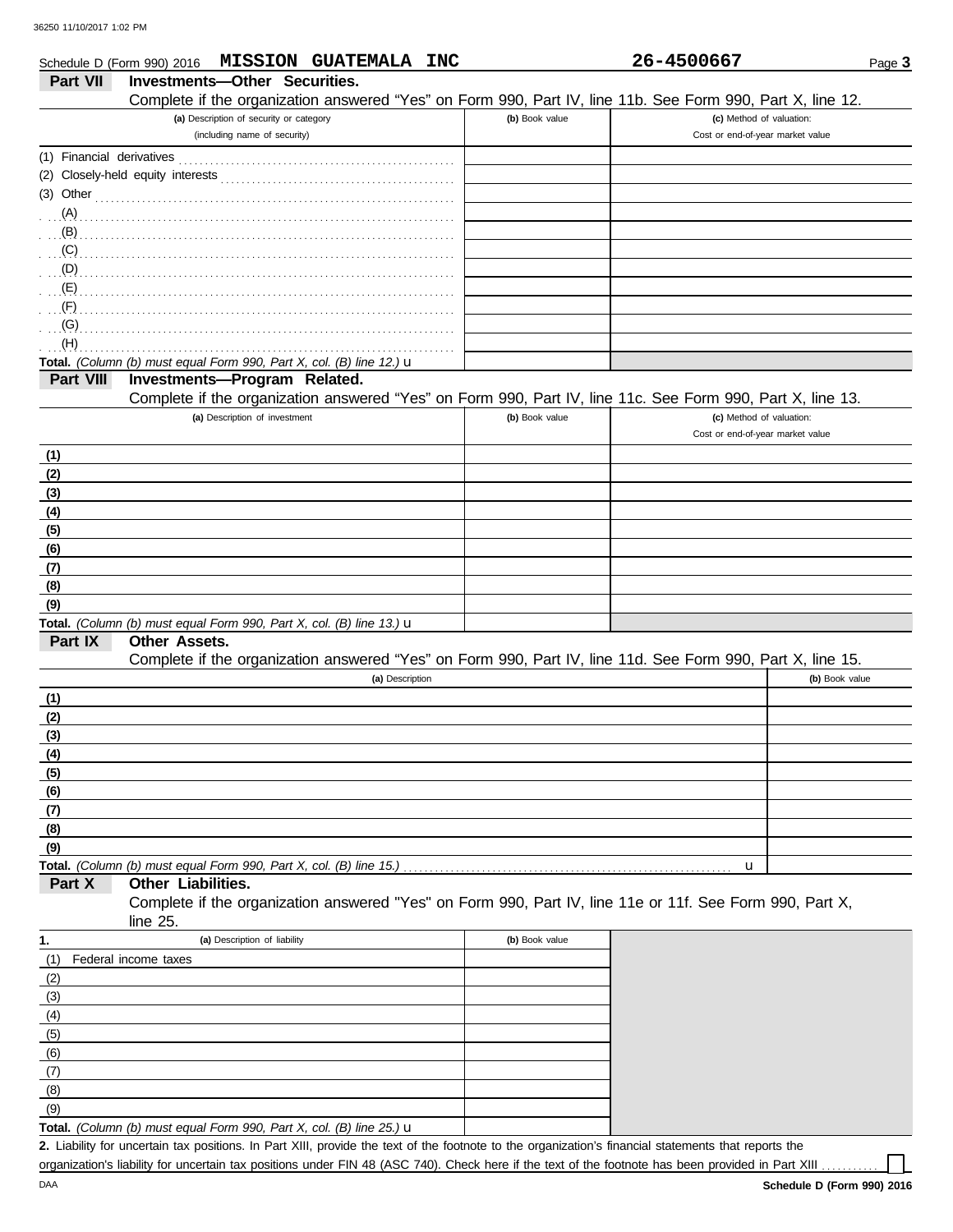|                          | <b>MISSION GUATEMALA INC</b><br>Schedule D (Form 990) 2016                                                 |                | 26-4500667                       | Page 3         |
|--------------------------|------------------------------------------------------------------------------------------------------------|----------------|----------------------------------|----------------|
| Part VII                 | <b>Investments-Other Securities.</b>                                                                       |                |                                  |                |
|                          | Complete if the organization answered "Yes" on Form 990, Part IV, line 11b. See Form 990, Part X, line 12. |                |                                  |                |
|                          | (a) Description of security or category                                                                    | (b) Book value | (c) Method of valuation:         |                |
|                          | (including name of security)                                                                               |                | Cost or end-of-year market value |                |
|                          |                                                                                                            |                |                                  |                |
|                          |                                                                                                            |                |                                  |                |
|                          | (3) Other $\ldots$ $\ldots$ $\ldots$ $\ldots$ $\ldots$ $\ldots$ $\ldots$ $\ldots$ $\ldots$                 |                |                                  |                |
| (A)                      |                                                                                                            |                |                                  |                |
| (B)                      |                                                                                                            |                |                                  |                |
| (C)                      |                                                                                                            |                |                                  |                |
| $\overline{D}$ (D)       |                                                                                                            |                |                                  |                |
| $\mathbf{E}(\mathsf{E})$ |                                                                                                            |                |                                  |                |
| (F)                      |                                                                                                            |                |                                  |                |
| (G)                      |                                                                                                            |                |                                  |                |
| (H)                      |                                                                                                            |                |                                  |                |
|                          | Total. (Column (b) must equal Form 990, Part X, col. (B) line 12.) $\mathbf u$                             |                |                                  |                |
| Part VIII                | Investments-Program Related.                                                                               |                |                                  |                |
|                          | Complete if the organization answered "Yes" on Form 990, Part IV, line 11c. See Form 990, Part X, line 13. |                |                                  |                |
|                          | (a) Description of investment                                                                              | (b) Book value | (c) Method of valuation:         |                |
|                          |                                                                                                            |                | Cost or end-of-year market value |                |
| (1)                      |                                                                                                            |                |                                  |                |
| (2)                      |                                                                                                            |                |                                  |                |
| (3)                      |                                                                                                            |                |                                  |                |
| (4)                      |                                                                                                            |                |                                  |                |
| (5)                      |                                                                                                            |                |                                  |                |
| (6)                      |                                                                                                            |                |                                  |                |
| (7)                      |                                                                                                            |                |                                  |                |
| (8)                      |                                                                                                            |                |                                  |                |
| (9)                      |                                                                                                            |                |                                  |                |
|                          | Total. (Column (b) must equal Form 990, Part X, col. (B) line 13.) $\mathbf u$                             |                |                                  |                |
| Part IX                  | Other Assets.                                                                                              |                |                                  |                |
|                          | Complete if the organization answered "Yes" on Form 990, Part IV, line 11d. See Form 990, Part X, line 15. |                |                                  |                |
|                          | (a) Description                                                                                            |                |                                  | (b) Book value |
| (1)                      |                                                                                                            |                |                                  |                |
| (2)                      |                                                                                                            |                |                                  |                |
| (3)                      |                                                                                                            |                |                                  |                |
| (4)                      |                                                                                                            |                |                                  |                |
| (5)                      |                                                                                                            |                |                                  |                |
| (6)                      |                                                                                                            |                |                                  |                |
| (7)                      |                                                                                                            |                |                                  |                |
| (8)                      |                                                                                                            |                |                                  |                |
| (9)                      |                                                                                                            |                |                                  |                |
|                          | Total. (Column (b) must equal Form 990, Part X, col. (B) line 15.)                                         |                | u                                |                |
| Part X                   | Other Liabilities.                                                                                         |                |                                  |                |
|                          | Complete if the organization answered "Yes" on Form 990, Part IV, line 11e or 11f. See Form 990, Part X,   |                |                                  |                |
|                          | line 25.                                                                                                   |                |                                  |                |
| 1.                       | (a) Description of liability                                                                               | (b) Book value |                                  |                |
| (1)                      | Federal income taxes                                                                                       |                |                                  |                |
| (2)                      |                                                                                                            |                |                                  |                |
| (3)                      |                                                                                                            |                |                                  |                |
|                          |                                                                                                            |                |                                  |                |
| (4)                      |                                                                                                            |                |                                  |                |
| (5)                      |                                                                                                            |                |                                  |                |
| (6)<br>(7)               |                                                                                                            |                |                                  |                |
|                          |                                                                                                            |                |                                  |                |

**Total.** *(Column (b) must equal Form 990, Part X, col. (B) line 25.)* u

Liability for uncertain tax positions. In Part XIII, provide the text of the footnote to the organization's financial statements that reports the **2.** organization's liability for uncertain tax positions under FIN 48 (ASC 740). Check here if the text of the footnote has been provided in Part XIII

 $(9)$ (8)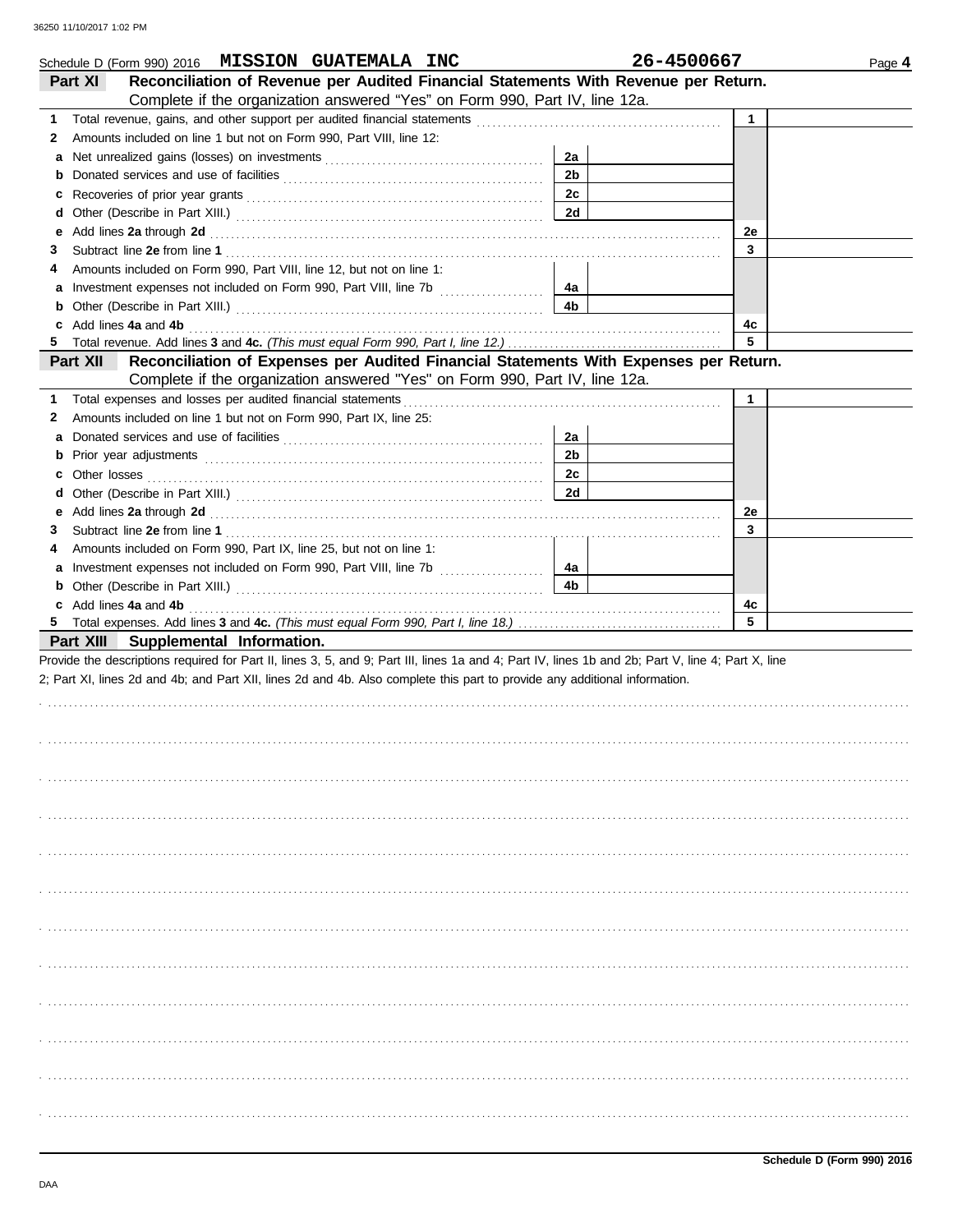|    | Schedule D (Form 990) 2016 MISSION GUATEMALA INC                                                                                                                                                                               |                | 26-4500667 | Page 4 |
|----|--------------------------------------------------------------------------------------------------------------------------------------------------------------------------------------------------------------------------------|----------------|------------|--------|
|    | Reconciliation of Revenue per Audited Financial Statements With Revenue per Return.<br>Part XI                                                                                                                                 |                |            |        |
|    | Complete if the organization answered "Yes" on Form 990, Part IV, line 12a.                                                                                                                                                    |                |            |        |
| 1  | Total revenue, gains, and other support per audited financial statements [[11, 11] [11] Total revenue, gains, and other support per audited financial statements                                                               |                | 1          |        |
| 2  | Amounts included on line 1 but not on Form 990, Part VIII, line 12:                                                                                                                                                            |                |            |        |
| а  |                                                                                                                                                                                                                                | 2a             |            |        |
| b  |                                                                                                                                                                                                                                | 2 <sub>b</sub> |            |        |
| c  |                                                                                                                                                                                                                                | 2c             |            |        |
| d  |                                                                                                                                                                                                                                | 2d             |            |        |
| е  | Add lines 2a through 2d [11] Annual Material Material Material Material Material Material Material Material Material Material Material Material Material Material Material Material Material Material Material Material Materi |                | 2e         |        |
| 3  |                                                                                                                                                                                                                                |                | 3          |        |
|    | Amounts included on Form 990, Part VIII, line 12, but not on line 1:                                                                                                                                                           |                |            |        |
| а  | Investment expenses not included on Form 990, Part VIII, line 7b [                                                                                                                                                             | 4а             |            |        |
| b  |                                                                                                                                                                                                                                | 4b             |            |        |
|    | Add lines 4a and 4b                                                                                                                                                                                                            |                | 4c         |        |
| 5. |                                                                                                                                                                                                                                |                | 5          |        |
|    | Part XII<br>Reconciliation of Expenses per Audited Financial Statements With Expenses per Return.                                                                                                                              |                |            |        |
|    | Complete if the organization answered "Yes" on Form 990, Part IV, line 12a.                                                                                                                                                    |                |            |        |
| 1  | Total expenses and losses per audited financial statements                                                                                                                                                                     |                | 1          |        |
| 2  | Amounts included on line 1 but not on Form 990, Part IX, line 25:                                                                                                                                                              |                |            |        |
| а  |                                                                                                                                                                                                                                | 2a             |            |        |
| b  |                                                                                                                                                                                                                                | 2 <sub>b</sub> |            |        |
| c  |                                                                                                                                                                                                                                | 2c             |            |        |
| d  |                                                                                                                                                                                                                                | 2d             |            |        |
| е  | Add lines 2a through 2d [11] Additional Property and Table 1 and Table 1 and Table 1 and Table 1 and Table 1 and Table 1 and Table 1 and Table 1 and Table 1 and Table 1 and Table 1 and Table 1 and Table 1 and Table 1 and T |                | 2e         |        |
| 3  |                                                                                                                                                                                                                                |                | 3          |        |
|    | Amounts included on Form 990, Part IX, line 25, but not on line 1:                                                                                                                                                             |                |            |        |
| а  |                                                                                                                                                                                                                                | 4a             |            |        |
| b  |                                                                                                                                                                                                                                | 4 <sub>b</sub> |            |        |
|    | c Add lines 4a and 4b                                                                                                                                                                                                          |                | 4c         |        |
|    |                                                                                                                                                                                                                                |                | 5          |        |
|    | Part XIII Supplemental Information.                                                                                                                                                                                            |                |            |        |
|    | Provide the descriptions required for Part II, lines 3, 5, and 9; Part III, lines 1a and 4; Part IV, lines 1b and 2b; Part V, line 4; Part X, line                                                                             |                |            |        |
|    | 2; Part XI, lines 2d and 4b; and Part XII, lines 2d and 4b. Also complete this part to provide any additional information.                                                                                                     |                |            |        |
|    |                                                                                                                                                                                                                                |                |            |        |
|    |                                                                                                                                                                                                                                |                |            |        |
|    |                                                                                                                                                                                                                                |                |            |        |
|    |                                                                                                                                                                                                                                |                |            |        |
|    |                                                                                                                                                                                                                                |                |            |        |
|    |                                                                                                                                                                                                                                |                |            |        |
|    |                                                                                                                                                                                                                                |                |            |        |
|    |                                                                                                                                                                                                                                |                |            |        |
|    |                                                                                                                                                                                                                                |                |            |        |
|    |                                                                                                                                                                                                                                |                |            |        |
|    |                                                                                                                                                                                                                                |                |            |        |
|    |                                                                                                                                                                                                                                |                |            |        |
|    |                                                                                                                                                                                                                                |                |            |        |
|    |                                                                                                                                                                                                                                |                |            |        |
|    |                                                                                                                                                                                                                                |                |            |        |
|    |                                                                                                                                                                                                                                |                |            |        |
|    |                                                                                                                                                                                                                                |                |            |        |
|    |                                                                                                                                                                                                                                |                |            |        |
|    |                                                                                                                                                                                                                                |                |            |        |
|    |                                                                                                                                                                                                                                |                |            |        |
|    |                                                                                                                                                                                                                                |                |            |        |
|    |                                                                                                                                                                                                                                |                |            |        |
|    |                                                                                                                                                                                                                                |                |            |        |
|    |                                                                                                                                                                                                                                |                |            |        |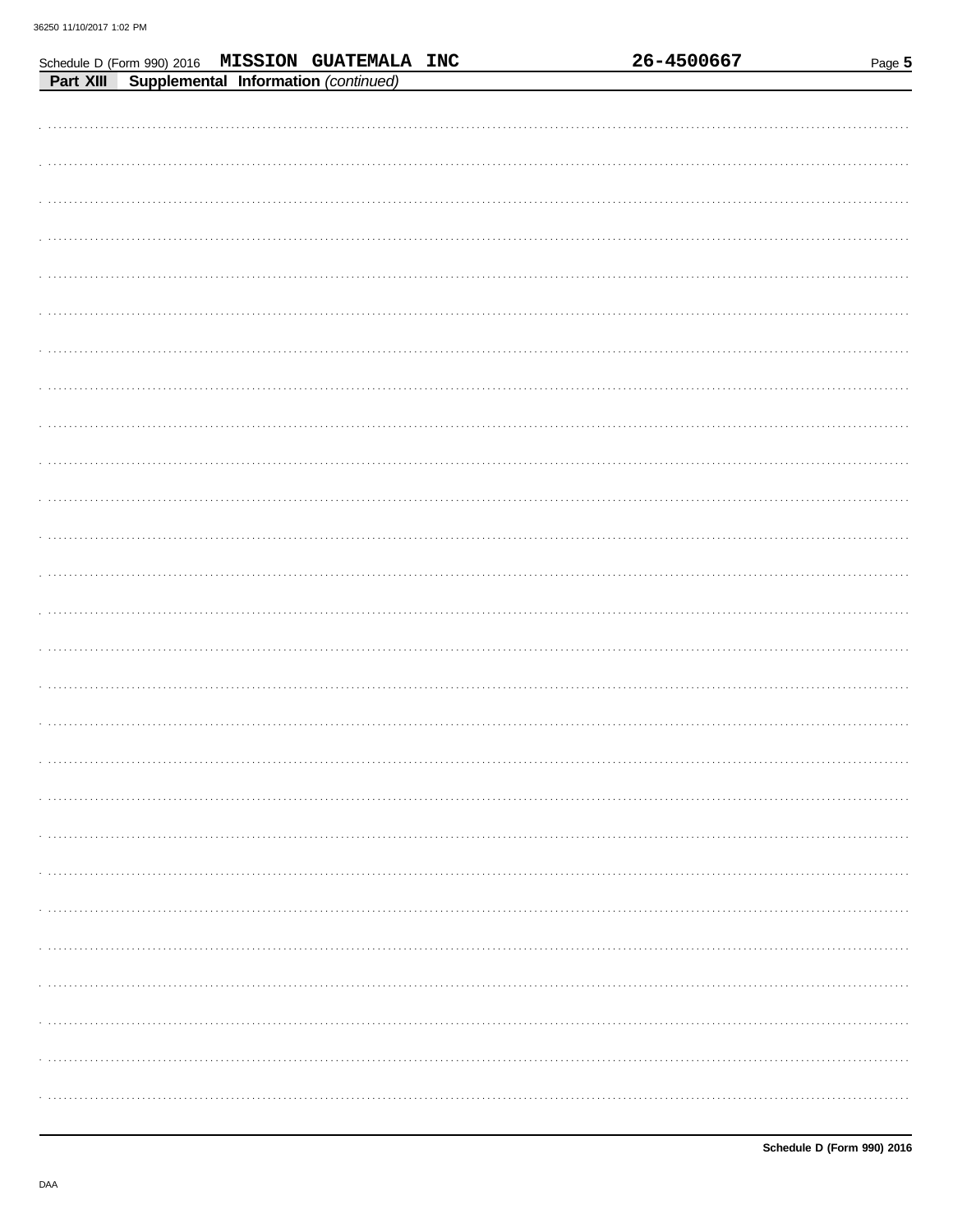| Schedule D (Form 990) 2016 MISSION GUATEMALA INC  | 26-4500667 | Page 5 |
|---------------------------------------------------|------------|--------|
| Supplemental Information (continued)<br>Part XIII |            |        |
|                                                   |            |        |
|                                                   |            |        |
|                                                   |            |        |
|                                                   |            |        |
|                                                   |            |        |
|                                                   |            |        |
|                                                   |            |        |
|                                                   |            |        |
|                                                   |            |        |
|                                                   |            |        |
|                                                   |            |        |
|                                                   |            |        |
|                                                   |            |        |
|                                                   |            |        |
|                                                   |            |        |
|                                                   |            |        |
|                                                   |            |        |
|                                                   |            |        |
|                                                   |            |        |
|                                                   |            |        |
|                                                   |            |        |
|                                                   |            |        |
|                                                   |            |        |
|                                                   |            |        |
|                                                   |            |        |
|                                                   |            |        |
|                                                   |            |        |
|                                                   |            |        |
|                                                   |            |        |
|                                                   |            |        |
|                                                   |            |        |
|                                                   |            |        |
|                                                   |            |        |
|                                                   |            |        |
|                                                   |            |        |
|                                                   |            |        |
|                                                   |            |        |
|                                                   |            |        |
|                                                   |            |        |
|                                                   |            |        |
|                                                   |            |        |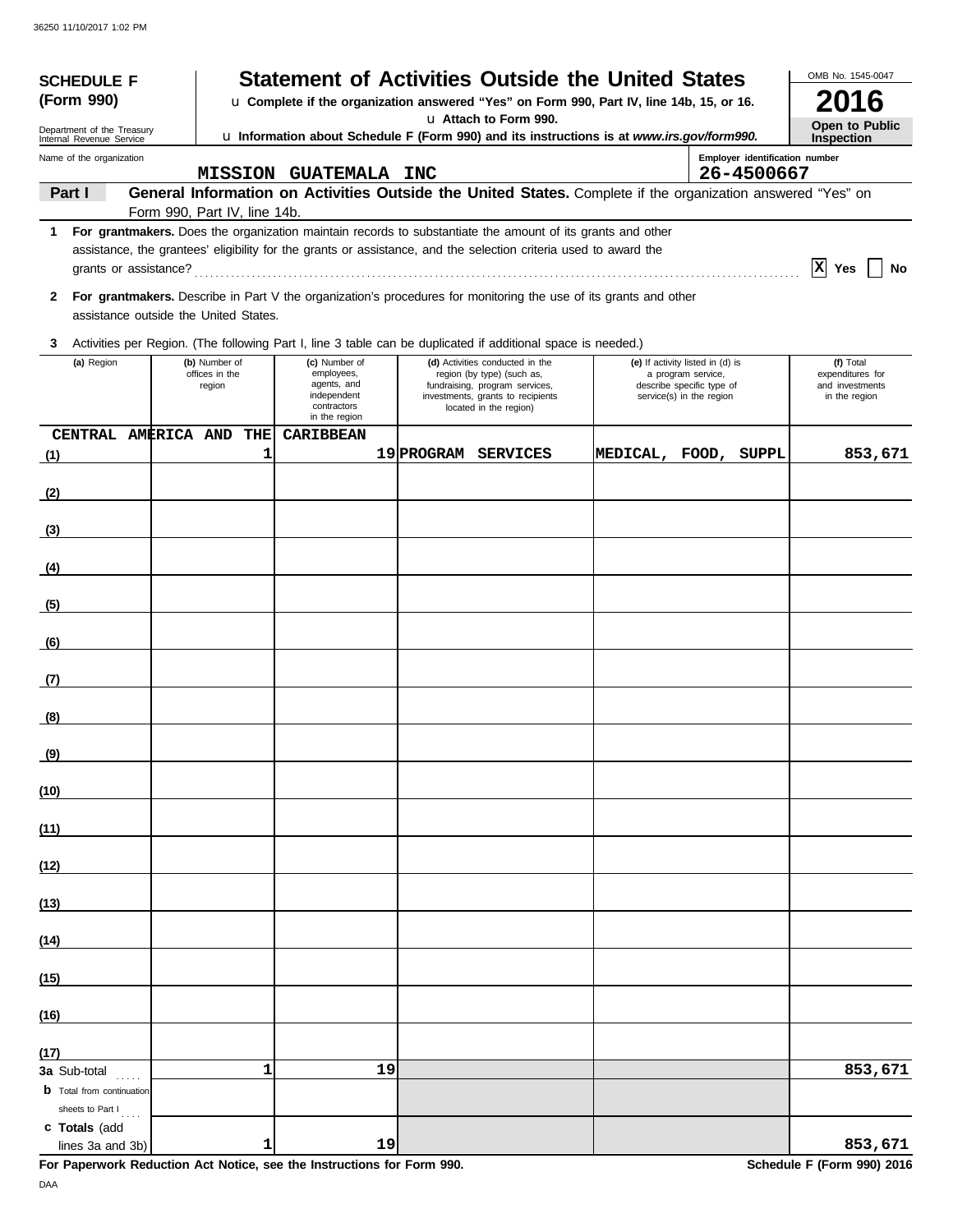| <b>SCHEDULE F</b><br>(Form 990)                                                      | <b>Statement of Activities Outside the United States</b><br>u Complete if the organization answered "Yes" on Form 990, Part IV, line 14b, 15, or 16. |                                           |                                                                                                                      |                                                                                                                                                                                                                                  |  |                                                                                                                                                                |                      |  |                                                                                                                 | OMB No. 1545-0047<br>2016 |                                                                   |  |
|--------------------------------------------------------------------------------------|------------------------------------------------------------------------------------------------------------------------------------------------------|-------------------------------------------|----------------------------------------------------------------------------------------------------------------------|----------------------------------------------------------------------------------------------------------------------------------------------------------------------------------------------------------------------------------|--|----------------------------------------------------------------------------------------------------------------------------------------------------------------|----------------------|--|-----------------------------------------------------------------------------------------------------------------|---------------------------|-------------------------------------------------------------------|--|
| Department of the Treasury                                                           |                                                                                                                                                      |                                           | La Attach to Form 990.<br>La Information about Schedule F (Form 990) and its instructions is at www.irs.gov/form990. |                                                                                                                                                                                                                                  |  |                                                                                                                                                                |                      |  |                                                                                                                 |                           | Open to Public                                                    |  |
| Internal Revenue Service<br>Name of the organization<br><b>MISSION GUATEMALA INC</b> |                                                                                                                                                      |                                           |                                                                                                                      |                                                                                                                                                                                                                                  |  |                                                                                                                                                                |                      |  | <b>Inspection</b><br>Employer identification number<br>26-4500667                                               |                           |                                                                   |  |
| Part I                                                                               |                                                                                                                                                      |                                           |                                                                                                                      | General Information on Activities Outside the United States. Complete if the organization answered "Yes" on                                                                                                                      |  |                                                                                                                                                                |                      |  |                                                                                                                 |                           |                                                                   |  |
|                                                                                      |                                                                                                                                                      | Form 990, Part IV, line 14b.              |                                                                                                                      |                                                                                                                                                                                                                                  |  |                                                                                                                                                                |                      |  |                                                                                                                 |                           |                                                                   |  |
| grants or assistance?                                                                |                                                                                                                                                      |                                           |                                                                                                                      | 1 For grantmakers. Does the organization maintain records to substantiate the amount of its grants and other<br>assistance, the grantees' eligibility for the grants or assistance, and the selection criteria used to award the |  |                                                                                                                                                                |                      |  |                                                                                                                 |                           | $X$ Yes<br>No                                                     |  |
| $\mathbf{2}$<br>assistance outside the United States.                                |                                                                                                                                                      |                                           |                                                                                                                      | For grantmakers. Describe in Part V the organization's procedures for monitoring the use of its grants and other                                                                                                                 |  |                                                                                                                                                                |                      |  |                                                                                                                 |                           |                                                                   |  |
| 3                                                                                    |                                                                                                                                                      |                                           |                                                                                                                      | Activities per Region. (The following Part I, line 3 table can be duplicated if additional space is needed.)                                                                                                                     |  |                                                                                                                                                                |                      |  |                                                                                                                 |                           |                                                                   |  |
| (a) Region                                                                           |                                                                                                                                                      | (b) Number of<br>offices in the<br>region |                                                                                                                      | (c) Number of<br>employees,<br>agents, and<br>independent<br>contractors<br>in the region                                                                                                                                        |  | (d) Activities conducted in the<br>region (by type) (such as,<br>fundraising, program services,<br>investments, grants to recipients<br>located in the region) |                      |  | (e) If activity listed in (d) is<br>a program service,<br>describe specific type of<br>service(s) in the region |                           | (f) Total<br>expenditures for<br>and investments<br>in the region |  |
| CENTRAL AMERICA AND THE                                                              |                                                                                                                                                      |                                           |                                                                                                                      | <b>CARIBBEAN</b>                                                                                                                                                                                                                 |  |                                                                                                                                                                |                      |  |                                                                                                                 |                           |                                                                   |  |
| (1)                                                                                  |                                                                                                                                                      |                                           | 1                                                                                                                    |                                                                                                                                                                                                                                  |  | 19 PROGRAM SERVICES                                                                                                                                            | MEDICAL, FOOD, SUPPL |  |                                                                                                                 |                           | 853,671                                                           |  |
| (2)                                                                                  |                                                                                                                                                      |                                           |                                                                                                                      |                                                                                                                                                                                                                                  |  |                                                                                                                                                                |                      |  |                                                                                                                 |                           |                                                                   |  |
| (3)                                                                                  |                                                                                                                                                      |                                           |                                                                                                                      |                                                                                                                                                                                                                                  |  |                                                                                                                                                                |                      |  |                                                                                                                 |                           |                                                                   |  |
| (4)                                                                                  |                                                                                                                                                      |                                           |                                                                                                                      |                                                                                                                                                                                                                                  |  |                                                                                                                                                                |                      |  |                                                                                                                 |                           |                                                                   |  |
| (5)                                                                                  |                                                                                                                                                      |                                           |                                                                                                                      |                                                                                                                                                                                                                                  |  |                                                                                                                                                                |                      |  |                                                                                                                 |                           |                                                                   |  |
| (6)                                                                                  |                                                                                                                                                      |                                           |                                                                                                                      |                                                                                                                                                                                                                                  |  |                                                                                                                                                                |                      |  |                                                                                                                 |                           |                                                                   |  |
| (7)                                                                                  |                                                                                                                                                      |                                           |                                                                                                                      |                                                                                                                                                                                                                                  |  |                                                                                                                                                                |                      |  |                                                                                                                 |                           |                                                                   |  |
| (8)                                                                                  |                                                                                                                                                      |                                           |                                                                                                                      |                                                                                                                                                                                                                                  |  |                                                                                                                                                                |                      |  |                                                                                                                 |                           |                                                                   |  |
| (9)                                                                                  |                                                                                                                                                      |                                           |                                                                                                                      |                                                                                                                                                                                                                                  |  |                                                                                                                                                                |                      |  |                                                                                                                 |                           |                                                                   |  |
| (10)                                                                                 |                                                                                                                                                      |                                           |                                                                                                                      |                                                                                                                                                                                                                                  |  |                                                                                                                                                                |                      |  |                                                                                                                 |                           |                                                                   |  |
| (11)                                                                                 |                                                                                                                                                      |                                           |                                                                                                                      |                                                                                                                                                                                                                                  |  |                                                                                                                                                                |                      |  |                                                                                                                 |                           |                                                                   |  |
| (12)                                                                                 |                                                                                                                                                      |                                           |                                                                                                                      |                                                                                                                                                                                                                                  |  |                                                                                                                                                                |                      |  |                                                                                                                 |                           |                                                                   |  |
| (13)                                                                                 |                                                                                                                                                      |                                           |                                                                                                                      |                                                                                                                                                                                                                                  |  |                                                                                                                                                                |                      |  |                                                                                                                 |                           |                                                                   |  |
| (14)                                                                                 |                                                                                                                                                      |                                           |                                                                                                                      |                                                                                                                                                                                                                                  |  |                                                                                                                                                                |                      |  |                                                                                                                 |                           |                                                                   |  |
| (15)                                                                                 |                                                                                                                                                      |                                           |                                                                                                                      |                                                                                                                                                                                                                                  |  |                                                                                                                                                                |                      |  |                                                                                                                 |                           |                                                                   |  |
| (16)                                                                                 |                                                                                                                                                      |                                           |                                                                                                                      |                                                                                                                                                                                                                                  |  |                                                                                                                                                                |                      |  |                                                                                                                 |                           |                                                                   |  |
|                                                                                      |                                                                                                                                                      |                                           |                                                                                                                      |                                                                                                                                                                                                                                  |  |                                                                                                                                                                |                      |  |                                                                                                                 |                           |                                                                   |  |
| (17)<br>3a Sub-total                                                                 |                                                                                                                                                      |                                           | 1                                                                                                                    | 19                                                                                                                                                                                                                               |  |                                                                                                                                                                |                      |  |                                                                                                                 |                           | 853,671                                                           |  |
| <b>b</b> Total from continuation<br>sheets to Part I                                 |                                                                                                                                                      |                                           |                                                                                                                      |                                                                                                                                                                                                                                  |  |                                                                                                                                                                |                      |  |                                                                                                                 |                           |                                                                   |  |
| c Totals (add<br>lines 3a and 3b)                                                    |                                                                                                                                                      |                                           | 1                                                                                                                    | 19                                                                                                                                                                                                                               |  |                                                                                                                                                                |                      |  |                                                                                                                 |                           | 853,671                                                           |  |

**For Paperwork Reduction Act Notice, see the Instructions for Form 990.** Schedule F (Form 990) 2016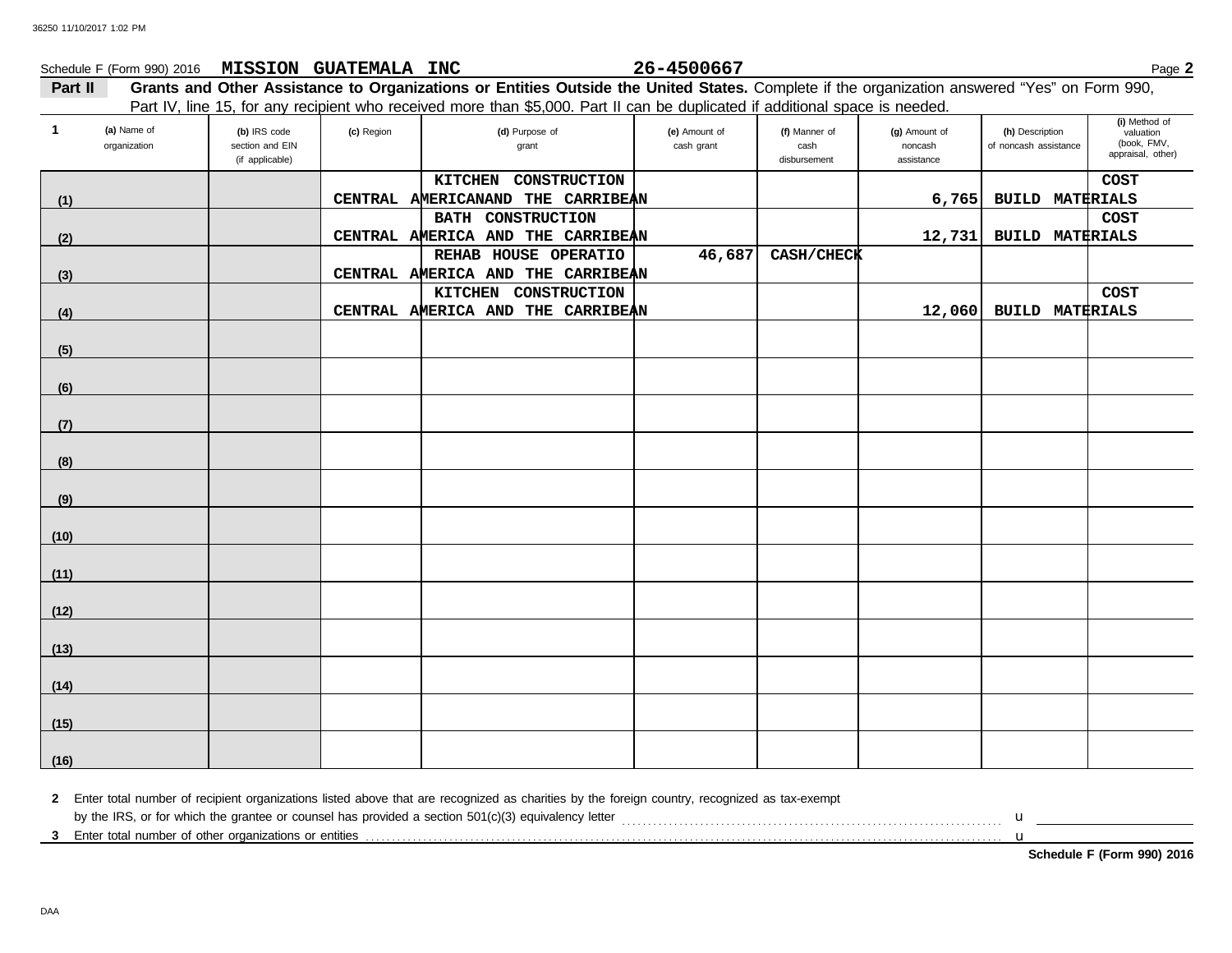|         | Schedule F (Form 990) 2016  | MISSION                         | GUATEMALA INC |                                                                                                                                              | 26-4500667                  |                       |                          |                                          | Page 2                                                         |
|---------|-----------------------------|---------------------------------|---------------|----------------------------------------------------------------------------------------------------------------------------------------------|-----------------------------|-----------------------|--------------------------|------------------------------------------|----------------------------------------------------------------|
| Part II |                             |                                 |               | Grants and Other Assistance to Organizations or Entities Outside the United States. Complete if the organization answered "Yes" on Form 990, |                             |                       |                          |                                          |                                                                |
|         |                             |                                 |               | Part IV, line 15, for any recipient who received more than \$5,000. Part II can be duplicated if additional space is needed.                 |                             |                       |                          |                                          |                                                                |
|         | (a) Name of<br>organization | (b) IRS code<br>section and EIN | (c) Region    | (d) Purpose of<br>grant                                                                                                                      | (e) Amount of<br>cash grant | (f) Manner of<br>cash | (g) Amount of<br>noncash | (h) Description<br>of noncash assistance | (i) Method of<br>valuation<br>(book, FMV,<br>appraisal, other) |
|         |                             | (if applicable)                 |               |                                                                                                                                              |                             | disbursement          | assistance               |                                          |                                                                |

| UI YAI IILAUUTT | <b>JULIUII GIN LIN</b><br>(if applicable) | yıcın                             | cası yıanı | יונטש<br>disbursement | <b>ININGOIL</b><br>assistance | UI HUHUGUH GUUNGHUU    | appraisal, other) |
|-----------------|-------------------------------------------|-----------------------------------|------------|-----------------------|-------------------------------|------------------------|-------------------|
|                 |                                           | KITCHEN CONSTRUCTION              |            |                       |                               |                        | <b>COST</b>       |
| (1)             |                                           | CENTRAL AMERICANAND THE CARRIBEAN |            |                       |                               | 6,765 BUILD MATERIALS  |                   |
|                 |                                           | BATH CONSTRUCTION                 |            |                       |                               |                        | <b>COST</b>       |
| (2)             |                                           | CENTRAL AMERICA AND THE CARRIBEAN |            |                       |                               | 12,731 BUILD MATERIALS |                   |
|                 |                                           | REHAB HOUSE OPERATIO              | 46,687     | CASH/CHECK            |                               |                        |                   |
| (3)             |                                           | CENTRAL AMERICA AND THE CARRIBEAN |            |                       |                               |                        |                   |
|                 |                                           | KITCHEN CONSTRUCTION              |            |                       |                               |                        | <b>COST</b>       |
| (4)             |                                           | CENTRAL AMERICA AND THE CARRIBEAN |            |                       |                               | 12,060 BUILD MATERIALS |                   |
|                 |                                           |                                   |            |                       |                               |                        |                   |
| (5)             |                                           |                                   |            |                       |                               |                        |                   |
|                 |                                           |                                   |            |                       |                               |                        |                   |
| (6)             |                                           |                                   |            |                       |                               |                        |                   |
| (7)             |                                           |                                   |            |                       |                               |                        |                   |
|                 |                                           |                                   |            |                       |                               |                        |                   |
| (8)             |                                           |                                   |            |                       |                               |                        |                   |
|                 |                                           |                                   |            |                       |                               |                        |                   |
| (9)             |                                           |                                   |            |                       |                               |                        |                   |
|                 |                                           |                                   |            |                       |                               |                        |                   |
| (10)            |                                           |                                   |            |                       |                               |                        |                   |
|                 |                                           |                                   |            |                       |                               |                        |                   |
| (11)            |                                           |                                   |            |                       |                               |                        |                   |
|                 |                                           |                                   |            |                       |                               |                        |                   |
| (12)            |                                           |                                   |            |                       |                               |                        |                   |
| (13)            |                                           |                                   |            |                       |                               |                        |                   |
|                 |                                           |                                   |            |                       |                               |                        |                   |
| (14)            |                                           |                                   |            |                       |                               |                        |                   |
|                 |                                           |                                   |            |                       |                               |                        |                   |
| (15)            |                                           |                                   |            |                       |                               |                        |                   |
|                 |                                           |                                   |            |                       |                               |                        |                   |
| (16)            |                                           |                                   |            |                       |                               |                        |                   |

**2** Enter total number of recipient organizations listed above that are recognized as charities by the foreign country, recognized as tax-exempt

**3** Enter total number of other organizations or entities . . . . . . . . . . . . . . . . . . . . . . . . . . . . . . . . . . . . . . . . . . . . . . . . . . . . . . . . . . . . . . . . . . . . . . . . . . . . . . . . . . . . . . . . . . . . . . . . . . . . . . . . . . . . . . . . . . . . . . . . . .

by the IRS, or for which the grantee or counsel has provided a section 501(c)(3) equivalency letter . . . . . . . . . . . . . . . . . . . . . . . . . . . . . . . . . . . . . . . . . . . . . . . . . . . . . . . . . . . . . . . . . . . . . . . . . u

u

**Schedule F (Form 990) 2016**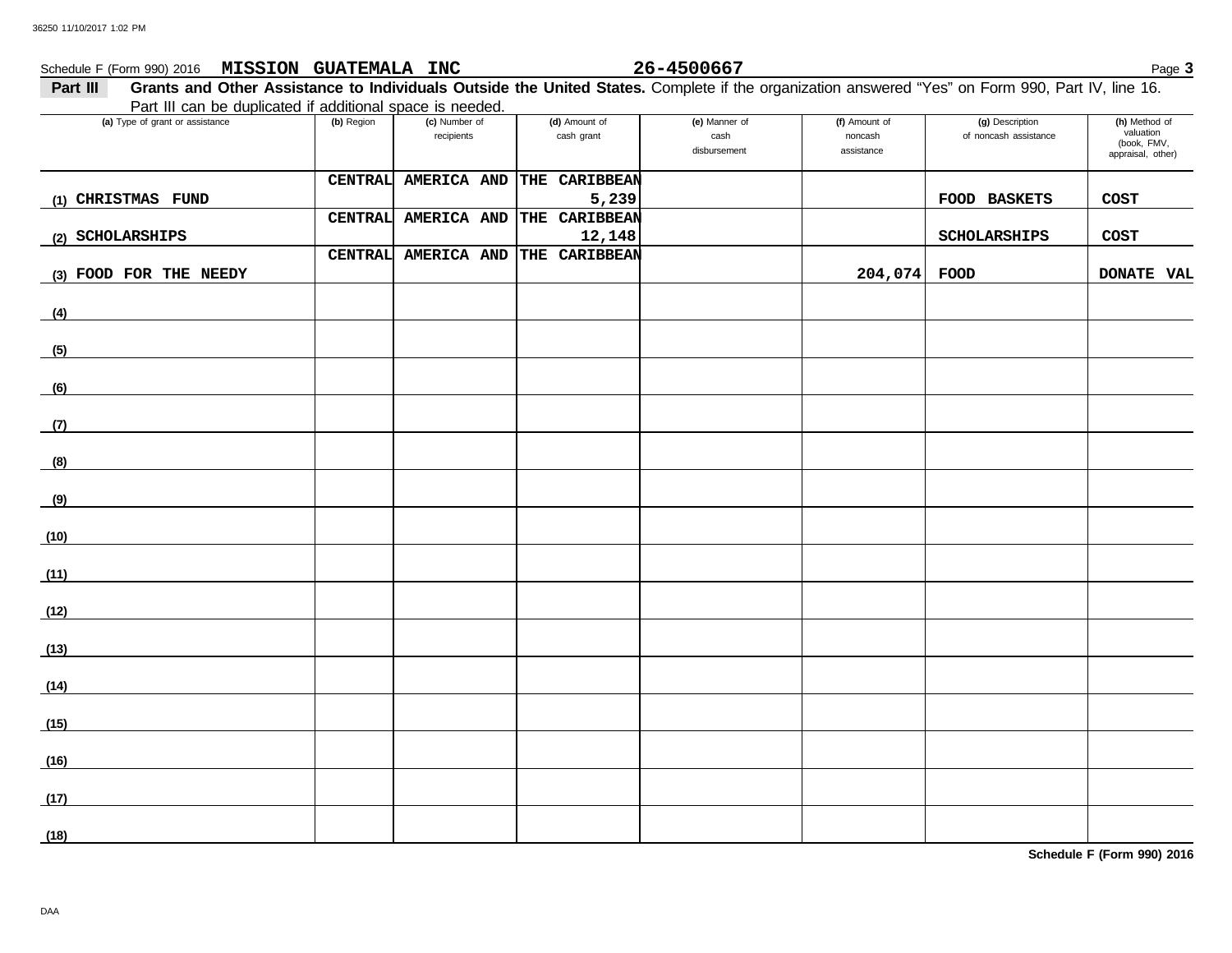### Schedule F (Form 990) 2016 Page **3 MISSION GUATEMALA INC 26-4500667**

Part III Grants and Other Assistance to Individuals Outside the United States. Complete if the organization answered "Yes" on Form 990, Part IV, line 16. Part III can be duplicated if additional space is needed.

| Fait in earl be deplicated if additional space is riceded.<br>(a) Type of grant or assistance                                                                                                                                                                                                                                                                                                                                                                      | (b) Region | (c) Number of       | (d) Amount of                     | (e) Manner of | (f) Amount of  | (g) Description       | (h) Method of     |
|--------------------------------------------------------------------------------------------------------------------------------------------------------------------------------------------------------------------------------------------------------------------------------------------------------------------------------------------------------------------------------------------------------------------------------------------------------------------|------------|---------------------|-----------------------------------|---------------|----------------|-----------------------|-------------------|
|                                                                                                                                                                                                                                                                                                                                                                                                                                                                    |            | recipients          | cash grant                        | cash          | noncash        | of noncash assistance | valuation         |
|                                                                                                                                                                                                                                                                                                                                                                                                                                                                    |            |                     |                                   | disbursement  | assistance     |                       | (book, FMV,       |
|                                                                                                                                                                                                                                                                                                                                                                                                                                                                    |            |                     |                                   |               |                |                       | appraisal, other) |
|                                                                                                                                                                                                                                                                                                                                                                                                                                                                    |            | CENTRAL AMERICA AND | THE CARIBBEAN                     |               |                |                       |                   |
|                                                                                                                                                                                                                                                                                                                                                                                                                                                                    |            |                     |                                   |               |                |                       |                   |
| (1) CHRISTMAS FUND                                                                                                                                                                                                                                                                                                                                                                                                                                                 |            |                     | 5,239                             |               |                | FOOD BASKETS          | <b>COST</b>       |
|                                                                                                                                                                                                                                                                                                                                                                                                                                                                    |            | CENTRAL AMERICA AND | THE CARIBBEAN                     |               |                |                       |                   |
| (2) SCHOLARSHIPS                                                                                                                                                                                                                                                                                                                                                                                                                                                   |            |                     | 12,148                            |               |                | SCHOLARSHIPS          | <b>COST</b>       |
|                                                                                                                                                                                                                                                                                                                                                                                                                                                                    |            |                     | CENTRAL AMERICA AND THE CARIBBEAN |               |                |                       |                   |
|                                                                                                                                                                                                                                                                                                                                                                                                                                                                    |            |                     |                                   |               |                |                       |                   |
| (3) FOOD FOR THE NEEDY                                                                                                                                                                                                                                                                                                                                                                                                                                             |            |                     |                                   |               | $204,074$ FOOD |                       | DONATE VAL        |
|                                                                                                                                                                                                                                                                                                                                                                                                                                                                    |            |                     |                                   |               |                |                       |                   |
| (4)<br><u> 1989 - Johann Barbara, martxa a</u>                                                                                                                                                                                                                                                                                                                                                                                                                     |            |                     |                                   |               |                |                       |                   |
|                                                                                                                                                                                                                                                                                                                                                                                                                                                                    |            |                     |                                   |               |                |                       |                   |
|                                                                                                                                                                                                                                                                                                                                                                                                                                                                    |            |                     |                                   |               |                |                       |                   |
| (5)<br>the control of the control of the control of the control of                                                                                                                                                                                                                                                                                                                                                                                                 |            |                     |                                   |               |                |                       |                   |
|                                                                                                                                                                                                                                                                                                                                                                                                                                                                    |            |                     |                                   |               |                |                       |                   |
| (6)<br>$\mathcal{L}(\mathcal{L}(\mathcal{L}(\mathcal{L}(\mathcal{L}(\mathcal{L}(\mathcal{L}(\mathcal{L}(\mathcal{L}(\mathcal{L}(\mathcal{L}(\mathcal{L}(\mathcal{L}(\mathcal{L}(\mathcal{L}(\mathcal{L}(\mathcal{L}(\mathcal{L}(\mathcal{L}(\mathcal{L}(\mathcal{L}(\mathcal{L}(\mathcal{L}(\mathcal{L}(\mathcal{L}(\mathcal{L}(\mathcal{L}(\mathcal{L}(\mathcal{L}(\mathcal{L}(\mathcal{L}(\mathcal{L}(\mathcal{L}(\mathcal{L}(\mathcal{L}(\mathcal{L}(\mathcal{$ |            |                     |                                   |               |                |                       |                   |
|                                                                                                                                                                                                                                                                                                                                                                                                                                                                    |            |                     |                                   |               |                |                       |                   |
|                                                                                                                                                                                                                                                                                                                                                                                                                                                                    |            |                     |                                   |               |                |                       |                   |
| (7)                                                                                                                                                                                                                                                                                                                                                                                                                                                                |            |                     |                                   |               |                |                       |                   |
|                                                                                                                                                                                                                                                                                                                                                                                                                                                                    |            |                     |                                   |               |                |                       |                   |
| (8)<br><u> 1989 - Andrea Station Barbara (</u>                                                                                                                                                                                                                                                                                                                                                                                                                     |            |                     |                                   |               |                |                       |                   |
|                                                                                                                                                                                                                                                                                                                                                                                                                                                                    |            |                     |                                   |               |                |                       |                   |
|                                                                                                                                                                                                                                                                                                                                                                                                                                                                    |            |                     |                                   |               |                |                       |                   |
| (9)                                                                                                                                                                                                                                                                                                                                                                                                                                                                |            |                     |                                   |               |                |                       |                   |
|                                                                                                                                                                                                                                                                                                                                                                                                                                                                    |            |                     |                                   |               |                |                       |                   |
| (10)<br><u> 1989 - Jan Stein, Amerikaansk politiker (</u>                                                                                                                                                                                                                                                                                                                                                                                                          |            |                     |                                   |               |                |                       |                   |
|                                                                                                                                                                                                                                                                                                                                                                                                                                                                    |            |                     |                                   |               |                |                       |                   |
|                                                                                                                                                                                                                                                                                                                                                                                                                                                                    |            |                     |                                   |               |                |                       |                   |
| (11)                                                                                                                                                                                                                                                                                                                                                                                                                                                               |            |                     |                                   |               |                |                       |                   |
|                                                                                                                                                                                                                                                                                                                                                                                                                                                                    |            |                     |                                   |               |                |                       |                   |
| (12)                                                                                                                                                                                                                                                                                                                                                                                                                                                               |            |                     |                                   |               |                |                       |                   |
|                                                                                                                                                                                                                                                                                                                                                                                                                                                                    |            |                     |                                   |               |                |                       |                   |
| (13)<br>$\mathcal{L}(\mathcal{L}(\mathcal{L}))$ and $\mathcal{L}(\mathcal{L}(\mathcal{L}))$ and $\mathcal{L}(\mathcal{L}(\mathcal{L}))$ . Then the contribution of $\mathcal{L}(\mathcal{L})$                                                                                                                                                                                                                                                                      |            |                     |                                   |               |                |                       |                   |
|                                                                                                                                                                                                                                                                                                                                                                                                                                                                    |            |                     |                                   |               |                |                       |                   |
|                                                                                                                                                                                                                                                                                                                                                                                                                                                                    |            |                     |                                   |               |                |                       |                   |
| (14)                                                                                                                                                                                                                                                                                                                                                                                                                                                               |            |                     |                                   |               |                |                       |                   |
|                                                                                                                                                                                                                                                                                                                                                                                                                                                                    |            |                     |                                   |               |                |                       |                   |
| (15)                                                                                                                                                                                                                                                                                                                                                                                                                                                               |            |                     |                                   |               |                |                       |                   |
|                                                                                                                                                                                                                                                                                                                                                                                                                                                                    |            |                     |                                   |               |                |                       |                   |
|                                                                                                                                                                                                                                                                                                                                                                                                                                                                    |            |                     |                                   |               |                |                       |                   |
| (16)<br>the control of the control of the control of the                                                                                                                                                                                                                                                                                                                                                                                                           |            |                     |                                   |               |                |                       |                   |
|                                                                                                                                                                                                                                                                                                                                                                                                                                                                    |            |                     |                                   |               |                |                       |                   |
| (17)                                                                                                                                                                                                                                                                                                                                                                                                                                                               |            |                     |                                   |               |                |                       |                   |
|                                                                                                                                                                                                                                                                                                                                                                                                                                                                    |            |                     |                                   |               |                |                       |                   |
|                                                                                                                                                                                                                                                                                                                                                                                                                                                                    |            |                     |                                   |               |                |                       |                   |
| (18)                                                                                                                                                                                                                                                                                                                                                                                                                                                               |            |                     |                                   |               |                |                       |                   |

**Schedule F (Form 990) 2016**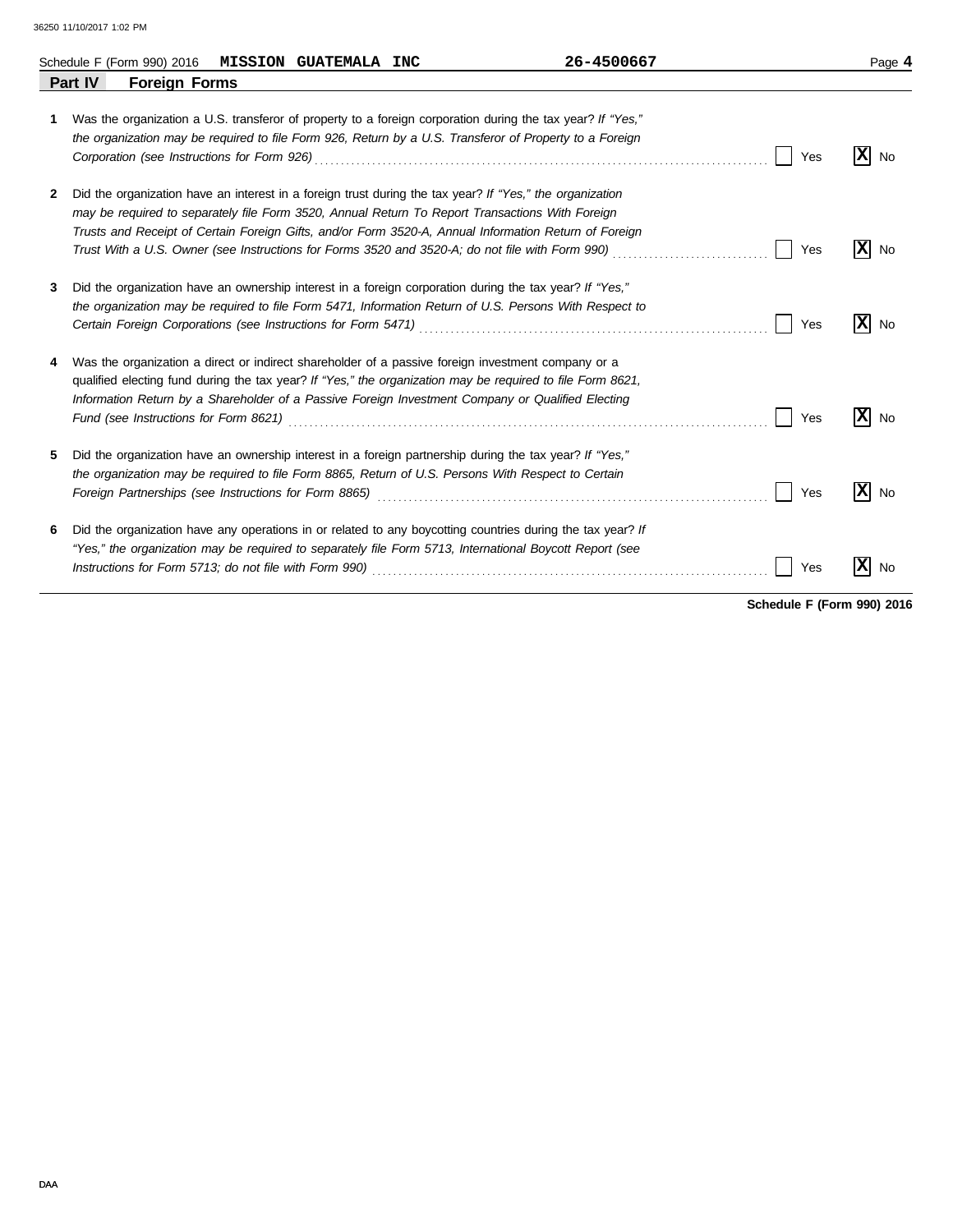|   | Schedule F (Form 990) 2016      | <b>MISSION GUATEMALA INC</b> | 26-4500667                                                                                                                                                                                                                                                                                                                                                                                                                                      |     | Page 4   |
|---|---------------------------------|------------------------------|-------------------------------------------------------------------------------------------------------------------------------------------------------------------------------------------------------------------------------------------------------------------------------------------------------------------------------------------------------------------------------------------------------------------------------------------------|-----|----------|
|   | Part IV<br><b>Foreign Forms</b> |                              |                                                                                                                                                                                                                                                                                                                                                                                                                                                 |     |          |
| 1 |                                 |                              | Was the organization a U.S. transferor of property to a foreign corporation during the tax year? If "Yes,"<br>the organization may be required to file Form 926, Return by a U.S. Transferor of Property to a Foreign                                                                                                                                                                                                                           | Yes | X <br>No |
| 2 |                                 |                              | Did the organization have an interest in a foreign trust during the tax year? If "Yes," the organization<br>may be required to separately file Form 3520, Annual Return To Report Transactions With Foreign<br>Trusts and Receipt of Certain Foreign Gifts, and/or Form 3520-A, Annual Information Return of Foreign<br>Trust With a U.S. Owner (see Instructions for Forms 3520 and 3520-A; do not file with Form 990)                         | Yes | X <br>No |
| 3 |                                 |                              | Did the organization have an ownership interest in a foreign corporation during the tax year? If "Yes,"<br>the organization may be required to file Form 5471, Information Return of U.S. Persons With Respect to                                                                                                                                                                                                                               | Yes | x <br>No |
|   |                                 |                              | Was the organization a direct or indirect shareholder of a passive foreign investment company or a<br>qualified electing fund during the tax year? If "Yes," the organization may be required to file Form 8621,<br>Information Return by a Shareholder of a Passive Foreign Investment Company or Qualified Electing                                                                                                                           | Yes | X <br>No |
| 5 |                                 |                              | Did the organization have an ownership interest in a foreign partnership during the tax year? If "Yes,"<br>the organization may be required to file Form 8865, Return of U.S. Persons With Respect to Certain<br>Foreign Partnerships (see Instructions for Form 8865) Material Construction Construction Construction Construction Construction Construction Construction Construction Construction Construction Construction Construction Con | Yes | X No     |
| 6 |                                 |                              | Did the organization have any operations in or related to any boycotting countries during the tax year? If<br>"Yes," the organization may be required to separately file Form 5713, International Boycott Report (see                                                                                                                                                                                                                           | Yes | x<br>No  |

**Schedule F (Form 990) 2016**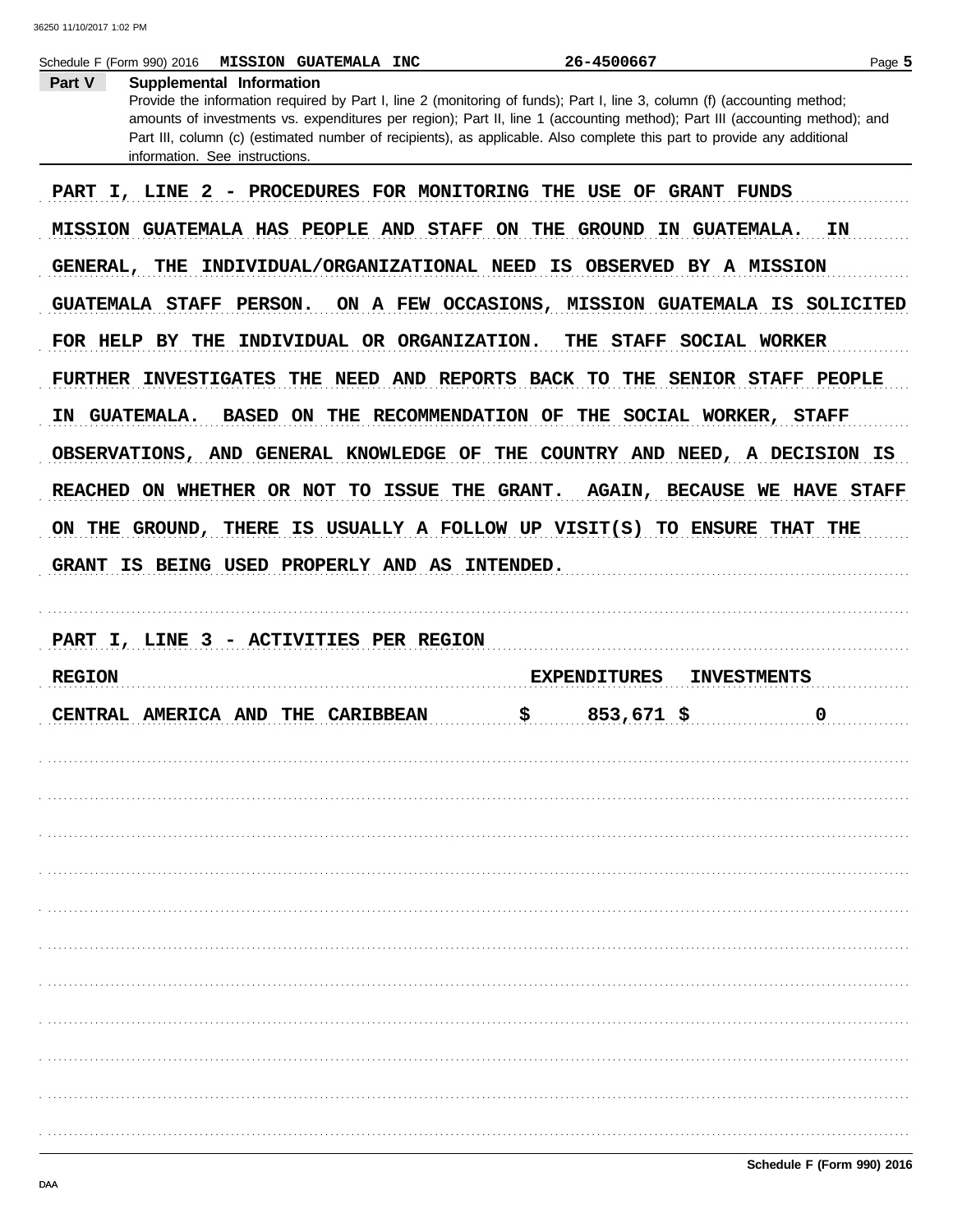|                | Schedule F (Form 990) 2016<br><b>MISSION GUATEMALA INC</b>                                                                                                                                                                                                                                                                                                                                                                                       | 26-4500667       |                     |                                                    | Page 5 |
|----------------|--------------------------------------------------------------------------------------------------------------------------------------------------------------------------------------------------------------------------------------------------------------------------------------------------------------------------------------------------------------------------------------------------------------------------------------------------|------------------|---------------------|----------------------------------------------------|--------|
| Part V         | Supplemental Information<br>Provide the information required by Part I, line 2 (monitoring of funds); Part I, line 3, column (f) (accounting method;<br>amounts of investments vs. expenditures per region); Part II, line 1 (accounting method); Part III (accounting method); and<br>Part III, column (c) (estimated number of recipients), as applicable. Also complete this part to provide any additional<br>information. See instructions. |                  |                     |                                                    |        |
|                | PART I, LINE 2 - PROCEDURES FOR MONITORING THE USE OF GRANT FUNDS                                                                                                                                                                                                                                                                                                                                                                                |                  |                     |                                                    |        |
|                | MISSION GUATEMALA HAS PEOPLE AND STAFF ON THE GROUND                                                                                                                                                                                                                                                                                                                                                                                             |                  |                     | IN GUATEMALA.<br>ΙN                                |        |
|                | GENERAL, THE INDIVIDUAL/ORGANIZATIONAL NEED IS OBSERVED BY A MISSION                                                                                                                                                                                                                                                                                                                                                                             |                  |                     |                                                    |        |
|                | <b>GUATEMALA STAFF</b><br>PERSON.                                                                                                                                                                                                                                                                                                                                                                                                                |                  |                     | ON A FEW OCCASIONS, MISSION GUATEMALA IS SOLICITED |        |
|                | INDIVIDUAL OR ORGANIZATION.<br>FOR HELP BY THE                                                                                                                                                                                                                                                                                                                                                                                                   | THE              | <b>STAFF</b>        | SOCIAL WORKER                                      |        |
| <b>FURTHER</b> | <b>INVESTIGATES</b><br>THE NEED AND REPORTS BACK TO                                                                                                                                                                                                                                                                                                                                                                                              |                  |                     | THE SENIOR STAFF PEOPLE                            |        |
|                | BASED ON THE RECOMMENDATION OF THE SOCIAL WORKER, STAFF<br>IN GUATEMALA.                                                                                                                                                                                                                                                                                                                                                                         |                  |                     |                                                    |        |
|                | OBSERVATIONS, AND GENERAL KNOWLEDGE OF THE COUNTRY AND NEED, A DECISION IS                                                                                                                                                                                                                                                                                                                                                                       |                  |                     |                                                    |        |
|                | REACHED ON WHETHER OR NOT TO ISSUE THE GRANT.                                                                                                                                                                                                                                                                                                                                                                                                    |                  |                     | AGAIN, BECAUSE WE HAVE STAFF                       |        |
|                |                                                                                                                                                                                                                                                                                                                                                                                                                                                  |                  |                     |                                                    |        |
|                | ON THE GROUND, THERE IS USUALLY A FOLLOW UP VISIT(S) TO ENSURE THAT                                                                                                                                                                                                                                                                                                                                                                              |                  |                     | THE                                                |        |
| <b>GRANT</b>   | IS BEING USED PROPERLY AND AS                                                                                                                                                                                                                                                                                                                                                                                                                    | <b>INTENDED.</b> |                     |                                                    |        |
|                |                                                                                                                                                                                                                                                                                                                                                                                                                                                  |                  |                     |                                                    |        |
|                | PART I, LINE 3 - ACTIVITIES PER REGION                                                                                                                                                                                                                                                                                                                                                                                                           |                  |                     |                                                    |        |
| <b>REGION</b>  |                                                                                                                                                                                                                                                                                                                                                                                                                                                  |                  | <b>EXPENDITURES</b> | <b>INVESTMENTS</b>                                 |        |
|                | THE CARIBBEAN<br>CENTRAL AMERICA AND                                                                                                                                                                                                                                                                                                                                                                                                             | \$               | $853,671$ \$        | 0                                                  |        |
|                |                                                                                                                                                                                                                                                                                                                                                                                                                                                  |                  |                     |                                                    |        |
|                |                                                                                                                                                                                                                                                                                                                                                                                                                                                  |                  |                     |                                                    |        |
|                |                                                                                                                                                                                                                                                                                                                                                                                                                                                  |                  |                     |                                                    |        |
|                |                                                                                                                                                                                                                                                                                                                                                                                                                                                  |                  |                     |                                                    |        |
|                |                                                                                                                                                                                                                                                                                                                                                                                                                                                  |                  |                     |                                                    |        |
|                |                                                                                                                                                                                                                                                                                                                                                                                                                                                  |                  |                     |                                                    |        |
|                |                                                                                                                                                                                                                                                                                                                                                                                                                                                  |                  |                     |                                                    |        |
|                |                                                                                                                                                                                                                                                                                                                                                                                                                                                  |                  |                     |                                                    |        |
|                |                                                                                                                                                                                                                                                                                                                                                                                                                                                  |                  |                     |                                                    |        |
|                |                                                                                                                                                                                                                                                                                                                                                                                                                                                  |                  |                     |                                                    |        |
|                |                                                                                                                                                                                                                                                                                                                                                                                                                                                  |                  |                     |                                                    |        |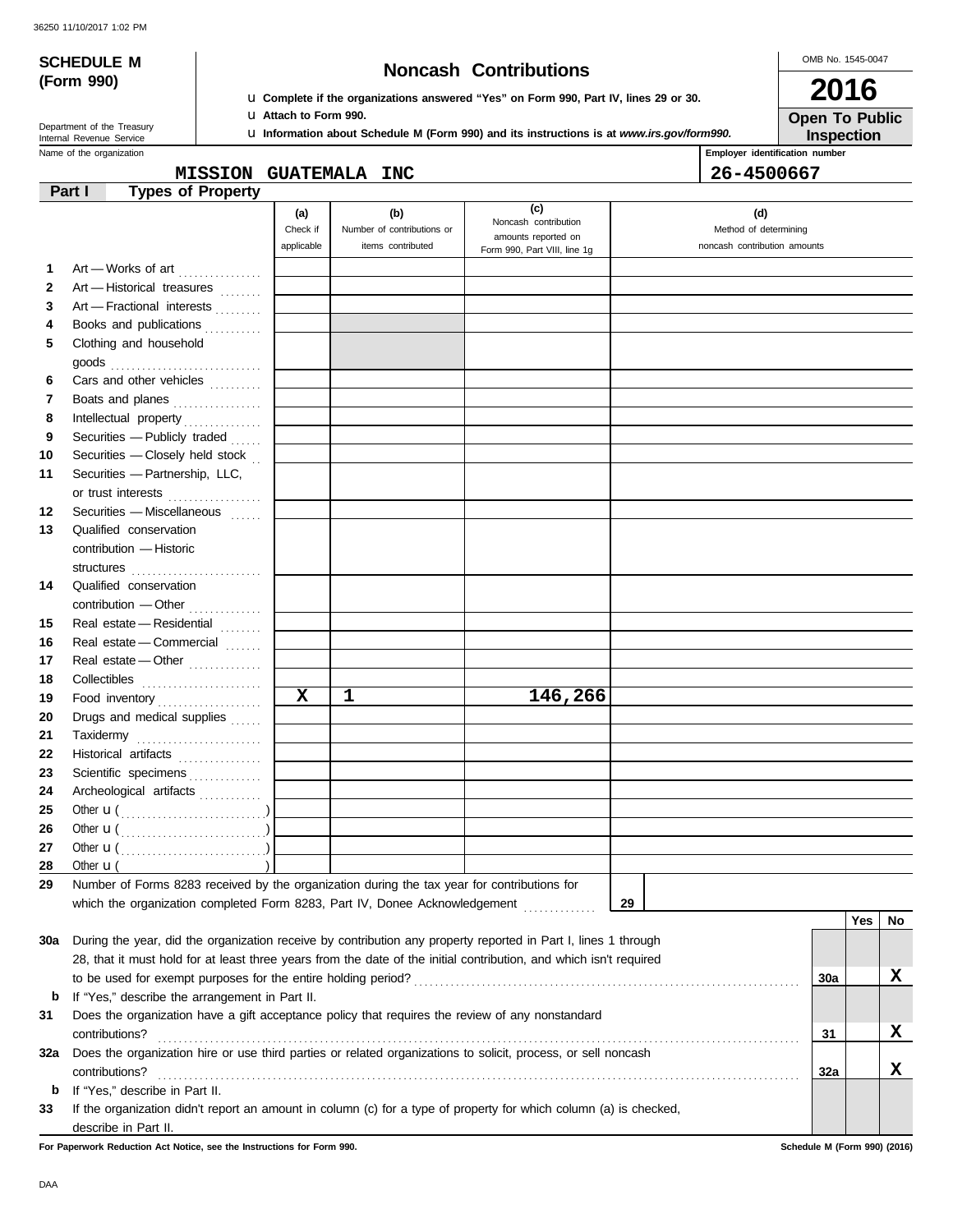## **SCHEDULE M Noncash Contributions**

OMB No. 1545-0047 **2016**

| (Form 990) |  |
|------------|--|
|            |  |

u **Complete if the organizations answered "Yes" on Form 990, Part IV, lines 29 or 30.** u **Attach to Form 990.**

u **Information about Schedule M (Form 990) and its instructions is at** *www.irs.gov/form990.*

name of the organization **Employer identification number**  $\blacksquare$ **Inspection Open To Public**

| Name of the organizati |  |  |
|------------------------|--|--|
|------------------------|--|--|

Department of the Treasury<br>Internal Revenue Service

### **Part I Types of Property MISSION GUATEMALA INC 26-4500667**

|     |                                                                                                                    | (a)        | (b)                        | (c)                                         | (d)                          |     |     |    |
|-----|--------------------------------------------------------------------------------------------------------------------|------------|----------------------------|---------------------------------------------|------------------------------|-----|-----|----|
|     |                                                                                                                    | Check if   | Number of contributions or | Noncash contribution<br>amounts reported on | Method of determining        |     |     |    |
|     |                                                                                                                    | applicable | items contributed          | Form 990, Part VIII, line 1g                | noncash contribution amounts |     |     |    |
| 1   | Art - Works of art                                                                                                 |            |                            |                                             |                              |     |     |    |
| 2   | Art - Historical treasures                                                                                         |            |                            |                                             |                              |     |     |    |
| 3   | Art - Fractional interests                                                                                         |            |                            |                                             |                              |     |     |    |
| 4   | Books and publications                                                                                             |            |                            |                                             |                              |     |     |    |
| 5   | Clothing and household                                                                                             |            |                            |                                             |                              |     |     |    |
|     |                                                                                                                    |            |                            |                                             |                              |     |     |    |
| 6   | Cars and other vehicles                                                                                            |            |                            |                                             |                              |     |     |    |
| 7   | Boats and planes                                                                                                   |            |                            |                                             |                              |     |     |    |
| 8   |                                                                                                                    |            |                            |                                             |                              |     |     |    |
|     | Intellectual property<br>Securities - Publicly traded                                                              |            |                            |                                             |                              |     |     |    |
| 9   |                                                                                                                    |            |                            |                                             |                              |     |     |    |
| 10  | Securities - Closely held stock                                                                                    |            |                            |                                             |                              |     |     |    |
| 11  | Securities - Partnership, LLC,                                                                                     |            |                            |                                             |                              |     |     |    |
|     | or trust interests                                                                                                 |            |                            |                                             |                              |     |     |    |
| 12  | Securities - Miscellaneous                                                                                         |            |                            |                                             |                              |     |     |    |
| 13  | Qualified conservation                                                                                             |            |                            |                                             |                              |     |     |    |
|     | contribution - Historic                                                                                            |            |                            |                                             |                              |     |     |    |
|     |                                                                                                                    |            |                            |                                             |                              |     |     |    |
| 14  | Qualified conservation                                                                                             |            |                            |                                             |                              |     |     |    |
|     |                                                                                                                    |            |                            |                                             |                              |     |     |    |
| 15  | Real estate - Residential                                                                                          |            |                            |                                             |                              |     |     |    |
| 16  | Real estate - Commercial                                                                                           |            |                            |                                             |                              |     |     |    |
| 17  | Real estate - Other                                                                                                |            |                            |                                             |                              |     |     |    |
| 18  |                                                                                                                    |            |                            |                                             |                              |     |     |    |
| 19  | Food inventory                                                                                                     | X          | 1                          | 146,266                                     |                              |     |     |    |
| 20  | Drugs and medical supplies                                                                                         |            |                            |                                             |                              |     |     |    |
| 21  | Taxidermy                                                                                                          |            |                            |                                             |                              |     |     |    |
| 22  | Historical artifacts                                                                                               |            |                            |                                             |                              |     |     |    |
| 23  | Scientific specimens                                                                                               |            |                            |                                             |                              |     |     |    |
| 24  | Archeological artifacts                                                                                            |            |                            |                                             |                              |     |     |    |
| 25  |                                                                                                                    |            |                            |                                             |                              |     |     |    |
| 26  |                                                                                                                    |            |                            |                                             |                              |     |     |    |
| 27  |                                                                                                                    |            |                            |                                             |                              |     |     |    |
| 28  | Other $\mathbf{u}$ (                                                                                               |            |                            |                                             |                              |     |     |    |
| 29  | Number of Forms 8283 received by the organization during the tax year for contributions for                        |            |                            |                                             |                              |     |     |    |
|     | which the organization completed Form 8283, Part IV, Donee Acknowledgement                                         |            |                            |                                             | 29                           |     |     |    |
|     |                                                                                                                    |            |                            |                                             |                              |     | Yes | No |
| 30a | During the year, did the organization receive by contribution any property reported in Part I, lines 1 through     |            |                            |                                             |                              |     |     |    |
|     | 28, that it must hold for at least three years from the date of the initial contribution, and which isn't required |            |                            |                                             |                              |     |     |    |
|     |                                                                                                                    |            |                            |                                             |                              | 30a |     | X  |
| b   | If "Yes," describe the arrangement in Part II.                                                                     |            |                            |                                             |                              |     |     |    |
| 31  | Does the organization have a gift acceptance policy that requires the review of any nonstandard                    |            |                            |                                             |                              |     |     |    |
|     | contributions?                                                                                                     |            |                            |                                             |                              | 31  |     | X  |
| 32a | Does the organization hire or use third parties or related organizations to solicit, process, or sell noncash      |            |                            |                                             |                              |     |     |    |
|     | contributions?                                                                                                     |            |                            |                                             |                              | 32a |     | x  |
| b   | If "Yes," describe in Part II.                                                                                     |            |                            |                                             |                              |     |     |    |
| 33  | If the organization didn't report an amount in column (c) for a type of property for which column (a) is checked,  |            |                            |                                             |                              |     |     |    |
|     | describe in Part II.                                                                                               |            |                            |                                             |                              |     |     |    |

**For Paperwork Reduction Act Notice, see the Instructions for Form 990. Schedule M (Form 990) (2016)**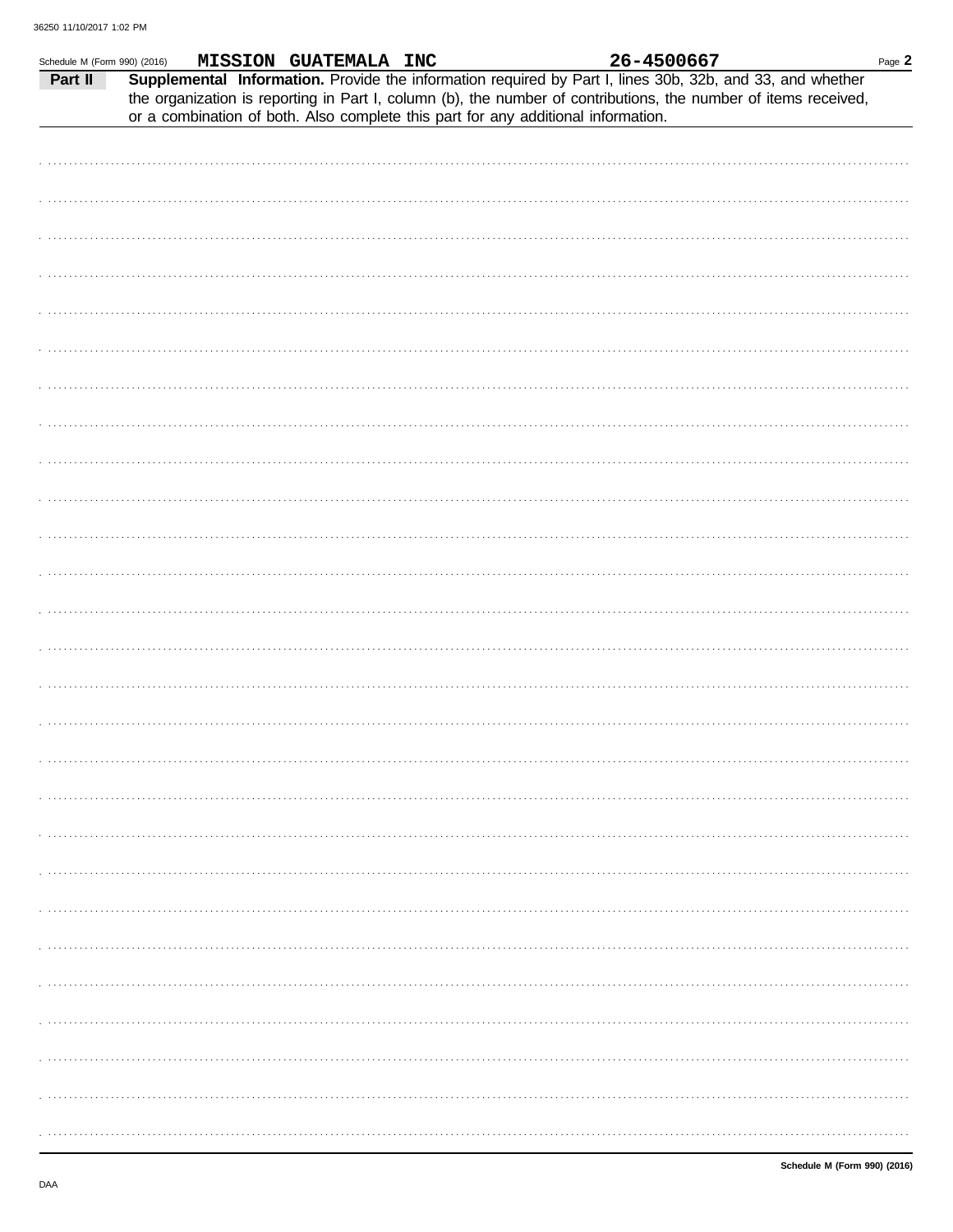| Schedule M (Form 990) (2016) |                                                                                   | MISSION GUATEMALA INC | 26-4500667                                                                                                                                                                                                                   | Page 2 |
|------------------------------|-----------------------------------------------------------------------------------|-----------------------|------------------------------------------------------------------------------------------------------------------------------------------------------------------------------------------------------------------------------|--------|
| Part II                      |                                                                                   |                       | Supplemental Information. Provide the information required by Part I, lines 30b, 32b, and 33, and whether<br>the organization is reporting in Part I, column (b), the number of contributions, the number of items received, |        |
|                              | or a combination of both. Also complete this part for any additional information. |                       |                                                                                                                                                                                                                              |        |
|                              |                                                                                   |                       |                                                                                                                                                                                                                              |        |
|                              |                                                                                   |                       |                                                                                                                                                                                                                              |        |
|                              |                                                                                   |                       |                                                                                                                                                                                                                              |        |
|                              |                                                                                   |                       |                                                                                                                                                                                                                              |        |
|                              |                                                                                   |                       |                                                                                                                                                                                                                              |        |
|                              |                                                                                   |                       |                                                                                                                                                                                                                              |        |
|                              |                                                                                   |                       |                                                                                                                                                                                                                              |        |
|                              |                                                                                   |                       |                                                                                                                                                                                                                              |        |
|                              |                                                                                   |                       |                                                                                                                                                                                                                              |        |
|                              |                                                                                   |                       |                                                                                                                                                                                                                              |        |
|                              |                                                                                   |                       |                                                                                                                                                                                                                              |        |
|                              |                                                                                   |                       |                                                                                                                                                                                                                              |        |
|                              |                                                                                   |                       |                                                                                                                                                                                                                              |        |
|                              |                                                                                   |                       |                                                                                                                                                                                                                              |        |
|                              |                                                                                   |                       |                                                                                                                                                                                                                              |        |
|                              |                                                                                   |                       |                                                                                                                                                                                                                              |        |
|                              |                                                                                   |                       |                                                                                                                                                                                                                              |        |
|                              |                                                                                   |                       |                                                                                                                                                                                                                              |        |
|                              |                                                                                   |                       |                                                                                                                                                                                                                              |        |
|                              |                                                                                   |                       |                                                                                                                                                                                                                              |        |
|                              |                                                                                   |                       |                                                                                                                                                                                                                              |        |
|                              |                                                                                   |                       |                                                                                                                                                                                                                              |        |
|                              |                                                                                   |                       |                                                                                                                                                                                                                              |        |
|                              |                                                                                   |                       |                                                                                                                                                                                                                              |        |
|                              |                                                                                   |                       |                                                                                                                                                                                                                              |        |
|                              |                                                                                   |                       |                                                                                                                                                                                                                              |        |
|                              |                                                                                   |                       |                                                                                                                                                                                                                              |        |
|                              |                                                                                   |                       |                                                                                                                                                                                                                              |        |
|                              |                                                                                   |                       |                                                                                                                                                                                                                              |        |
|                              |                                                                                   |                       |                                                                                                                                                                                                                              |        |
|                              |                                                                                   |                       |                                                                                                                                                                                                                              |        |
|                              |                                                                                   |                       |                                                                                                                                                                                                                              |        |
|                              |                                                                                   |                       |                                                                                                                                                                                                                              |        |
|                              |                                                                                   |                       |                                                                                                                                                                                                                              |        |
|                              |                                                                                   |                       |                                                                                                                                                                                                                              |        |
|                              |                                                                                   |                       |                                                                                                                                                                                                                              |        |
|                              |                                                                                   |                       |                                                                                                                                                                                                                              |        |
|                              |                                                                                   |                       |                                                                                                                                                                                                                              |        |
|                              |                                                                                   |                       |                                                                                                                                                                                                                              |        |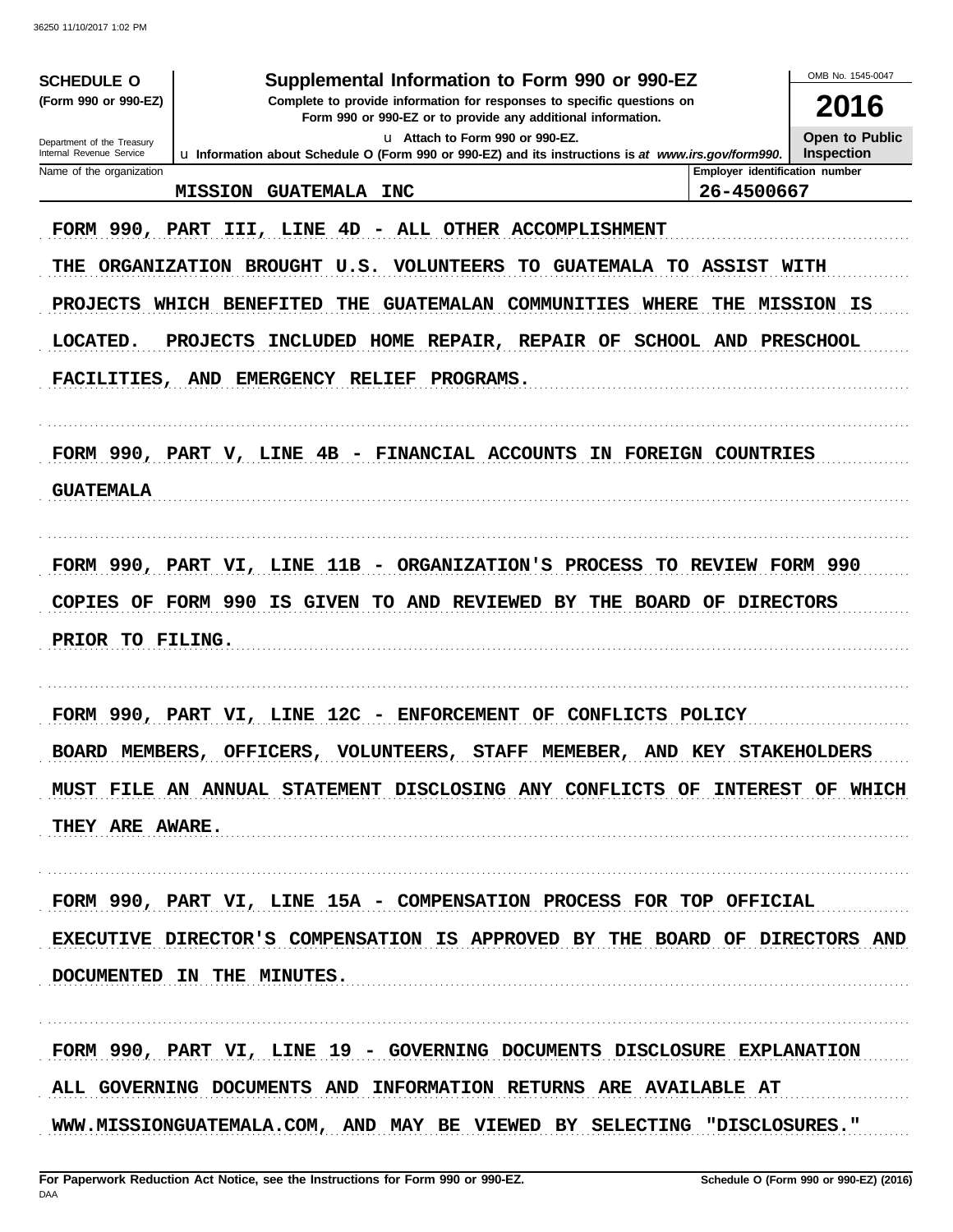| <b>SCHEDULE O</b><br>(Form 990 or 990-EZ)<br>Department of the Treasury | Supplemental Information to Form 990 or 990-EZ<br>Complete to provide information for responses to specific questions on<br>Form 990 or 990-EZ or to provide any additional information.<br>u Attach to Form 990 or 990-EZ. |                                |                   |  |  |
|-------------------------------------------------------------------------|-----------------------------------------------------------------------------------------------------------------------------------------------------------------------------------------------------------------------------|--------------------------------|-------------------|--|--|
| Internal Revenue Service<br>Name of the organization                    | <b>u Information about Schedule O (Form 990 or 990-EZ) and its instructions is at www.irs.gov/form990.</b>                                                                                                                  | Employer identification number | <b>Inspection</b> |  |  |
|                                                                         | <b>MISSION GUATEMALA INC</b>                                                                                                                                                                                                | 26-4500667                     |                   |  |  |
|                                                                         | FORM 990, PART III, LINE 4D - ALL OTHER ACCOMPLISHMENT                                                                                                                                                                      |                                |                   |  |  |
| THE                                                                     | ORGANIZATION BROUGHT U.S. VOLUNTEERS TO GUATEMALA TO ASSIST WITH                                                                                                                                                            |                                |                   |  |  |
|                                                                         | PROJECTS WHICH BENEFITED<br>THE GUATEMALAN COMMUNITIES WHERE THE MISSION IS                                                                                                                                                 |                                |                   |  |  |
| LOCATED.                                                                | INCLUDED HOME REPAIR, REPAIR OF SCHOOL AND PRESCHOOL<br><b>PROJECTS</b>                                                                                                                                                     |                                |                   |  |  |
|                                                                         | FACILITIES, AND EMERGENCY RELIEF<br>PROGRAMS.                                                                                                                                                                               |                                |                   |  |  |
|                                                                         |                                                                                                                                                                                                                             |                                |                   |  |  |
| <b>GUATEMALA</b>                                                        | FORM 990, PART V, LINE 4B - FINANCIAL ACCOUNTS IN FOREIGN COUNTRIES                                                                                                                                                         |                                |                   |  |  |
|                                                                         | FORM 990, PART VI, LINE 11B - ORGANIZATION'S PROCESS TO REVIEW FORM 990<br>COPIES OF FORM 990 IS GIVEN TO AND REVIEWED BY THE BOARD OF DIRECTORS                                                                            |                                |                   |  |  |
| PRIOR TO FILING.                                                        |                                                                                                                                                                                                                             |                                |                   |  |  |
|                                                                         |                                                                                                                                                                                                                             |                                |                   |  |  |
|                                                                         | FORM 990, PART VI, LINE 12C - ENFORCEMENT OF CONFLICTS POLICY                                                                                                                                                               |                                |                   |  |  |
|                                                                         | BOARD MEMBERS, OFFICERS, VOLUNTEERS, STAFF MEMEBER, AND KEY STAKEHOLDERS                                                                                                                                                    |                                |                   |  |  |
|                                                                         | MUST FILE AN ANNUAL STATEMENT DISCLOSING ANY CONFLICTS OF INTEREST OF WHICH                                                                                                                                                 |                                |                   |  |  |
|                                                                         |                                                                                                                                                                                                                             |                                |                   |  |  |
| THEY ARE AWARE.                                                         |                                                                                                                                                                                                                             |                                |                   |  |  |
|                                                                         |                                                                                                                                                                                                                             |                                |                   |  |  |
|                                                                         | FORM 990, PART VI, LINE 15A - COMPENSATION PROCESS FOR TOP OFFICIAL                                                                                                                                                         |                                |                   |  |  |
|                                                                         | EXECUTIVE DIRECTOR'S COMPENSATION IS APPROVED BY THE BOARD OF DIRECTORS AND                                                                                                                                                 |                                |                   |  |  |
|                                                                         | DOCUMENTED IN THE MINUTES.                                                                                                                                                                                                  |                                |                   |  |  |
|                                                                         |                                                                                                                                                                                                                             |                                |                   |  |  |
|                                                                         | FORM 990, PART VI, LINE 19 - GOVERNING DOCUMENTS DISCLOSURE EXPLANATION                                                                                                                                                     |                                |                   |  |  |
|                                                                         | ALL GOVERNING DOCUMENTS AND INFORMATION RETURNS ARE AVAILABLE AT                                                                                                                                                            |                                |                   |  |  |
|                                                                         | WWW.MISSIONGUATEMALA.COM, AND MAY BE VIEWED BY SELECTING "DISCLOSURES."                                                                                                                                                     |                                |                   |  |  |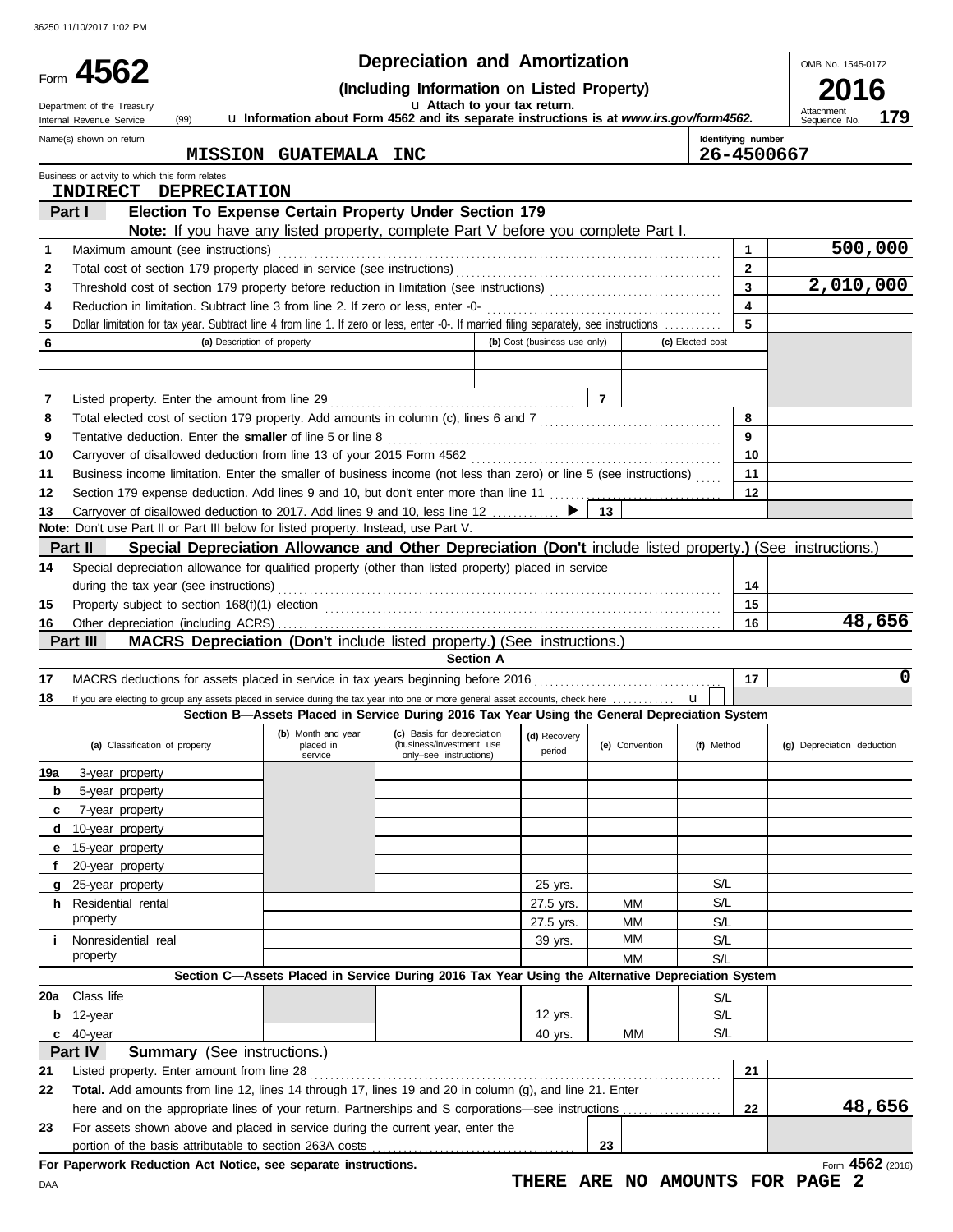|                             | Form $4562$                                                                                                                             |                             |                                            | <b>Depreciation and Amortization</b>                                                                       |                              |                |                  |                                  | OMB No. 1545-0172                 |
|-----------------------------|-----------------------------------------------------------------------------------------------------------------------------------------|-----------------------------|--------------------------------------------|------------------------------------------------------------------------------------------------------------|------------------------------|----------------|------------------|----------------------------------|-----------------------------------|
|                             | Department of the Treasury                                                                                                              |                             |                                            | (Including Information on Listed Property)                                                                 | u Attach to your tax return. |                |                  |                                  |                                   |
|                             | (99)<br>Internal Revenue Service                                                                                                        |                             |                                            | u Information about Form 4562 and its separate instructions is at www.irs.gov/form4562.                    |                              |                |                  |                                  | Attachment<br>179<br>Sequence No. |
|                             | Name(s) shown on return                                                                                                                 |                             | <b>MISSION GUATEMALA INC</b>               |                                                                                                            |                              |                |                  | Identifying number<br>26-4500667 |                                   |
|                             | Business or activity to which this form relates                                                                                         |                             |                                            |                                                                                                            |                              |                |                  |                                  |                                   |
|                             | <b>INDIRECT</b>                                                                                                                         | <b>DEPRECIATION</b>         |                                            |                                                                                                            |                              |                |                  |                                  |                                   |
|                             | Part I                                                                                                                                  |                             |                                            | Election To Expense Certain Property Under Section 179                                                     |                              |                |                  |                                  |                                   |
|                             |                                                                                                                                         |                             |                                            | Note: If you have any listed property, complete Part V before you complete Part I.                         |                              |                |                  |                                  |                                   |
| 1                           | Maximum amount (see instructions)                                                                                                       |                             |                                            |                                                                                                            |                              |                |                  | 1                                | 500,000                           |
| 2                           | Total cost of section 179 property placed in service (see instructions)                                                                 |                             |                                            |                                                                                                            |                              |                |                  | $\mathbf{2}$                     |                                   |
| 3                           |                                                                                                                                         |                             |                                            |                                                                                                            |                              |                |                  | 3                                | 2,010,000                         |
| 4                           | Reduction in limitation. Subtract line 3 from line 2. If zero or less, enter -0-                                                        |                             |                                            |                                                                                                            |                              |                |                  | 4                                |                                   |
| 5                           | Dollar limitation for tax year. Subtract line 4 from line 1. If zero or less, enter -0-. If married filing separately, see instructions | (a) Description of property |                                            |                                                                                                            | (b) Cost (business use only) |                | (c) Elected cost | 5                                |                                   |
| 6                           |                                                                                                                                         |                             |                                            |                                                                                                            |                              |                |                  |                                  |                                   |
|                             |                                                                                                                                         |                             |                                            |                                                                                                            |                              |                |                  |                                  |                                   |
| 7                           | Listed property. Enter the amount from line 29                                                                                          |                             |                                            |                                                                                                            |                              | $\overline{7}$ |                  |                                  |                                   |
| 8                           | Total elected cost of section 179 property. Add amounts in column (c), lines 6 and 7 [[[[[[[[[[[[[[[[[[[[[[[[                           |                             |                                            |                                                                                                            |                              |                |                  | 8                                |                                   |
| 9                           | Tentative deduction. Enter the smaller of line 5 or line 8                                                                              |                             |                                            |                                                                                                            |                              |                |                  | 9                                |                                   |
| 10                          | Carryover of disallowed deduction from line 13 of your 2015 Form 4562                                                                   |                             |                                            |                                                                                                            |                              |                |                  | 10                               |                                   |
| 11                          | Business income limitation. Enter the smaller of business income (not less than zero) or line 5 (see instructions)                      |                             |                                            |                                                                                                            |                              |                |                  | 11                               |                                   |
| 12                          |                                                                                                                                         |                             |                                            |                                                                                                            |                              |                |                  | 12                               |                                   |
| 13                          |                                                                                                                                         |                             |                                            |                                                                                                            |                              | 13             |                  |                                  |                                   |
|                             | Note: Don't use Part II or Part III below for listed property. Instead, use Part V.                                                     |                             |                                            |                                                                                                            |                              |                |                  |                                  |                                   |
|                             | Part II                                                                                                                                 |                             |                                            | Special Depreciation Allowance and Other Depreciation (Don't include listed property.) (See instructions.) |                              |                |                  |                                  |                                   |
| 14                          | Special depreciation allowance for qualified property (other than listed property) placed in service                                    |                             |                                            |                                                                                                            |                              |                |                  |                                  |                                   |
|                             | during the tax year (see instructions)                                                                                                  |                             |                                            |                                                                                                            |                              |                |                  | 14<br>15                         |                                   |
| 15                          | Property subject to section 168(f)(1) election <i>manufacture content content and a section</i> 168(f)(1) election                      |                             |                                            |                                                                                                            |                              |                |                  | 16                               | 48,656                            |
| 16                          | Part III                                                                                                                                |                             |                                            | MACRS Depreciation (Don't include listed property.) (See instructions.)                                    |                              |                |                  |                                  |                                   |
|                             |                                                                                                                                         |                             |                                            |                                                                                                            |                              |                |                  |                                  |                                   |
|                             |                                                                                                                                         |                             |                                            | <b>Section A</b>                                                                                           |                              |                |                  |                                  |                                   |
|                             |                                                                                                                                         |                             |                                            |                                                                                                            |                              |                |                  | 17                               |                                   |
|                             | If you are electing to group any assets placed in service during the tax year into one or more general asset accounts, check here       |                             |                                            |                                                                                                            |                              |                | $\mathbf{u}$     |                                  |                                   |
|                             |                                                                                                                                         |                             |                                            | Section B-Assets Placed in Service During 2016 Tax Year Using the General Depreciation System              |                              |                |                  |                                  |                                   |
|                             | (a) Classification of property                                                                                                          |                             | (b) Month and year<br>placed in<br>service | (c) Basis for depreciation<br>(business/investment use<br>only-see instructions)                           | (d) Recovery<br>period       | (e) Convention | (f) Method       |                                  | (g) Depreciation deduction        |
|                             | 3-year property                                                                                                                         |                             |                                            |                                                                                                            |                              |                |                  |                                  |                                   |
| b                           | 5-year property                                                                                                                         |                             |                                            |                                                                                                            |                              |                |                  |                                  |                                   |
| c                           | 7-year property                                                                                                                         |                             |                                            |                                                                                                            |                              |                |                  |                                  |                                   |
| d                           | 10-year property                                                                                                                        |                             |                                            |                                                                                                            |                              |                |                  |                                  |                                   |
| е                           | 15-year property                                                                                                                        |                             |                                            |                                                                                                            |                              |                |                  |                                  |                                   |
|                             | 20-year property                                                                                                                        |                             |                                            |                                                                                                            |                              |                |                  |                                  |                                   |
|                             | 25-year property                                                                                                                        |                             |                                            |                                                                                                            | 25 yrs.                      |                | S/L              |                                  |                                   |
|                             | h Residential rental                                                                                                                    |                             |                                            |                                                                                                            | 27.5 yrs.                    | MМ             | S/L              |                                  |                                   |
|                             | property                                                                                                                                |                             |                                            |                                                                                                            | 27.5 yrs.                    | МM             | S/L              |                                  |                                   |
|                             | Nonresidential real                                                                                                                     |                             |                                            |                                                                                                            | 39 yrs.                      | МM             | S/L              |                                  |                                   |
| i.                          | property                                                                                                                                |                             |                                            |                                                                                                            |                              | <b>MM</b>      | S/L              |                                  |                                   |
|                             |                                                                                                                                         |                             |                                            | Section C-Assets Placed in Service During 2016 Tax Year Using the Alternative Depreciation System          |                              |                |                  |                                  |                                   |
|                             | 20a Class life                                                                                                                          |                             |                                            |                                                                                                            |                              |                | S/L<br>S/L       |                                  |                                   |
|                             | $b$ 12-year<br>$c$ 40-year                                                                                                              |                             |                                            |                                                                                                            | 12 yrs.<br>40 yrs.           | MМ             | S/L              |                                  |                                   |
|                             | Part IV<br><b>Summary</b> (See instructions.)                                                                                           |                             |                                            |                                                                                                            |                              |                |                  |                                  |                                   |
|                             | Listed property. Enter amount from line 28                                                                                              |                             |                                            |                                                                                                            |                              |                |                  | 21                               |                                   |
|                             | Total. Add amounts from line 12, lines 14 through 17, lines 19 and 20 in column (g), and line 21. Enter                                 |                             |                                            |                                                                                                            |                              |                |                  |                                  |                                   |
| 17<br>18<br>19a<br>21<br>22 | here and on the appropriate lines of your return. Partnerships and S corporations—see instructions                                      |                             |                                            |                                                                                                            |                              |                |                  | 22                               | 0<br>48,656                       |
| 23                          | For assets shown above and placed in service during the current year, enter the                                                         |                             |                                            |                                                                                                            |                              |                |                  |                                  |                                   |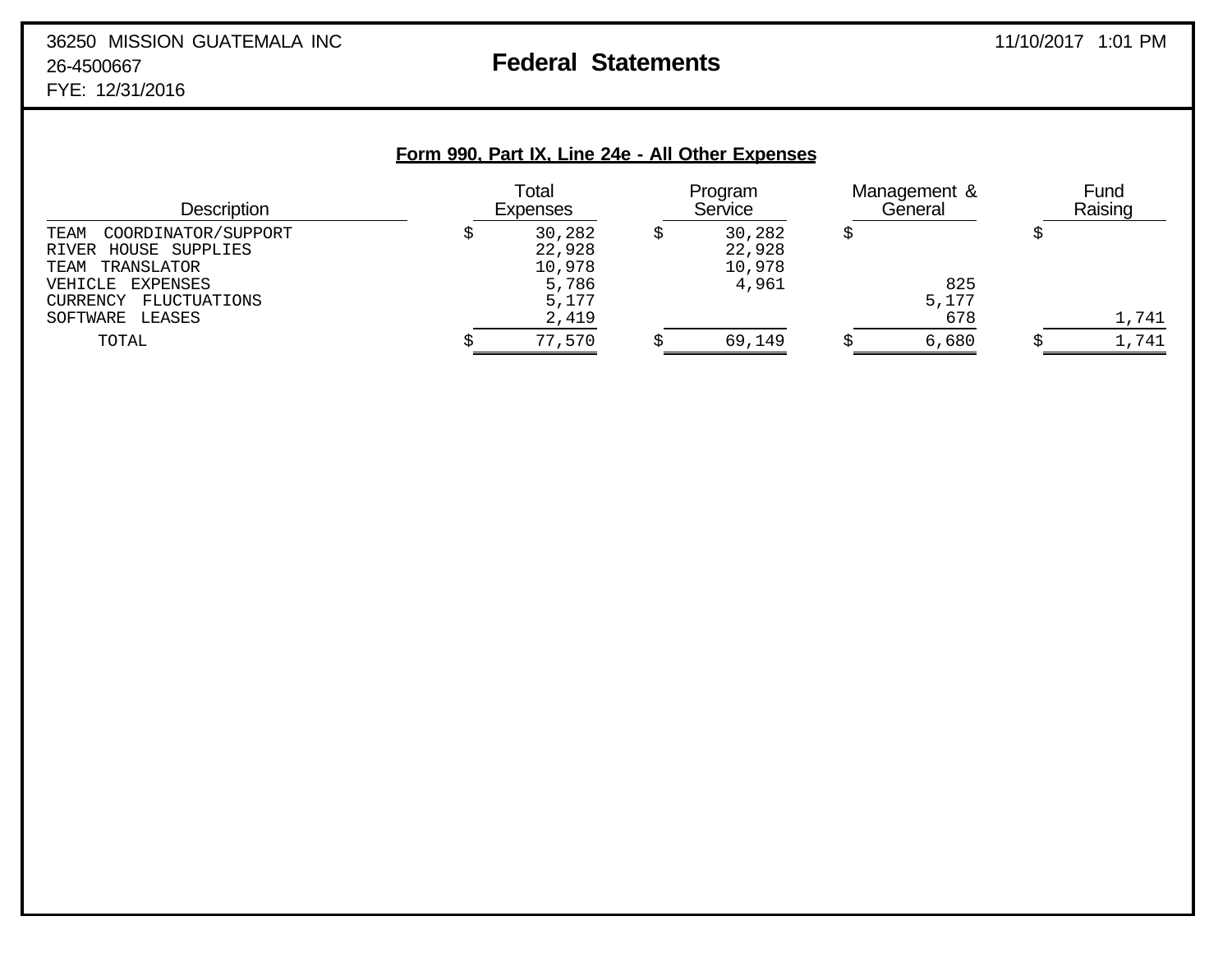## 36250 MISSION GUATEMALA INC 11/10/2017 1:01 PM 26-4500667 **Federal Statements**

FYE: 12/31/2016

### **Form 990, Part IX, Line 24e - All Other Expenses**

| <b>Description</b>                                                                                                                                 | Total<br><b>Expenses</b>                              | Program<br>Service                  | Management &<br>General | Fund<br>Raising |
|----------------------------------------------------------------------------------------------------------------------------------------------------|-------------------------------------------------------|-------------------------------------|-------------------------|-----------------|
| COORDINATOR/SUPPORT<br>TEAM<br>HOUSE SUPPLIES<br>RIVER<br>TRANSLATOR<br>TEAM<br>VEHICLE EXPENSES<br>FLUCTUATIONS<br>CURRENCY<br>SOFTWARE<br>LEASES | 30,282<br>22,928<br>10,978<br>5,786<br>5,177<br>2,419 | 30,282<br>22,928<br>10,978<br>4,961 | 825<br>5,177<br>678     | 1,741           |
| TOTAL                                                                                                                                              | 77,570                                                | 69,149                              | 6,680                   | 1,741           |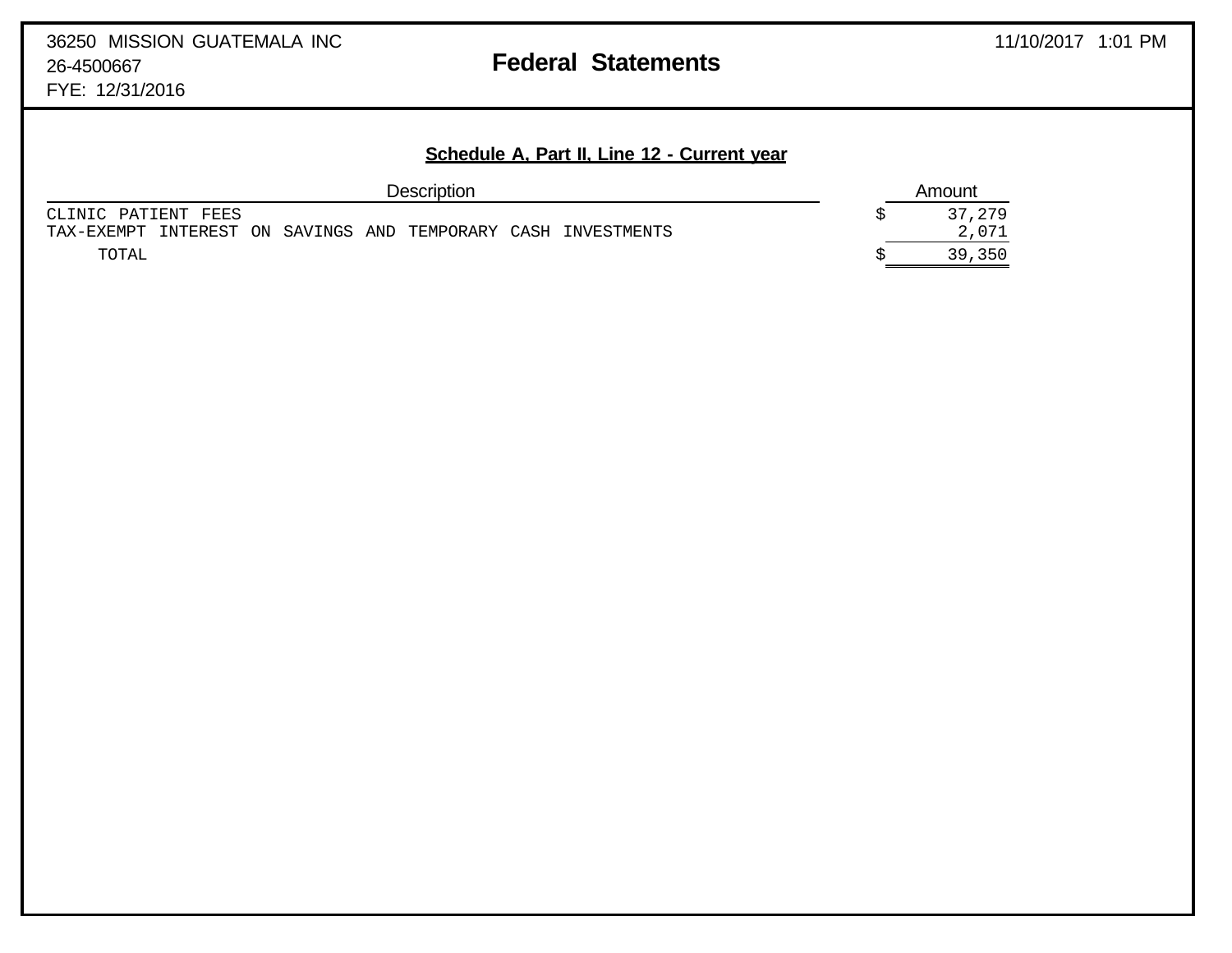### **Schedule A, Part II, Line 12 - Current year**

| <b>Description</b>                                                                   | Amount |                 |
|--------------------------------------------------------------------------------------|--------|-----------------|
| CLINIC PATIENT FEES<br>TAX-EXEMPT INTEREST ON SAVINGS AND TEMPORARY CASH INVESTMENTS |        | 37,279<br>2,071 |
| TOTAL                                                                                |        | 39,350          |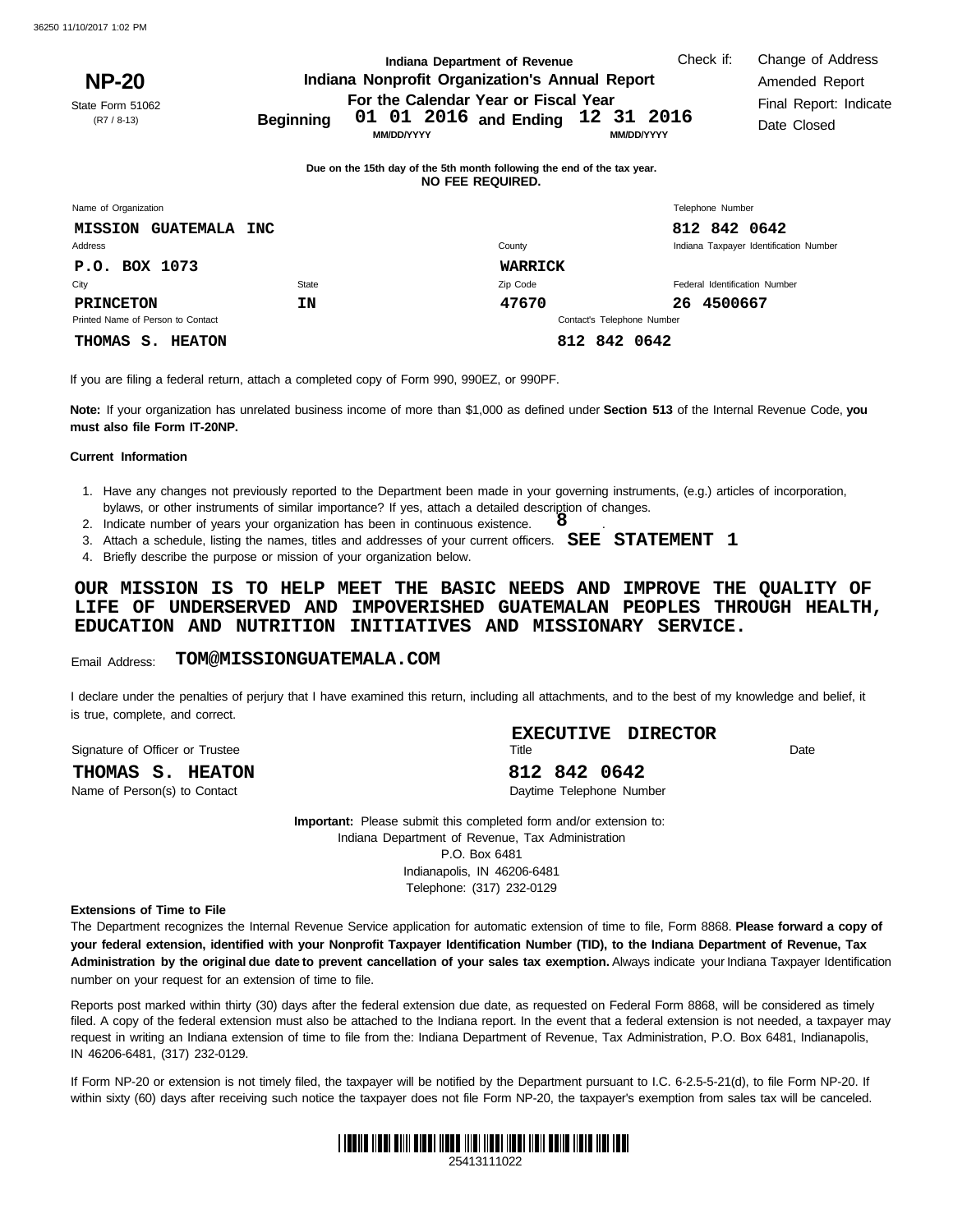|                                                       |                                                | Indiana Department of Revenue                                                                 |                                     | Check if:                     | Change of Address                      |
|-------------------------------------------------------|------------------------------------------------|-----------------------------------------------------------------------------------------------|-------------------------------------|-------------------------------|----------------------------------------|
| <b>NP-20</b>                                          | Indiana Nonprofit Organization's Annual Report | Amended Report                                                                                |                                     |                               |                                        |
| State Form 51062<br>$(R7 / 8-13)$                     | <b>Beginning</b>                               | For the Calendar Year or Fiscal Year<br>01 01 2016 and Ending 12 31 2016<br><b>MM/DD/YYYY</b> | <b>MM/DD/YYYY</b>                   |                               | Final Report: Indicate<br>Date Closed  |
|                                                       |                                                | Due on the 15th day of the 5th month following the end of the tax year.<br>NO FEE REQUIRED.   |                                     |                               |                                        |
| Name of Organization                                  |                                                |                                                                                               |                                     | Telephone Number              |                                        |
| <b>GUATEMALA</b><br><b>MISSION</b>                    | <b>INC</b>                                     |                                                                                               |                                     | 812 842 0642                  |                                        |
| Address                                               |                                                |                                                                                               | County                              |                               | Indiana Taxpayer Identification Number |
| P.O. BOX 1073                                         |                                                |                                                                                               | WARRICK                             |                               |                                        |
| City                                                  | State                                          |                                                                                               | Zip Code                            | Federal Identification Number |                                        |
| <b>PRINCETON</b><br>Printed Name of Person to Contact | ΙN                                             |                                                                                               | 47670<br>Contact's Telephone Number | 26 4500667                    |                                        |
| THOMAS<br><b>HEATON</b><br>s.                         |                                                |                                                                                               | 812 842 0642                        |                               |                                        |

If you are filing a federal return, attach a completed copy of Form 990, 990EZ, or 990PF.

**Note:** If your organization has unrelated business income of more than \$1,000 as defined under **Section 513** of the Internal Revenue Code, **you must also file Form IT-20NP.**

### **Current Information**

- 1. Have any changes not previously reported to the Department been made in your governing instruments, (e.g.) articles of incorporation, bylaws, or other instruments of similar importance? If yes, attach a detailed description of changes. **8**
- 2. Indicate number of years your organization has been in continuous existence.
- 3. Attach a schedule, listing the names, titles and addresses of your current officers. **SEE STATEMENT 1**
- 4. Briefly describe the purpose or mission of your organization below.

### **OUR MISSION IS TO HELP MEET THE BASIC NEEDS AND IMPROVE THE QUALITY OF** LIFE OF UNDERSERVED AND IMPOVERISHED GUATEMALAN PEOPLES **EDUCATION AND NUTRITION INITIATIVES AND MISSIONARY SERVICE.**

#### Email Address: **TOM@MISSIONGUATEMALA.COM**

I declare under the penalties of perjury that I have examined this return, including all attachments, and to the best of my knowledge and belief, it is true, complete, and correct.

Signature of Officer or Trustee

### **THOMAS S. HEATON 812 842 0642**

Name of Person(s) to Contact **Daytime Telephone Number** Daytime Telephone Number

Title Date **EXECUTIVE DIRECTOR**

.

**Important:** Please submit this completed form and/or extension to: Indiana Department of Revenue, Tax Administration P.O. Box 6481 Indianapolis, IN 46206-6481

Telephone: (317) 232-0129

#### **Extensions of Time to File**

The Department recognizes the Internal Revenue Service application for automatic extension of time to file, Form 8868. **Please forward a copy of your federal extension, identified with your Nonprofit Taxpayer Identification Number (TID), to the Indiana Department of Revenue, Tax Administration by the original due date to prevent cancellation of your sales tax exemption.** Always indicate your Indiana Taxpayer Identification number on your request for an extension of time to file.

Reports post marked within thirty (30) days after the federal extension due date, as requested on Federal Form 8868, will be considered as timely filed. A copy of the federal extension must also be attached to the Indiana report. In the event that a federal extension is not needed, a taxpayer may request in writing an Indiana extension of time to file from the: Indiana Department of Revenue, Tax Administration, P.O. Box 6481, Indianapolis, IN 46206-6481, (317) 232-0129.

within sixty (60) days after receiving such notice the taxpayer does not file Form NP-20, the taxpayer's exemption from sales tax will be canceled. If Form NP-20 or extension is not timely filed, the taxpayer will be notified by the Department pursuant to I.C. 6-2.5-5-21(d), to file Form NP-20. If